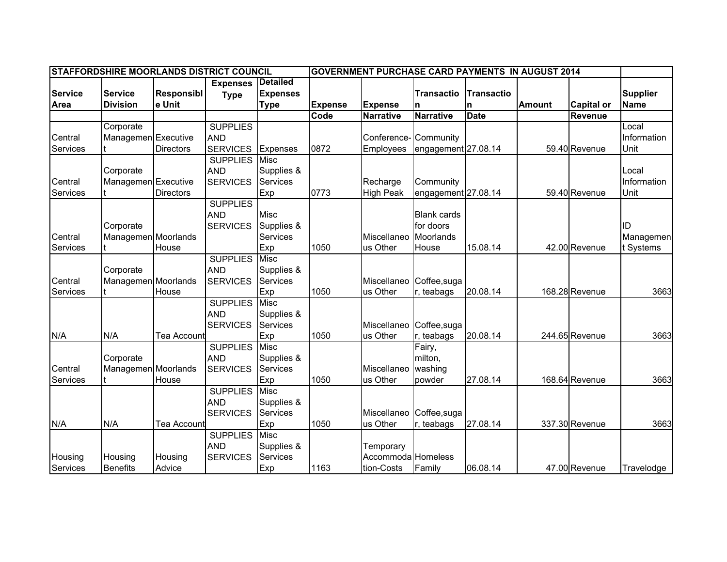| <b>STAFFORDSHIRE MOORLANDS DISTRICT COUNCIL</b><br><b>GOVERNMENT PURCHASE CARD PAYMENTS IN AUGUST 2014</b> |                     |                   |                      |                 |                |                    |                     |                   |               |                   |                 |
|------------------------------------------------------------------------------------------------------------|---------------------|-------------------|----------------------|-----------------|----------------|--------------------|---------------------|-------------------|---------------|-------------------|-----------------|
|                                                                                                            |                     |                   | <b>Expenses</b>      | <b>Detailed</b> |                |                    |                     |                   |               |                   |                 |
| <b>Service</b>                                                                                             | <b>Service</b>      | <b>Responsibl</b> | <b>Type</b>          | <b>Expenses</b> |                |                    | <b>Transactio</b>   | <b>Transactio</b> |               |                   | <b>Supplier</b> |
| Area                                                                                                       | <b>Division</b>     | e Unit            |                      | <b>Type</b>     | <b>Expense</b> | <b>Expense</b>     | $\mathsf{n}$        | n                 | <b>Amount</b> | <b>Capital or</b> | <b>Name</b>     |
|                                                                                                            |                     |                   |                      |                 | Code           | <b>Narrative</b>   | <b>Narrative</b>    | <b>Date</b>       |               | <b>Revenue</b>    |                 |
|                                                                                                            | Corporate           |                   | <b>SUPPLIES</b>      |                 |                |                    |                     |                   |               |                   | Local           |
| Central                                                                                                    | Managemen Executive |                   | <b>AND</b>           |                 |                | Conference-        | Community           |                   |               |                   | Information     |
| Services                                                                                                   |                     | <b>Directors</b>  | <b>SERVICES</b>      | Expenses        | 0872           | Employees          | engagement 27.08.14 |                   |               | 59.40 Revenue     | Unit            |
|                                                                                                            |                     |                   | <b>SUPPLIES Misc</b> |                 |                |                    |                     |                   |               |                   |                 |
|                                                                                                            | Corporate           |                   | <b>AND</b>           | Supplies &      |                |                    |                     |                   |               |                   | Local           |
| Central                                                                                                    | Managemen Executive |                   | <b>SERVICES</b>      | Services        |                | Recharge           | Community           |                   |               |                   | Information     |
| Services                                                                                                   |                     | Directors         |                      | Exp             | 0773           | <b>High Peak</b>   | engagement 27.08.14 |                   |               | 59.40 Revenue     | Unit            |
|                                                                                                            |                     |                   | <b>SUPPLIES</b>      |                 |                |                    |                     |                   |               |                   |                 |
|                                                                                                            |                     |                   | <b>AND</b>           | Misc            |                |                    | <b>Blank cards</b>  |                   |               |                   |                 |
|                                                                                                            | Corporate           |                   | <b>SERVICES</b>      | Supplies &      |                |                    | for doors           |                   |               |                   | ID              |
| Central                                                                                                    | Managemen Moorlands |                   |                      | Services        |                | Miscellaneo        | Moorlands           |                   |               |                   | Managemen       |
| Services                                                                                                   |                     | House             |                      | Exp             | 1050           | us Other           | House               | 15.08.14          |               | 42.00 Revenue     | t Systems       |
|                                                                                                            |                     |                   | <b>SUPPLIES</b>      | <b>Misc</b>     |                |                    |                     |                   |               |                   |                 |
|                                                                                                            | Corporate           |                   | <b>AND</b>           | Supplies &      |                |                    |                     |                   |               |                   |                 |
| Central                                                                                                    | Managemen Moorlands |                   | <b>SERVICES</b>      | Services        |                | Miscellaneo        | Coffee, suga        |                   |               |                   |                 |
| Services                                                                                                   |                     | House             |                      | Exp             | 1050           | us Other           | r, teabags          | 20.08.14          |               | 168.28 Revenue    | 3663            |
|                                                                                                            |                     |                   | <b>SUPPLIES</b>      | <b>Misc</b>     |                |                    |                     |                   |               |                   |                 |
|                                                                                                            |                     |                   | <b>AND</b>           | Supplies &      |                |                    |                     |                   |               |                   |                 |
|                                                                                                            |                     |                   | <b>SERVICES</b>      | Services        |                | Miscellaneo        | Coffee, suga        |                   |               |                   |                 |
| N/A                                                                                                        | N/A                 | Tea Account       |                      | Exp             | 1050           | us Other           | , teabags           | 20.08.14          |               | 244.65 Revenue    | 3663            |
|                                                                                                            |                     |                   | <b>SUPPLIES</b>      | <b>Misc</b>     |                |                    | Fairy,              |                   |               |                   |                 |
|                                                                                                            | Corporate           |                   | <b>AND</b>           | Supplies &      |                |                    | milton,             |                   |               |                   |                 |
| Central                                                                                                    | Managemen Moorlands |                   | <b>SERVICES</b>      | Services        |                | Miscellaneo        | washing             |                   |               |                   |                 |
| Services                                                                                                   |                     | House             |                      | Exp             | 1050           | us Other           | powder              | 27.08.14          |               | 168.64 Revenue    | 3663            |
|                                                                                                            |                     |                   | <b>SUPPLIES</b>      | <b>Misc</b>     |                |                    |                     |                   |               |                   |                 |
|                                                                                                            |                     |                   | <b>AND</b>           | Supplies &      |                |                    |                     |                   |               |                   |                 |
|                                                                                                            |                     |                   | <b>SERVICES</b>      | Services        |                | Miscellaneo        | Coffee, suga        |                   |               |                   |                 |
| N/A                                                                                                        | N/A                 | Tea Account       |                      | Exp             | 1050           | us Other           | r, teabags          | 27.08.14          |               | 337.30 Revenue    | 3663            |
|                                                                                                            |                     |                   | <b>SUPPLIES</b>      | Misc            |                |                    |                     |                   |               |                   |                 |
|                                                                                                            |                     |                   | <b>AND</b>           | Supplies &      |                | Temporary          |                     |                   |               |                   |                 |
| Housing                                                                                                    | Housing             | Housing           | <b>SERVICES</b>      | Services        |                | Accommoda Homeless |                     |                   |               |                   |                 |
| Services                                                                                                   | <b>Benefits</b>     | Advice            |                      | Exp             | 1163           | tion-Costs         | Family              | 06.08.14          |               | 47.00 Revenue     | Travelodge      |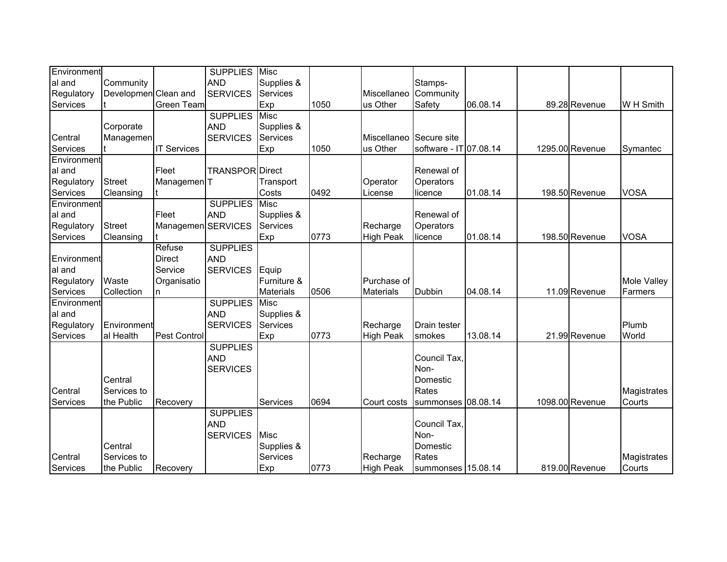| Environment |                      |                        | <b>SUPPLIES</b>        | Misc             |      |                  |                        |          |                 |             |
|-------------|----------------------|------------------------|------------------------|------------------|------|------------------|------------------------|----------|-----------------|-------------|
| al and      | Community            |                        | <b>AND</b>             | Supplies &       |      |                  | Stamps-                |          |                 |             |
| Regulatory  | Developmen Clean and |                        | <b>SERVICES</b>        | Services         |      | Miscellaneo      | Community              |          |                 |             |
| Services    |                      | Green Team             |                        | Exp              | 1050 | us Other         | Safety                 | 06.08.14 | 89.28 Revenue   | W H Smith   |
|             |                      |                        | <b>SUPPLIES</b>        | <b>Misc</b>      |      |                  |                        |          |                 |             |
|             | Corporate            |                        | <b>AND</b>             | Supplies &       |      |                  |                        |          |                 |             |
| Central     | Managemen            |                        | <b>SERVICES</b>        | Services         |      | Miscellaneo      | Secure site            |          |                 |             |
| Services    |                      | <b>IT Services</b>     |                        | Exp              | 1050 | us Other         | software - IT 07.08.14 |          | 1295.00 Revenue | Symantec    |
| Environment |                      |                        |                        |                  |      |                  |                        |          |                 |             |
| al and      |                      | Fleet                  | <b>TRANSPOR Direct</b> |                  |      |                  | Renewal of             |          |                 |             |
| Regulatory  | <b>Street</b>        | Managemen <sup>T</sup> |                        | Transport        |      | Operator         | Operators              |          |                 |             |
| Services    | Cleansing            |                        |                        | Costs            | 0492 | License          | licence                | 01.08.14 | 198.50 Revenue  | <b>VOSA</b> |
| Environment |                      |                        | <b>SUPPLIES</b>        | <b>Misc</b>      |      |                  |                        |          |                 |             |
| al and      |                      | Fleet                  | <b>AND</b>             | Supplies &       |      |                  | Renewal of             |          |                 |             |
| Regulatory  | <b>Street</b>        | Managemen SERVICES     |                        | <b>Services</b>  |      | Recharge         | Operators              |          |                 |             |
| Services    | Cleansing            |                        |                        | Exp              | 0773 | <b>High Peak</b> | licence                | 01.08.14 | 198.50 Revenue  | <b>VOSA</b> |
|             |                      | Refuse                 | <b>SUPPLIES</b>        |                  |      |                  |                        |          |                 |             |
| Environment |                      | <b>Direct</b>          | <b>AND</b>             |                  |      |                  |                        |          |                 |             |
| al and      |                      | Service                | <b>SERVICES</b>        | Equip            |      |                  |                        |          |                 |             |
| Regulatory  | Waste                | Organisatio            |                        | Furniture &      |      | Purchase of      |                        |          |                 | Mole Valley |
| Services    | Collection           | n                      |                        | <b>Materials</b> | 0506 | <b>Materials</b> | Dubbin                 | 04.08.14 | 11.09 Revenue   | Farmers     |
| Environment |                      |                        | <b>SUPPLIES</b>        | <b>Misc</b>      |      |                  |                        |          |                 |             |
| al and      |                      |                        | <b>AND</b>             | Supplies &       |      |                  |                        |          |                 |             |
| Regulatory  | Environment          |                        | <b>SERVICES</b>        | Services         |      | Recharge         | Drain tester           |          |                 | Plumb       |
| Services    | al Health            | Pest Control           |                        | Exp              | 0773 | <b>High Peak</b> | smokes                 | 13.08.14 | 21.99 Revenue   | World       |
|             |                      |                        | <b>SUPPLIES</b>        |                  |      |                  |                        |          |                 |             |
|             |                      |                        | <b>AND</b>             |                  |      |                  | Council Tax,           |          |                 |             |
|             |                      |                        | <b>SERVICES</b>        |                  |      |                  | Non-                   |          |                 |             |
|             | Central              |                        |                        |                  |      |                  | Domestic               |          |                 |             |
| Central     | Services to          |                        |                        |                  |      |                  | Rates                  |          |                 | Magistrates |
| Services    | the Public           | Recovery               |                        | <b>Services</b>  | 0694 | Court costs      | summonses 08.08.14     |          | 1098.00 Revenue | Courts      |
|             |                      |                        | <b>SUPPLIES</b>        |                  |      |                  |                        |          |                 |             |
|             |                      |                        | <b>AND</b>             |                  |      |                  | Council Tax,           |          |                 |             |
|             |                      |                        | <b>SERVICES</b>        | <b>Misc</b>      |      |                  | Non-                   |          |                 |             |
|             | Central              |                        |                        | Supplies &       |      |                  | Domestic               |          |                 |             |
| Central     | Services to          |                        |                        | Services         |      | Recharge         | Rates                  |          |                 | Magistrates |
| Services    | the Public           | Recovery               |                        | Exp              | 0773 | <b>High Peak</b> | summonses 15.08.14     |          | 819.00 Revenue  | Courts      |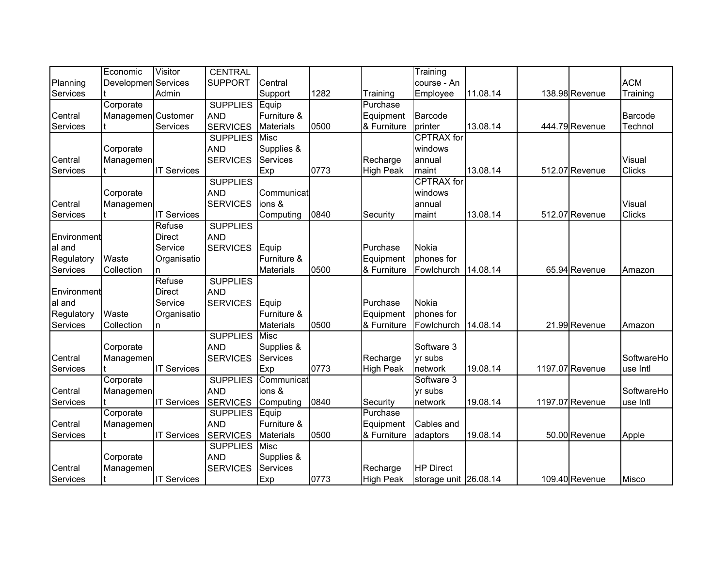|             | Economic            | Visitor            | <b>CENTRAL</b>        |                  |      |                  | Training              |          |                 |               |
|-------------|---------------------|--------------------|-----------------------|------------------|------|------------------|-----------------------|----------|-----------------|---------------|
| Planning    | Developmen Services |                    | <b>SUPPORT</b>        | Central          |      |                  | course - An           |          |                 | <b>ACM</b>    |
| Services    |                     | Admin              |                       | Support          | 1282 | Training         | Employee              | 11.08.14 | 138.98 Revenue  | Training      |
|             | Corporate           |                    | <b>SUPPLIES</b> Equip |                  |      | Purchase         |                       |          |                 |               |
| Central     | Managemen Customer  |                    | <b>AND</b>            | Furniture &      |      | Equipment        | Barcode               |          |                 | Barcode       |
| Services    |                     | Services           | <b>SERVICES</b>       | <b>Materials</b> | 0500 | & Furniture      | printer               | 13.08.14 | 444.79 Revenue  | Technol       |
|             |                     |                    | <b>SUPPLIES</b>       | Misc             |      |                  | <b>CPTRAX</b> for     |          |                 |               |
|             | Corporate           |                    | <b>AND</b>            | Supplies &       |      |                  | windows               |          |                 |               |
| Central     | Managemen           |                    | <b>SERVICES</b>       | Services         |      | Recharge         | annual                |          |                 | Visual        |
| Services    |                     | <b>IT Services</b> |                       | Exp              | 0773 | <b>High Peak</b> | maint                 | 13.08.14 | 512.07 Revenue  | <b>Clicks</b> |
|             |                     |                    | <b>SUPPLIES</b>       |                  |      |                  | <b>CPTRAX</b> for     |          |                 |               |
|             | Corporate           |                    | <b>AND</b>            | Communicat       |      |                  | windows               |          |                 |               |
| Central     | Managemen           |                    | <b>SERVICES</b>       | ions &           |      |                  | annual                |          |                 | Visual        |
| Services    |                     | <b>IT Services</b> |                       | Computing        | 0840 | Security         | maint                 | 13.08.14 | 512.07 Revenue  | <b>Clicks</b> |
|             |                     | Refuse             | <b>SUPPLIES</b>       |                  |      |                  |                       |          |                 |               |
| Environment |                     | <b>Direct</b>      | <b>AND</b>            |                  |      |                  |                       |          |                 |               |
| al and      |                     | Service            | <b>SERVICES</b>       | Equip            |      | Purchase         | <b>Nokia</b>          |          |                 |               |
| Regulatory  | Waste               | Organisatio        |                       | Furniture &      |      | Equipment        | phones for            |          |                 |               |
| Services    | Collection          | n.                 |                       | <b>Materials</b> | 0500 | & Furniture      | Fowlchurch            | 14.08.14 | 65.94 Revenue   | Amazon        |
|             |                     | Refuse             | <b>SUPPLIES</b>       |                  |      |                  |                       |          |                 |               |
| Environment |                     | <b>Direct</b>      | <b>AND</b>            |                  |      |                  |                       |          |                 |               |
| al and      |                     | Service            | <b>SERVICES</b>       | Equip            |      | Purchase         | <b>Nokia</b>          |          |                 |               |
| Regulatory  | Waste               | Organisatio        |                       | Furniture &      |      | Equipment        | phones for            |          |                 |               |
| Services    | Collection          | n                  |                       | <b>Materials</b> | 0500 | & Furniture      | Fowlchurch            | 14.08.14 | 21.99 Revenue   | Amazon        |
|             |                     |                    | <b>SUPPLIES</b>       | <b>Misc</b>      |      |                  |                       |          |                 |               |
|             | Corporate           |                    | <b>AND</b>            | Supplies &       |      |                  | Software 3            |          |                 |               |
| Central     | Managemen           |                    | <b>SERVICES</b>       | <b>Services</b>  |      | Recharge         | yr subs               |          |                 | SoftwareHo    |
| Services    |                     | <b>IT Services</b> |                       | Exp              | 0773 | <b>High Peak</b> | network               | 19.08.14 | 1197.07 Revenue | use Intl      |
|             | Corporate           |                    | <b>SUPPLIES</b>       | Communicat       |      |                  | Software 3            |          |                 |               |
| Central     | Managemen           |                    | <b>AND</b>            | ions &           |      |                  | yr subs               |          |                 | SoftwareHo    |
| Services    |                     | <b>IT Services</b> | <b>SERVICES</b>       | Computing        | 0840 | Security         | network               | 19.08.14 | 1197.07 Revenue | use Intl      |
|             | Corporate           |                    | <b>SUPPLIES</b>       | Equip            |      | Purchase         |                       |          |                 |               |
| Central     | Managemen           |                    | <b>AND</b>            | Furniture &      |      | Equipment        | Cables and            |          |                 |               |
| Services    |                     | <b>IT Services</b> | <b>SERVICES</b>       | <b>Materials</b> | 0500 | & Furniture      | adaptors              | 19.08.14 | 50.00 Revenue   | Apple         |
|             |                     |                    | <b>SUPPLIES</b>       | <b>Misc</b>      |      |                  |                       |          |                 |               |
|             | Corporate           |                    | <b>AND</b>            | Supplies &       |      |                  |                       |          |                 |               |
| Central     | Managemen           |                    | <b>SERVICES</b>       | Services         |      | Recharge         | <b>HP Direct</b>      |          |                 |               |
| Services    |                     | <b>IT Services</b> |                       | Exp              | 0773 | <b>High Peak</b> | storage unit 26.08.14 |          | 109.40 Revenue  | <b>Misco</b>  |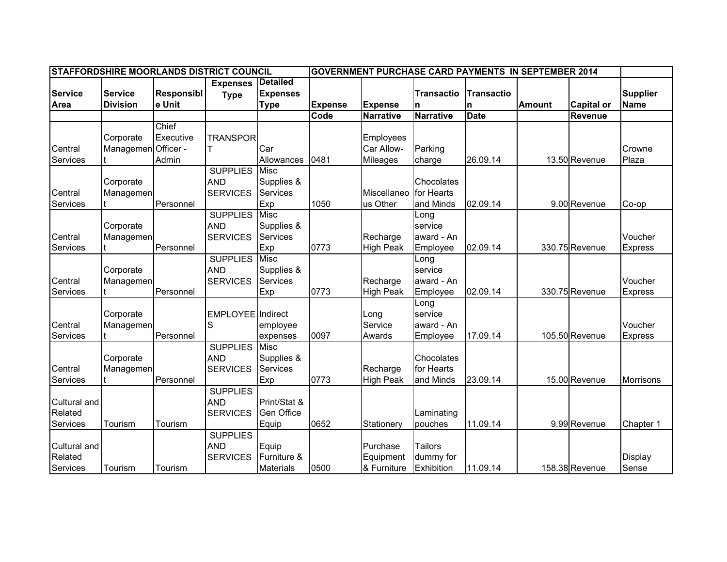| STAFFORDSHIRE MOORLANDS DISTRICT COUNCIL<br><b>GOVERNMENT PURCHASE CARD PAYMENTS IN SEPTEMBER 2014</b> |                     |                   |                   |                   |                |                  |                   |             |               |                   |                 |
|--------------------------------------------------------------------------------------------------------|---------------------|-------------------|-------------------|-------------------|----------------|------------------|-------------------|-------------|---------------|-------------------|-----------------|
|                                                                                                        |                     |                   | <b>Expenses</b>   | <b>Detailed</b>   |                |                  |                   |             |               |                   |                 |
| <b>Service</b>                                                                                         | <b>Service</b>      | <b>Responsibl</b> | <b>Type</b>       | <b>Expenses</b>   |                |                  | <b>Transactio</b> | Transactio  |               |                   | <b>Supplier</b> |
| Area                                                                                                   | <b>Division</b>     | e Unit            |                   | <b>Type</b>       | <b>Expense</b> | <b>Expense</b>   | n                 | n           | <b>Amount</b> | <b>Capital or</b> | <b>Name</b>     |
|                                                                                                        |                     |                   |                   |                   | Code           | <b>Narrative</b> | <b>Narrative</b>  | <b>Date</b> |               | <b>Revenue</b>    |                 |
|                                                                                                        |                     | Chief             |                   |                   |                |                  |                   |             |               |                   |                 |
|                                                                                                        | Corporate           | Executive         | <b>TRANSPOR</b>   |                   |                | <b>Employees</b> |                   |             |               |                   |                 |
| Central                                                                                                | Managemen Officer - |                   |                   | Car               |                | Car Allow-       | Parking           |             |               |                   | Crowne          |
| Services                                                                                               |                     | Admin             |                   | Allowances        | 0481           | <b>Mileages</b>  | charge            | 26.09.14    |               | 13.50 Revenue     | Plaza           |
|                                                                                                        |                     |                   | <b>SUPPLIES</b>   | Misc              |                |                  |                   |             |               |                   |                 |
|                                                                                                        | Corporate           |                   | <b>AND</b>        | Supplies &        |                |                  | Chocolates        |             |               |                   |                 |
| Central                                                                                                | Managemen           |                   | <b>SERVICES</b>   | <b>Services</b>   |                | Miscellaneo      | for Hearts        |             |               |                   |                 |
| Services                                                                                               |                     | Personnel         |                   | Exp               | 1050           | us Other         | and Minds         | 02.09.14    |               | 9.00 Revenue      | Co-op           |
|                                                                                                        |                     |                   | <b>SUPPLIES</b>   | <b>Misc</b>       |                |                  | Long              |             |               |                   |                 |
|                                                                                                        | Corporate           |                   | <b>AND</b>        | Supplies &        |                |                  | service           |             |               |                   |                 |
| Central                                                                                                | Managemen           |                   | <b>SERVICES</b>   | <b>Services</b>   |                | Recharge         | award - An        |             |               |                   | Voucher         |
| Services                                                                                               |                     | Personnel         |                   | Exp               | 0773           | <b>High Peak</b> | Employee          | 02.09.14    |               | 330.75 Revenue    | <b>Express</b>  |
|                                                                                                        |                     |                   | <b>SUPPLIES</b>   | Misc              |                |                  | Long              |             |               |                   |                 |
|                                                                                                        | Corporate           |                   | <b>AND</b>        | Supplies &        |                |                  | service           |             |               |                   |                 |
| Central                                                                                                | Managemen           |                   | <b>SERVICES</b>   | Services          |                | Recharge         | award - An        |             |               |                   | Voucher         |
| Services                                                                                               |                     | Personnel         |                   | Exp               | 0773           | High Peak        | Employee          | 02.09.14    |               | 330.75 Revenue    | Express         |
|                                                                                                        |                     |                   |                   |                   |                |                  | Long              |             |               |                   |                 |
|                                                                                                        | Corporate           |                   | EMPLOYEE Indirect |                   |                | Long             | service           |             |               |                   |                 |
| Central                                                                                                | Managemen           |                   | S                 | employee          |                | Service          | award - An        |             |               |                   | Voucher         |
| Services                                                                                               |                     | Personnel         |                   | expenses          | 0097           | Awards           | Employee          | 17.09.14    |               | 105.50 Revenue    | Express         |
|                                                                                                        |                     |                   | <b>SUPPLIES</b>   | <b>Misc</b>       |                |                  |                   |             |               |                   |                 |
|                                                                                                        | Corporate           |                   | <b>AND</b>        | Supplies &        |                |                  | Chocolates        |             |               |                   |                 |
| Central                                                                                                | Managemen           |                   | <b>SERVICES</b>   | <b>Services</b>   |                | Recharge         | for Hearts        |             |               |                   |                 |
| Services                                                                                               |                     | Personnel         |                   | Exp               | 0773           | <b>High Peak</b> | and Minds         | 23.09.14    |               | 15.00 Revenue     | Morrisons       |
|                                                                                                        |                     |                   | <b>SUPPLIES</b>   |                   |                |                  |                   |             |               |                   |                 |
| Cultural and                                                                                           |                     |                   | <b>AND</b>        | Print/Stat &      |                |                  |                   |             |               |                   |                 |
| Related                                                                                                |                     |                   | <b>SERVICES</b>   | <b>Gen Office</b> |                |                  | Laminating        |             |               |                   |                 |
| Services                                                                                               | Tourism             | Tourism           |                   | Equip             | 0652           | Stationery       | pouches           | 11.09.14    |               | 9.99 Revenue      | Chapter 1       |
|                                                                                                        |                     |                   | <b>SUPPLIES</b>   |                   |                |                  |                   |             |               |                   |                 |
| Cultural and                                                                                           |                     |                   | <b>AND</b>        | Equip             |                | Purchase         | <b>Tailors</b>    |             |               |                   |                 |
| Related                                                                                                |                     |                   | <b>SERVICES</b>   | Furniture &       |                | Equipment        | dummy for         |             |               |                   | Display         |
| Services                                                                                               | Tourism             | Tourism           |                   | Materials         | 0500           | & Furniture      | Exhibition        | 11.09.14    |               | 158.38 Revenue    | Sense           |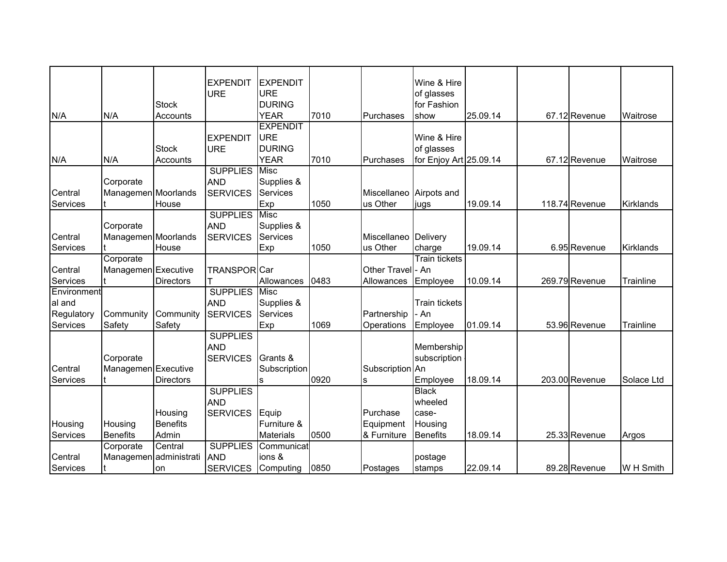|             |                        |                  | <b>EXPENDIT</b>               | <b>EXPENDIT</b>  |      |                         | Wine & Hire            |          |                |            |
|-------------|------------------------|------------------|-------------------------------|------------------|------|-------------------------|------------------------|----------|----------------|------------|
|             |                        |                  | <b>URE</b>                    | <b>URE</b>       |      |                         | of glasses             |          |                |            |
|             |                        | <b>Stock</b>     |                               | <b>DURING</b>    |      |                         | for Fashion            |          |                |            |
| N/A         | N/A                    | Accounts         |                               | <b>YEAR</b>      | 7010 | Purchases               | show                   | 25.09.14 | 67.12 Revenue  | Waitrose   |
|             |                        |                  |                               | <b>EXPENDIT</b>  |      |                         |                        |          |                |            |
|             |                        |                  | <b>EXPENDIT</b>               | URE              |      |                         | Wine & Hire            |          |                |            |
|             |                        | <b>Stock</b>     | <b>URE</b>                    | <b>DURING</b>    |      |                         | of glasses             |          |                |            |
| N/A         | N/A                    | Accounts         |                               | <b>YEAR</b>      | 7010 | Purchases               | for Enjoy Art 25.09.14 |          | 67.12 Revenue  | Waitrose   |
|             |                        |                  | <b>SUPPLIES</b>               | <b>Misc</b>      |      |                         |                        |          |                |            |
|             | Corporate              |                  | <b>AND</b>                    | Supplies &       |      |                         |                        |          |                |            |
| Central     | Managemen Moorlands    |                  | <b>SERVICES</b>               | <b>Services</b>  |      | Miscellaneo Airpots and |                        |          |                |            |
| Services    |                        | House            |                               | Exp              | 1050 | us Other                | jugs                   | 19.09.14 | 118.74 Revenue | Kirklands  |
|             |                        |                  | <b>SUPPLIES</b>               | <b>Misc</b>      |      |                         |                        |          |                |            |
|             | Corporate              |                  | <b>AND</b>                    | Supplies &       |      |                         |                        |          |                |            |
| Central     | Managemen Moorlands    |                  | <b>SERVICES</b>               | <b>Services</b>  |      | Miscellaneo Delivery    |                        |          |                |            |
| Services    |                        | House            |                               | Exp              | 1050 | us Other                | charge                 | 19.09.14 | 6.95 Revenue   | Kirklands  |
|             | Corporate              |                  |                               |                  |      |                         | <b>Train tickets</b>   |          |                |            |
| Central     | Managemen Executive    |                  | <b>TRANSPORCar</b>            |                  |      | Other Travel - An       |                        |          |                |            |
| Services    |                        | <b>Directors</b> |                               | Allowances       | 0483 | Allowances              | Employee               | 10.09.14 | 269.79 Revenue | Trainline  |
| Environment |                        |                  | <b>SUPPLIES</b>               | <b>Misc</b>      |      |                         |                        |          |                |            |
| al and      |                        |                  | <b>AND</b>                    | Supplies &       |      |                         | <b>Train tickets</b>   |          |                |            |
| Regulatory  | Community              | Community        | <b>SERVICES</b>               | <b>Services</b>  |      | Partnership             | - An                   |          |                |            |
| Services    | Safety                 | Safety           |                               | Exp              | 1069 | Operations              | Employee               | 01.09.14 | 53.96 Revenue  | Trainline  |
|             |                        |                  | <b>SUPPLIES</b><br><b>AND</b> |                  |      |                         | Membership             |          |                |            |
|             | Corporate              |                  | <b>SERVICES</b>               | Grants &         |      |                         | subscription           |          |                |            |
| Central     | Managemen Executive    |                  |                               | Subscription     |      | Subscription An         |                        |          |                |            |
| Services    |                        | <b>Directors</b> |                               |                  | 0920 | s                       | Employee               | 18.09.14 | 203.00 Revenue | Solace Ltd |
|             |                        |                  | <b>SUPPLIES</b>               |                  |      |                         | <b>Black</b>           |          |                |            |
|             |                        |                  | <b>AND</b>                    |                  |      |                         | wheeled                |          |                |            |
|             |                        | Housing          | <b>SERVICES</b>               | Equip            |      | Purchase                | case-                  |          |                |            |
| Housing     | Housing                | <b>Benefits</b>  |                               | Furniture &      |      | Equipment               | Housing                |          |                |            |
| Services    | <b>Benefits</b>        | Admin            |                               | <b>Materials</b> | 0500 | & Furniture             | <b>Benefits</b>        | 18.09.14 | 25.33 Revenue  | Argos      |
|             | Corporate              | Central          | <b>SUPPLIES</b>               | Communicat       |      |                         |                        |          |                |            |
| Central     | Managemen administrati |                  | <b>AND</b>                    | ions &           |      |                         | postage                |          |                |            |
| Services    |                        | on               | <b>SERVICES</b>               | Computing        | 0850 | Postages                | stamps                 | 22.09.14 | 89.28 Revenue  | W H Smith  |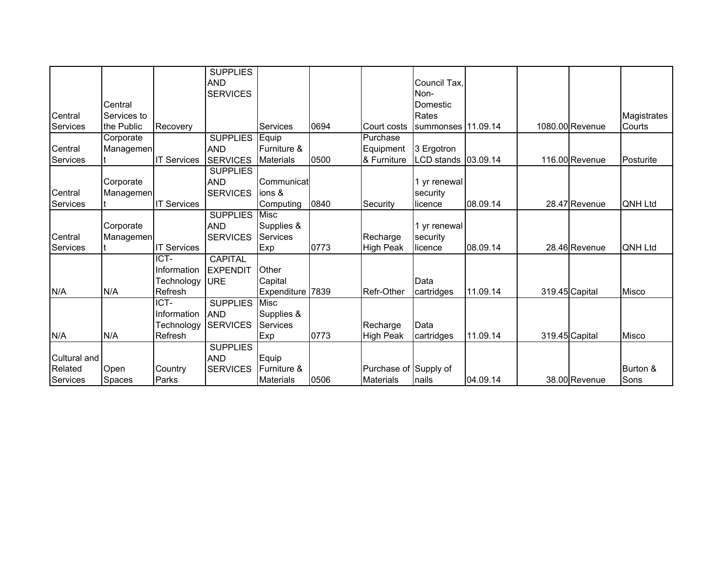|                 |               |                    | <b>SUPPLIES</b> |                  |      |                       |                     |          |                 |              |
|-----------------|---------------|--------------------|-----------------|------------------|------|-----------------------|---------------------|----------|-----------------|--------------|
|                 |               |                    | <b>AND</b>      |                  |      |                       | Council Tax,        |          |                 |              |
|                 |               |                    | <b>SERVICES</b> |                  |      |                       | Non-                |          |                 |              |
|                 | Central       |                    |                 |                  |      |                       | Domestic            |          |                 |              |
| Central         | Services to   |                    |                 |                  |      |                       | Rates               |          |                 | Magistrates  |
| Services        | the Public    | Recovery           |                 | Services         | 0694 | Court costs           | summonses 11.09.14  |          | 1080.00 Revenue | Courts       |
|                 | Corporate     |                    | <b>SUPPLIES</b> | Equip            |      | Purchase              |                     |          |                 |              |
| Central         | Managemen     |                    | <b>AND</b>      | Furniture &      |      | Equipment             | 3 Ergotron          |          |                 |              |
| <b>Services</b> |               | <b>IT Services</b> | <b>SERVICES</b> | <b>Materials</b> | 0500 | & Furniture           | LCD stands 03.09.14 |          | 116.00 Revenue  | Posturite    |
|                 |               |                    | <b>SUPPLIES</b> |                  |      |                       |                     |          |                 |              |
|                 | Corporate     |                    | <b>AND</b>      | Communicat       |      |                       | yr renewal          |          |                 |              |
| Central         | Managemen     |                    | <b>SERVICES</b> | ions &           |      |                       | security            |          |                 |              |
| Services        |               | <b>IT Services</b> |                 | Computing        | 0840 | Security              | licence             | 08.09.14 | 28.47 Revenue   | QNH Ltd      |
|                 |               |                    | <b>SUPPLIES</b> | <b>Misc</b>      |      |                       |                     |          |                 |              |
|                 | Corporate     |                    | <b>AND</b>      | Supplies &       |      |                       | yr renewal          |          |                 |              |
| Central         | Managemen     |                    | <b>SERVICES</b> | <b>Services</b>  |      | Recharge              | security            |          |                 |              |
| Services        |               | <b>IT Services</b> |                 | <b>Exp</b>       | 0773 | <b>High Peak</b>      | licence             | 08.09.14 | 28.46 Revenue   | QNH Ltd      |
|                 |               | ICT-               | <b>CAPITAL</b>  |                  |      |                       |                     |          |                 |              |
|                 |               | Information        | <b>EXPENDIT</b> | Other            |      |                       |                     |          |                 |              |
|                 |               | Technology         | <b>IURE</b>     | Capital          |      |                       | Data                |          |                 |              |
| N/A             | N/A           | Refresh            |                 | Expenditure 7839 |      | Refr-Other            | cartridges          | 11.09.14 | 319.45 Capital  | <b>Misco</b> |
|                 |               | ICT-               | <b>SUPPLIES</b> | <b>Misc</b>      |      |                       |                     |          |                 |              |
|                 |               | Information        | <b>AND</b>      | Supplies &       |      |                       |                     |          |                 |              |
|                 |               | Technology         | <b>SERVICES</b> | <b>Services</b>  |      | Recharge              | Data                |          |                 |              |
| N/A             | N/A           | Refresh            |                 | Exp              | 0773 | <b>High Peak</b>      | cartridges          | 11.09.14 | 319.45 Capital  | Misco        |
|                 |               |                    | <b>SUPPLIES</b> |                  |      |                       |                     |          |                 |              |
| Cultural and    |               |                    | <b>AND</b>      | Equip            |      |                       |                     |          |                 |              |
| Related         | Open          | Country            | <b>SERVICES</b> | Furniture &      |      | Purchase of Supply of |                     |          |                 | Burton &     |
| Services        | <b>Spaces</b> | Parks              |                 | <b>Materials</b> | 0506 | Materials             | nails               | 04.09.14 | 38.00 Revenue   | Sons         |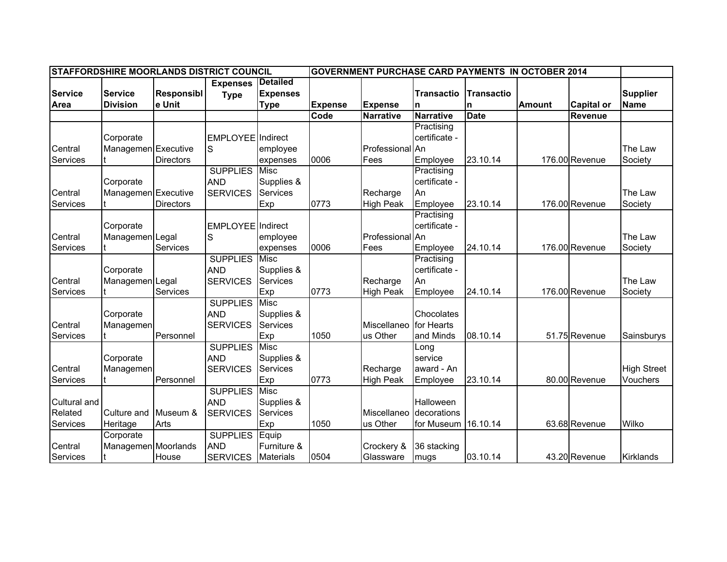| STAFFORDSHIRE MOORLANDS DISTRICT COUNCIL<br><b>GOVERNMENT PURCHASE CARD PAYMENTS IN OCTOBER 2014</b> |                     |                   |                          |                  |                |                  |                   |             |               |                   |                    |
|------------------------------------------------------------------------------------------------------|---------------------|-------------------|--------------------------|------------------|----------------|------------------|-------------------|-------------|---------------|-------------------|--------------------|
|                                                                                                      |                     |                   | <b>Expenses</b>          | <b>Detailed</b>  |                |                  |                   |             |               |                   |                    |
| <b>Service</b>                                                                                       | <b>Service</b>      | <b>Responsibl</b> | <b>Type</b>              | <b>Expenses</b>  |                |                  | <b>Transactio</b> | Transactio  |               |                   | <b>Supplier</b>    |
| Area                                                                                                 | <b>Division</b>     | e Unit            |                          | <b>Type</b>      | <b>Expense</b> | <b>Expense</b>   | n                 | n           | <b>Amount</b> | <b>Capital or</b> | <b>Name</b>        |
|                                                                                                      |                     |                   |                          |                  | Code           | <b>Narrative</b> | <b>Narrative</b>  | <b>Date</b> |               | Revenue           |                    |
|                                                                                                      |                     |                   |                          |                  |                |                  | Practising        |             |               |                   |                    |
|                                                                                                      | Corporate           |                   | <b>EMPLOYEE</b> Indirect |                  |                |                  | certificate -     |             |               |                   |                    |
| Central                                                                                              | Managemen Executive |                   | S                        | employee         |                | Professional An  |                   |             |               |                   | The Law            |
| Services                                                                                             |                     | <b>Directors</b>  |                          | expenses         | 0006           | Fees             | Employee          | 23.10.14    |               | 176.00 Revenue    | Society            |
|                                                                                                      |                     |                   | <b>SUPPLIES</b>          | <b>Misc</b>      |                |                  | Practising        |             |               |                   |                    |
|                                                                                                      | Corporate           |                   | <b>AND</b>               | Supplies &       |                |                  | certificate -     |             |               |                   |                    |
| Central                                                                                              | Managemen Executive |                   | <b>SERVICES</b>          | <b>Services</b>  |                | Recharge         | An                |             |               |                   | The Law            |
| Services                                                                                             |                     | Directors         |                          | Exp              | 0773           | <b>High Peak</b> | Employee          | 23.10.14    |               | 176.00 Revenue    | Society            |
|                                                                                                      |                     |                   |                          |                  |                |                  | Practising        |             |               |                   |                    |
|                                                                                                      | Corporate           |                   | EMPLOYEE Indirect        |                  |                |                  | certificate -     |             |               |                   |                    |
| Central                                                                                              | Managemen Legal     |                   | S                        | employee         |                | Professional An  |                   |             |               |                   | The Law            |
| Services                                                                                             |                     | Services          |                          | expenses         | 0006           | Fees             | Employee          | 24.10.14    |               | 176.00 Revenue    | Society            |
|                                                                                                      |                     |                   | <b>SUPPLIES</b>          | Misc             |                |                  | Practising        |             |               |                   |                    |
|                                                                                                      | Corporate           |                   | <b>AND</b>               | Supplies &       |                |                  | certificate -     |             |               |                   |                    |
| Central                                                                                              | Managemen Legal     |                   | <b>SERVICES</b>          | <b>Services</b>  |                | Recharge         | An                |             |               |                   | The Law            |
| Services                                                                                             |                     | Services          |                          | Exp              | 0773           | High Peak        | Employee          | 24.10.14    |               | 176.00 Revenue    | Society            |
|                                                                                                      |                     |                   | <b>SUPPLIES</b>          | Misc             |                |                  |                   |             |               |                   |                    |
|                                                                                                      | Corporate           |                   | <b>AND</b>               | Supplies &       |                |                  | Chocolates        |             |               |                   |                    |
| Central                                                                                              | Managemen           |                   | <b>SERVICES</b>          | <b>Services</b>  |                | Miscellaneo      | for Hearts        |             |               |                   |                    |
| Services                                                                                             |                     | Personnel         |                          | Exp              | 1050           | us Other         | and Minds         | 08.10.14    |               | 51.75 Revenue     | Sainsburys         |
|                                                                                                      |                     |                   | <b>SUPPLIES</b>          | <b>Misc</b>      |                |                  | Long              |             |               |                   |                    |
|                                                                                                      | Corporate           |                   | <b>AND</b>               | Supplies &       |                |                  | service           |             |               |                   |                    |
| Central                                                                                              | Managemen           |                   | <b>SERVICES</b>          | Services         |                | Recharge         | award - An        |             |               |                   | <b>High Street</b> |
| Services                                                                                             |                     | Personnel         |                          | Exp              | 0773           | <b>High Peak</b> | Employee          | 23.10.14    |               | 80.00 Revenue     | Vouchers           |
|                                                                                                      |                     |                   | <b>SUPPLIES</b>          | <b>Misc</b>      |                |                  |                   |             |               |                   |                    |
| Cultural and                                                                                         |                     |                   | <b>AND</b>               | Supplies &       |                |                  | Halloween         |             |               |                   |                    |
| Related                                                                                              | Culture and         | Museum &          | <b>SERVICES</b>          | Services         |                | Miscellaneo      | decorations       |             |               |                   |                    |
| Services                                                                                             | Heritage            | Arts              |                          | Exp              | 1050           | us Other         | for Museum        | 16.10.14    |               | 63.68 Revenue     | Wilko              |
|                                                                                                      | Corporate           |                   | <b>SUPPLIES</b>          | Equip            |                |                  |                   |             |               |                   |                    |
| Central                                                                                              | Managemen Moorlands |                   | <b>AND</b>               | Furniture &      |                | Crockery &       | 36 stacking       |             |               |                   |                    |
| Services                                                                                             |                     | House             | <b>SERVICES</b>          | <b>Materials</b> | 0504           | Glassware        | mugs              | 03.10.14    |               | 43.20 Revenue     | Kirklands          |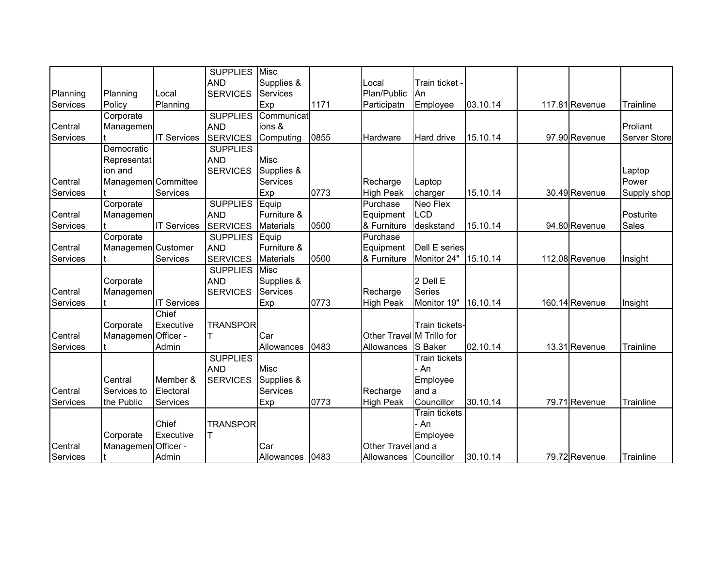|          |                     |                    | <b>SUPPLIES</b>       | <b>Misc</b>      |      |                           |                      |          |                |              |
|----------|---------------------|--------------------|-----------------------|------------------|------|---------------------------|----------------------|----------|----------------|--------------|
|          |                     |                    | <b>AND</b>            | Supplies &       |      | Local                     | Train ticket -       |          |                |              |
| Planning | Planning            | Local              | <b>SERVICES</b>       | Services         |      | Plan/Public               | An                   |          |                |              |
| Services | Policy              | Planning           |                       | Exp              | 1171 | Participatn               | Employee             | 03.10.14 | 117.81 Revenue | Trainline    |
|          | Corporate           |                    | <b>SUPPLIES</b>       | Communicat       |      |                           |                      |          |                |              |
| Central  | Managemen           |                    | <b>AND</b>            | ions &           |      |                           |                      |          |                | Proliant     |
| Services |                     | <b>IT Services</b> | <b>SERVICES</b>       | Computing        | 0855 | Hardware                  | Hard drive           | 15.10.14 | 97.90 Revenue  | Server Store |
|          | Democratic          |                    | <b>SUPPLIES</b>       |                  |      |                           |                      |          |                |              |
|          | Representat         |                    | <b>AND</b>            | Misc             |      |                           |                      |          |                |              |
|          | ion and             |                    | <b>SERVICES</b>       | Supplies &       |      |                           |                      |          |                | Laptop       |
| Central  | Managemen Committee |                    |                       | Services         |      | Recharge                  | Laptop               |          |                | Power        |
| Services |                     | Services           |                       | Exp              | 0773 | <b>High Peak</b>          | charger              | 15.10.14 | 30.49 Revenue  | Supply shop  |
|          | Corporate           |                    | <b>SUPPLIES Equip</b> |                  |      | Purchase                  | <b>Neo Flex</b>      |          |                |              |
| Central  | Managemen           |                    | <b>AND</b>            | Furniture &      |      | Equipment                 | <b>LCD</b>           |          |                | Posturite    |
| Services |                     | <b>IT Services</b> | <b>SERVICES</b>       | <b>Materials</b> | 0500 | & Furniture               | deskstand            | 15.10.14 | 94.80 Revenue  | <b>Sales</b> |
|          | Corporate           |                    | <b>SUPPLIES</b>       | Equip            |      | Purchase                  |                      |          |                |              |
| Central  | Managemen Customer  |                    | <b>AND</b>            | Furniture &      |      | Equipment                 | Dell E series        |          |                |              |
| Services |                     | Services           | <b>SERVICES</b>       | <b>Materials</b> | 0500 | & Furniture               | Monitor 24"          | 15.10.14 | 112.08 Revenue | Insight      |
|          |                     |                    | <b>SUPPLIES</b>       | <b>Misc</b>      |      |                           |                      |          |                |              |
|          | Corporate           |                    | <b>AND</b>            | Supplies &       |      |                           | 2 Dell E             |          |                |              |
| Central  | Managemen           |                    | <b>SERVICES</b>       | Services         |      | Recharge                  | <b>Series</b>        |          |                |              |
| Services |                     | <b>IT Services</b> |                       | Exp              | 0773 | <b>High Peak</b>          | Monitor 19"          | 16.10.14 | 160.14 Revenue | Insight      |
|          |                     | Chief              |                       |                  |      |                           |                      |          |                |              |
|          | Corporate           | Executive          | <b>TRANSPOR</b>       |                  |      |                           | Train tickets-       |          |                |              |
| Central  | Managemen Officer - |                    | Iт                    | Car              |      | Other Travel M Trillo for |                      |          |                |              |
| Services |                     | Admin              |                       | Allowances       | 0483 | Allowances                | S Baker              | 02.10.14 | 13.31 Revenue  | Trainline    |
|          |                     |                    | <b>SUPPLIES</b>       |                  |      |                           | <b>Train tickets</b> |          |                |              |
|          |                     |                    | <b>AND</b>            | <b>Misc</b>      |      |                           | - An                 |          |                |              |
|          | Central             | Member &           | <b>SERVICES</b>       | Supplies &       |      |                           | Employee             |          |                |              |
| Central  | Services to         | Electoral          |                       | Services         |      | Recharge                  | and a                |          |                |              |
| Services | the Public          | <b>Services</b>    |                       | Exp              | 0773 | High Peak                 | Councillor           | 30.10.14 | 79.71 Revenue  | Trainline    |
|          |                     |                    |                       |                  |      |                           | <b>Train tickets</b> |          |                |              |
|          |                     | Chief              | <b>TRANSPOR</b>       |                  |      |                           | - An                 |          |                |              |
|          | Corporate           | Executive          |                       |                  |      |                           | Employee             |          |                |              |
| Central  | Managemen Officer - |                    |                       | Car              |      | Other Travelland a        |                      |          |                |              |
| Services |                     | Admin              |                       | Allowances       | 0483 | Allowances                | Councillor           | 30.10.14 | 79.72 Revenue  | Trainline    |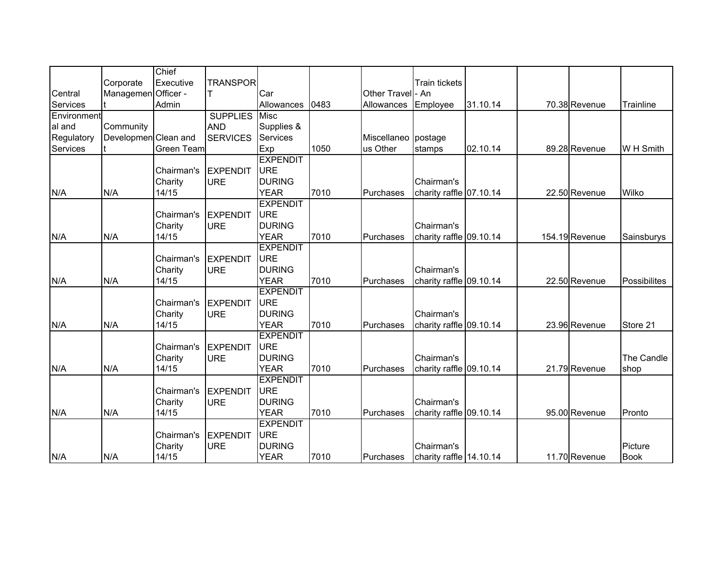|             |                      | Chief      |                 |                 |      |                     |                         |          |                |              |
|-------------|----------------------|------------|-----------------|-----------------|------|---------------------|-------------------------|----------|----------------|--------------|
|             | Corporate            | Executive  | <b>TRANSPOR</b> |                 |      |                     | Train tickets           |          |                |              |
| Central     | Managemen Officer -  |            |                 | Car             |      | Other Travel - An   |                         |          |                |              |
| Services    |                      | Admin      |                 | Allowances      | 0483 | Allowances          | Employee                | 31.10.14 | 70.38 Revenue  | Trainline    |
| Environment |                      |            | <b>SUPPLIES</b> | <b>Misc</b>     |      |                     |                         |          |                |              |
| al and      | Community            |            | <b>AND</b>      | Supplies &      |      |                     |                         |          |                |              |
| Regulatory  | Developmen Clean and |            | <b>SERVICES</b> | <b>Services</b> |      | Miscellaneo postage |                         |          |                |              |
| Services    |                      | Green Team |                 | Exp             | 1050 | us Other            | stamps                  | 02.10.14 | 89.28 Revenue  | W H Smith    |
|             |                      |            |                 | <b>EXPENDIT</b> |      |                     |                         |          |                |              |
|             |                      | Chairman's | <b>EXPENDIT</b> | <b>URE</b>      |      |                     |                         |          |                |              |
|             |                      | Charity    | <b>URE</b>      | <b>DURING</b>   |      |                     | Chairman's              |          |                |              |
| N/A         | N/A                  | 14/15      |                 | <b>YEAR</b>     | 7010 | Purchases           | charity raffle 07.10.14 |          | 22.50 Revenue  | Wilko        |
|             |                      |            |                 | <b>EXPENDIT</b> |      |                     |                         |          |                |              |
|             |                      | Chairman's | <b>EXPENDIT</b> | <b>URE</b>      |      |                     |                         |          |                |              |
|             |                      | Charity    | <b>URE</b>      | <b>DURING</b>   |      |                     | Chairman's              |          |                |              |
| N/A         | N/A                  | 14/15      |                 | <b>YEAR</b>     | 7010 | Purchases           | charity raffle 09.10.14 |          | 154.19 Revenue | Sainsburys   |
|             |                      |            |                 | <b>EXPENDIT</b> |      |                     |                         |          |                |              |
|             |                      | Chairman's | <b>EXPENDIT</b> | <b>URE</b>      |      |                     |                         |          |                |              |
|             |                      | Charity    | <b>URE</b>      | <b>DURING</b>   |      |                     | Chairman's              |          |                |              |
| N/A         | N/A                  | 14/15      |                 | <b>YEAR</b>     | 7010 | Purchases           | charity raffle 09.10.14 |          | 22.50 Revenue  | Possibilites |
|             |                      |            |                 | <b>EXPENDIT</b> |      |                     |                         |          |                |              |
|             |                      | Chairman's | <b>EXPENDIT</b> | URE             |      |                     |                         |          |                |              |
|             |                      | Charity    | <b>URE</b>      | <b>DURING</b>   |      |                     | Chairman's              |          |                |              |
| N/A         | N/A                  | 14/15      |                 | <b>YEAR</b>     | 7010 | Purchases           | charity raffle 09.10.14 |          | 23.96 Revenue  | Store 21     |
|             |                      |            |                 | <b>EXPENDIT</b> |      |                     |                         |          |                |              |
|             |                      | Chairman's | <b>EXPENDIT</b> | <b>URE</b>      |      |                     |                         |          |                |              |
|             |                      | Charity    | <b>URE</b>      | <b>DURING</b>   |      |                     | Chairman's              |          |                | The Candle   |
| N/A         | N/A                  | 14/15      |                 | <b>YEAR</b>     | 7010 | Purchases           | charity raffle 09.10.14 |          | 21.79 Revenue  | shop         |
|             |                      |            |                 | <b>EXPENDIT</b> |      |                     |                         |          |                |              |
|             |                      | Chairman's | EXPENDIT        | <b>URE</b>      |      |                     |                         |          |                |              |
|             |                      | Charity    | <b>URE</b>      | <b>DURING</b>   |      |                     | Chairman's              |          |                |              |
| N/A         | N/A                  | 14/15      |                 | <b>YEAR</b>     | 7010 | Purchases           | charity raffle 09.10.14 |          | 95.00 Revenue  | Pronto       |
|             |                      |            |                 | <b>EXPENDIT</b> |      |                     |                         |          |                |              |
|             |                      | Chairman's | <b>EXPENDIT</b> | <b>URE</b>      |      |                     |                         |          |                |              |
|             |                      | Charity    | <b>URE</b>      | <b>DURING</b>   |      |                     | Chairman's              |          |                | Picture      |
| N/A         | N/A                  | 14/15      |                 | <b>YEAR</b>     | 7010 | Purchases           | charity raffle 14.10.14 |          | 11.70 Revenue  | <b>Book</b>  |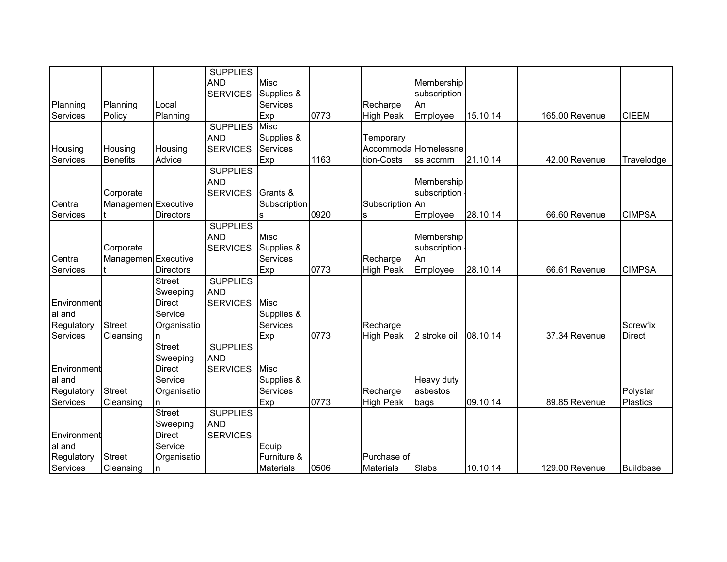|             |                     |                  | <b>SUPPLIES</b> |                  |      |                  |                      |          |                |                  |
|-------------|---------------------|------------------|-----------------|------------------|------|------------------|----------------------|----------|----------------|------------------|
|             |                     |                  | <b>AND</b>      | <b>Misc</b>      |      |                  | Membership           |          |                |                  |
|             |                     |                  | <b>SERVICES</b> | Supplies &       |      |                  | subscription         |          |                |                  |
| Planning    | Planning            | Local            |                 | Services         |      | Recharge         | An                   |          |                |                  |
| Services    | Policy              | Planning         |                 | Exp              | 0773 | <b>High Peak</b> | Employee             | 15.10.14 | 165.00 Revenue | <b>CIEEM</b>     |
|             |                     |                  | <b>SUPPLIES</b> | <b>Misc</b>      |      |                  |                      |          |                |                  |
|             |                     |                  | <b>AND</b>      | Supplies &       |      | Temporary        |                      |          |                |                  |
| Housing     | Housing             | Housing          | <b>SERVICES</b> | Services         |      |                  | Accommoda Homelessne |          |                |                  |
| Services    | <b>Benefits</b>     | Advice           |                 | Exp              | 1163 | tion-Costs       | ss accmm             | 21.10.14 | 42.00 Revenue  | Travelodge       |
|             |                     |                  | <b>SUPPLIES</b> |                  |      |                  |                      |          |                |                  |
|             |                     |                  | <b>AND</b>      |                  |      |                  | Membership           |          |                |                  |
|             | Corporate           |                  | <b>SERVICES</b> | Grants &         |      |                  | subscription         |          |                |                  |
| Central     | Managemen Executive |                  |                 | Subscription     |      | Subscription An  |                      |          |                |                  |
| Services    |                     | <b>Directors</b> |                 | s                | 0920 | s                | Employee             | 28.10.14 | 66.60 Revenue  | <b>CIMPSA</b>    |
|             |                     |                  | <b>SUPPLIES</b> |                  |      |                  |                      |          |                |                  |
|             |                     |                  | <b>AND</b>      | <b>Misc</b>      |      |                  | Membership           |          |                |                  |
|             | Corporate           |                  | <b>SERVICES</b> | Supplies &       |      |                  | subscription         |          |                |                  |
| Central     | Managemen Executive |                  |                 | <b>Services</b>  |      | Recharge         | An                   |          |                |                  |
| Services    |                     | <b>Directors</b> |                 | Exp              | 0773 | <b>High Peak</b> | Employee             | 28.10.14 | 66.61 Revenue  | <b>CIMPSA</b>    |
|             |                     | <b>Street</b>    | <b>SUPPLIES</b> |                  |      |                  |                      |          |                |                  |
|             |                     | Sweeping         | <b>AND</b>      |                  |      |                  |                      |          |                |                  |
| Environment |                     | <b>Direct</b>    | <b>SERVICES</b> | <b>Misc</b>      |      |                  |                      |          |                |                  |
| al and      |                     | Service          |                 | Supplies &       |      |                  |                      |          |                |                  |
| Regulatory  | <b>Street</b>       | Organisatio      |                 | Services         |      | Recharge         |                      |          |                | Screwfix         |
| Services    | Cleansing           | n                |                 | Exp              | 0773 | <b>High Peak</b> | 2 stroke oil         | 08.10.14 | 37.34 Revenue  | <b>Direct</b>    |
|             |                     | Street           | <b>SUPPLIES</b> |                  |      |                  |                      |          |                |                  |
|             |                     | Sweeping         | <b>AND</b>      |                  |      |                  |                      |          |                |                  |
| Environment |                     | Direct           | <b>SERVICES</b> | <b>Misc</b>      |      |                  |                      |          |                |                  |
| al and      |                     | Service          |                 | Supplies &       |      |                  | Heavy duty           |          |                |                  |
| Regulatory  | <b>Street</b>       | Organisatio      |                 | Services         |      | Recharge         | asbestos             |          |                | Polystar         |
| Services    | Cleansing           | n                |                 | Exp              | 0773 | <b>High Peak</b> | bags                 | 09.10.14 | 89.85 Revenue  | <b>Plastics</b>  |
|             |                     | <b>Street</b>    | <b>SUPPLIES</b> |                  |      |                  |                      |          |                |                  |
|             |                     | Sweeping         | <b>AND</b>      |                  |      |                  |                      |          |                |                  |
| Environment |                     | Direct           | <b>SERVICES</b> |                  |      |                  |                      |          |                |                  |
| al and      |                     | Service          |                 | Equip            |      |                  |                      |          |                |                  |
| Regulatory  | <b>Street</b>       | Organisatio      |                 | Furniture &      |      | Purchase of      |                      |          |                |                  |
| Services    | Cleansing           | n                |                 | <b>Materials</b> | 0506 | <b>Materials</b> | Slabs                | 10.10.14 | 129.00 Revenue | <b>Buildbase</b> |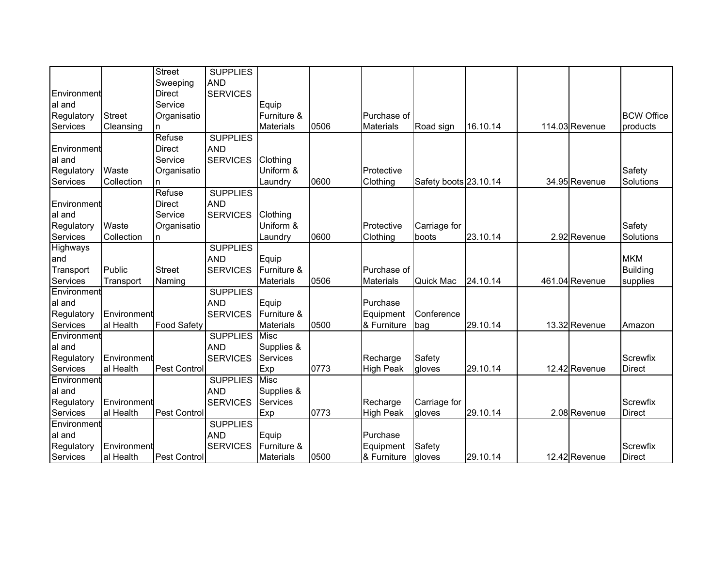|                 |               | <b>Street</b>       | <b>SUPPLIES</b> |                  |      |                  |                       |          |                |                   |
|-----------------|---------------|---------------------|-----------------|------------------|------|------------------|-----------------------|----------|----------------|-------------------|
|                 |               | Sweeping            | <b>AND</b>      |                  |      |                  |                       |          |                |                   |
| Environment     |               | <b>Direct</b>       | <b>SERVICES</b> |                  |      |                  |                       |          |                |                   |
| al and          |               | Service             |                 | Equip            |      |                  |                       |          |                |                   |
| Regulatory      | <b>Street</b> | Organisatio         |                 | Furniture &      |      | Purchase of      |                       |          |                | <b>BCW Office</b> |
| Services        | Cleansing     | n                   |                 | <b>Materials</b> | 0506 | <b>Materials</b> | Road sign             | 16.10.14 | 114.03 Revenue | products          |
|                 |               | Refuse              | <b>SUPPLIES</b> |                  |      |                  |                       |          |                |                   |
| Environment     |               | <b>Direct</b>       | <b>AND</b>      |                  |      |                  |                       |          |                |                   |
| al and          |               | Service             | <b>SERVICES</b> | Clothing         |      |                  |                       |          |                |                   |
| Regulatory      | Waste         | Organisatio         |                 | Uniform &        |      | Protective       |                       |          |                | Safety            |
| Services        | Collection    | n                   |                 | Laundry          | 0600 | Clothing         | Safety boots 23.10.14 |          | 34.95 Revenue  | Solutions         |
|                 |               | Refuse              | <b>SUPPLIES</b> |                  |      |                  |                       |          |                |                   |
| Environment     |               | Direct              | <b>AND</b>      |                  |      |                  |                       |          |                |                   |
| al and          |               | Service             | <b>SERVICES</b> | Clothing         |      |                  |                       |          |                |                   |
| Regulatory      | Waste         | Organisatio         |                 | Uniform &        |      | Protective       | Carriage for          |          |                | Safety            |
| Services        | Collection    | n                   |                 | Laundry          | 0600 | Clothing         | boots                 | 23.10.14 | 2.92 Revenue   | Solutions         |
| <b>Highways</b> |               |                     | <b>SUPPLIES</b> |                  |      |                  |                       |          |                |                   |
| and             |               |                     | <b>AND</b>      | Equip            |      |                  |                       |          |                | <b>MKM</b>        |
| Transport       | Public        | <b>Street</b>       | <b>SERVICES</b> | Furniture &      |      | Purchase of      |                       |          |                | <b>Building</b>   |
| Services        | Transport     | Naming              |                 | <b>Materials</b> | 0506 | <b>Materials</b> | Quick Mac             | 24.10.14 | 461.04 Revenue | supplies          |
| Environment     |               |                     | <b>SUPPLIES</b> |                  |      |                  |                       |          |                |                   |
| al and          |               |                     | <b>AND</b>      | Equip            |      | Purchase         |                       |          |                |                   |
| Regulatory      | Environment   |                     | <b>SERVICES</b> | Furniture &      |      | Equipment        | Conference            |          |                |                   |
| Services        | al Health     | Food Safety         |                 | <b>Materials</b> | 0500 | & Furniture      | bag                   | 29.10.14 | 13.32 Revenue  | Amazon            |
| Environment     |               |                     | <b>SUPPLIES</b> | <b>Misc</b>      |      |                  |                       |          |                |                   |
| al and          |               |                     | <b>AND</b>      | Supplies &       |      |                  |                       |          |                |                   |
| Regulatory      | Environment   |                     | <b>SERVICES</b> | Services         |      | Recharge         | Safety                |          |                | Screwfix          |
| Services        | al Health     | Pest Control        |                 | Exp              | 0773 | <b>High Peak</b> | gloves                | 29.10.14 | 12.42 Revenue  | <b>Direct</b>     |
| Environment     |               |                     | <b>SUPPLIES</b> | <b>Misc</b>      |      |                  |                       |          |                |                   |
| lal and         |               |                     | <b>AND</b>      | Supplies &       |      |                  |                       |          |                |                   |
| Regulatory      | Environment   |                     | <b>SERVICES</b> | Services         |      | Recharge         | Carriage for          |          |                | Screwfix          |
| Services        | al Health     | Pest Control        |                 | Exp              | 0773 | <b>High Peak</b> | gloves                | 29.10.14 | 2.08 Revenue   | <b>Direct</b>     |
| Environment     |               |                     | <b>SUPPLIES</b> |                  |      |                  |                       |          |                |                   |
| al and          |               |                     | <b>AND</b>      | Equip            |      | Purchase         |                       |          |                |                   |
| Regulatory      | Environment   |                     | <b>SERVICES</b> | Furniture &      |      | Equipment        | Safety                |          |                | Screwfix          |
| Services        | al Health     | <b>Pest Control</b> |                 | <b>Materials</b> | 0500 | & Furniture      | gloves                | 29.10.14 | 12.42 Revenue  | <b>Direct</b>     |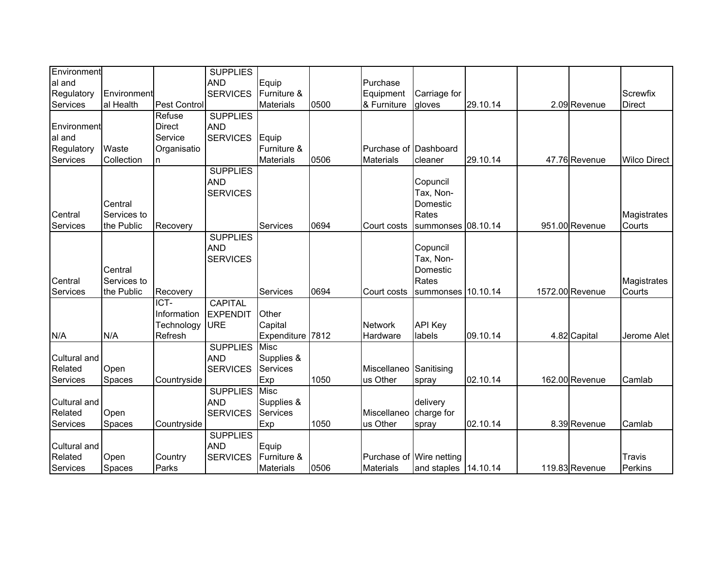| Environment  |             |              | <b>SUPPLIES</b> |                  |      |                          |                      |          |                 |                     |
|--------------|-------------|--------------|-----------------|------------------|------|--------------------------|----------------------|----------|-----------------|---------------------|
| al and       |             |              | <b>AND</b>      | Equip            |      | Purchase                 |                      |          |                 |                     |
| Regulatory   | Environment |              | <b>SERVICES</b> | Furniture &      |      | Equipment                | Carriage for         |          |                 | Screwfix            |
| Services     | al Health   | Pest Control |                 | <b>Materials</b> | 0500 | & Furniture              | gloves               | 29.10.14 | 2.09 Revenue    | <b>Direct</b>       |
|              |             | Refuse       | <b>SUPPLIES</b> |                  |      |                          |                      |          |                 |                     |
| Environment  |             | Direct       | <b>AND</b>      |                  |      |                          |                      |          |                 |                     |
| al and       |             | Service      | <b>SERVICES</b> | Equip            |      |                          |                      |          |                 |                     |
| Regulatory   | Waste       | Organisatio  |                 | Furniture &      |      | Purchase of Dashboard    |                      |          |                 |                     |
| Services     | Collection  | n.           |                 | <b>Materials</b> | 0506 | <b>Materials</b>         | cleaner              | 29.10.14 | 47.76 Revenue   | <b>Wilco Direct</b> |
|              |             |              | <b>SUPPLIES</b> |                  |      |                          |                      |          |                 |                     |
|              |             |              | <b>AND</b>      |                  |      |                          | Copuncil             |          |                 |                     |
|              |             |              | <b>SERVICES</b> |                  |      |                          | Tax, Non-            |          |                 |                     |
|              | Central     |              |                 |                  |      |                          | Domestic             |          |                 |                     |
| Central      | Services to |              |                 |                  |      |                          | Rates                |          |                 | Magistrates         |
| Services     | the Public  | Recovery     |                 | <b>Services</b>  | 0694 | Court costs              | summonses 08.10.14   |          | 951.00 Revenue  | Courts              |
|              |             |              | <b>SUPPLIES</b> |                  |      |                          |                      |          |                 |                     |
|              |             |              | <b>AND</b>      |                  |      |                          | Copuncil             |          |                 |                     |
|              |             |              | <b>SERVICES</b> |                  |      |                          | Tax, Non-            |          |                 |                     |
|              | Central     |              |                 |                  |      |                          | Domestic             |          |                 |                     |
| Central      | Services to |              |                 |                  |      |                          | Rates                |          |                 | Magistrates         |
| Services     | the Public  | Recovery     |                 | Services         | 0694 | Court costs              | summonses 10.10.14   |          | 1572.00 Revenue | Courts              |
|              |             | ICT-         | <b>CAPITAL</b>  |                  |      |                          |                      |          |                 |                     |
|              |             | Information  | <b>EXPENDIT</b> | Other            |      |                          |                      |          |                 |                     |
|              |             | Technology   | <b>URE</b>      | Capital          |      | <b>Network</b>           | <b>API Key</b>       |          |                 |                     |
| N/A          | N/A         | Refresh      |                 | Expenditure      | 7812 | Hardware                 | labels               | 09.10.14 | 4.82 Capital    | Jerome Alet         |
|              |             |              | <b>SUPPLIES</b> | Misc             |      |                          |                      |          |                 |                     |
| Cultural and |             |              | <b>AND</b>      | Supplies &       |      |                          |                      |          |                 |                     |
| Related      | Open        |              | <b>SERVICES</b> | Services         |      | Miscellaneo Sanitising   |                      |          |                 |                     |
| Services     | Spaces      | Countryside  |                 | Exp              | 1050 | us Other                 | spray                | 02.10.14 | 162.00 Revenue  | Camlab              |
|              |             |              | <b>SUPPLIES</b> | Misc             |      |                          |                      |          |                 |                     |
| Cultural and |             |              | <b>AND</b>      | Supplies &       |      |                          | delivery             |          |                 |                     |
| Related      | Open        |              | <b>SERVICES</b> | Services         |      | Miscellaneo              | charge for           |          |                 |                     |
| Services     | Spaces      | Countryside  |                 | Exp              | 1050 | us Other                 | spray                | 02.10.14 | 8.39 Revenue    | Camlab              |
|              |             |              | <b>SUPPLIES</b> |                  |      |                          |                      |          |                 |                     |
| Cultural and |             |              | <b>AND</b>      | Equip            |      |                          |                      |          |                 |                     |
| Related      | Open        | Country      | <b>SERVICES</b> | Furniture &      |      | Purchase of Wire netting |                      |          |                 | Travis              |
| Services     | Spaces      | Parks        |                 | <b>Materials</b> | 0506 | <b>Materials</b>         | and staples 14.10.14 |          | 119.83 Revenue  | Perkins             |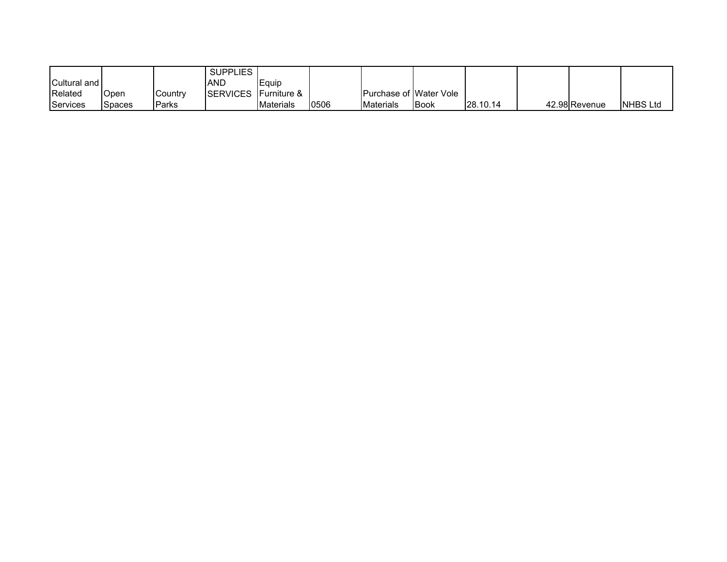|                     |        |               | <b>SUPPLIES</b> |                         |      |                                 |             |                 |               |                  |
|---------------------|--------|---------------|-----------------|-------------------------|------|---------------------------------|-------------|-----------------|---------------|------------------|
| <b>Cultural and</b> |        |               | <b>AND</b>      | Equip                   |      |                                 |             |                 |               |                  |
| Related             | Open   | Country       | <b>SERVICES</b> | <b>IFurniture &amp;</b> |      | <b>IPurchase of IWater Vole</b> |             |                 |               |                  |
| Services            | Spaces | <b>IParks</b> |                 | <b>Materials</b>        | 0506 | <b>I</b> Materials              | <b>Book</b> | <b>28.10.14</b> | 42.98 Revenue | <b>INHBS Ltd</b> |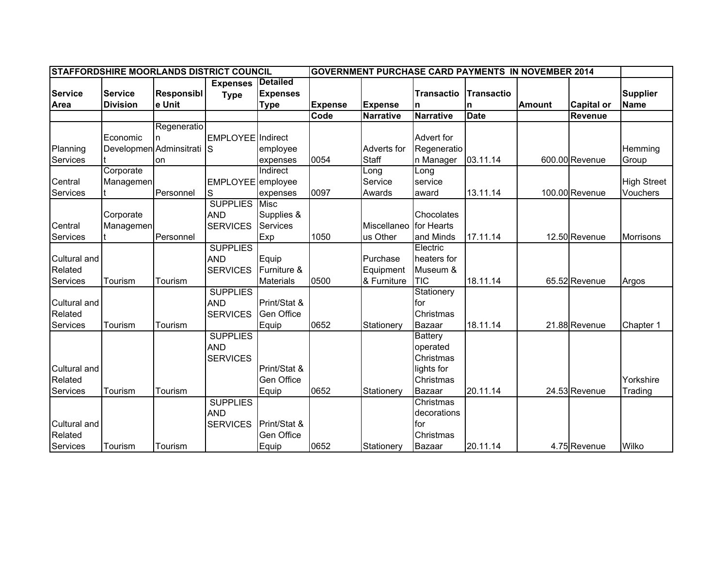|                |                 |                         | STAFFORDSHIRE MOORLANDS DISTRICT COUNCIL |                   | <b>GOVERNMENT PURCHASE CARD PAYMENTS IN NOVEMBER 2014</b> |                  |                   |             |               |                   |                    |
|----------------|-----------------|-------------------------|------------------------------------------|-------------------|-----------------------------------------------------------|------------------|-------------------|-------------|---------------|-------------------|--------------------|
|                |                 |                         | <b>Expenses</b>                          | <b>Detailed</b>   |                                                           |                  |                   |             |               |                   |                    |
| <b>Service</b> | <b>Service</b>  | <b>Responsibl</b>       | <b>Type</b>                              | <b>Expenses</b>   |                                                           |                  | <b>Transactio</b> | Transactio  |               |                   | <b>Supplier</b>    |
| Area           | <b>Division</b> | e Unit                  |                                          | <b>Type</b>       | <b>Expense</b>                                            | <b>Expense</b>   | <b>n</b>          | n           | <b>Amount</b> | <b>Capital or</b> | <b>Name</b>        |
|                |                 |                         |                                          |                   | Code                                                      | <b>Narrative</b> | <b>Narrative</b>  | <b>Date</b> |               | <b>Revenue</b>    |                    |
|                |                 | Regeneratio             |                                          |                   |                                                           |                  |                   |             |               |                   |                    |
|                | Economic        | n                       | EMPLOYEE Indirect                        |                   |                                                           |                  | Advert for        |             |               |                   |                    |
| Planning       |                 | Developmen Adminsitrati | 1s                                       | employee          |                                                           | Adverts for      | Regeneratio       |             |               |                   | Hemming            |
| Services       |                 | lon                     |                                          | expenses          | 0054                                                      | Staff            | n Manager         | 03.11.14    |               | 600.00 Revenue    | Group              |
|                | Corporate       |                         |                                          | Indirect          |                                                           | Long             | Long              |             |               |                   |                    |
| Central        | Managemen       |                         | EMPLOYEE employee                        |                   |                                                           | Service          | service           |             |               |                   | <b>High Street</b> |
| Services       |                 | Personnel               | S                                        | expenses          | 0097                                                      | Awards           | award             | 13.11.14    |               | 100.00 Revenue    | Vouchers           |
|                |                 |                         | <b>SUPPLIES</b>                          | <b>Misc</b>       |                                                           |                  |                   |             |               |                   |                    |
|                | Corporate       |                         | <b>AND</b>                               | Supplies &        |                                                           |                  | Chocolates        |             |               |                   |                    |
| Central        | Managemen       |                         | <b>SERVICES</b>                          | Services          |                                                           | Miscellaneo      | for Hearts        |             |               |                   |                    |
| Services       |                 | Personnel               |                                          | Exp               | 1050                                                      | us Other         | and Minds         | 17.11.14    |               | 12.50 Revenue     | <b>Morrisons</b>   |
|                |                 |                         | <b>SUPPLIES</b>                          |                   |                                                           |                  | Electric          |             |               |                   |                    |
| Cultural and   |                 |                         | <b>AND</b>                               | Equip             |                                                           | Purchase         | heaters for       |             |               |                   |                    |
| Related        |                 |                         | <b>SERVICES</b>                          | Furniture &       |                                                           | Equipment        | Museum &          |             |               |                   |                    |
| Services       | Tourism         | Tourism                 |                                          | Materials         | 0500                                                      | & Furniture      | <b>TIC</b>        | 18.11.14    |               | 65.52 Revenue     | Argos              |
|                |                 |                         | <b>SUPPLIES</b>                          |                   |                                                           |                  | Stationery        |             |               |                   |                    |
| Cultural and   |                 |                         | <b>AND</b>                               | Print/Stat &      |                                                           |                  | for               |             |               |                   |                    |
| Related        |                 |                         | <b>SERVICES</b>                          | <b>Gen Office</b> |                                                           |                  | Christmas         |             |               |                   |                    |
| Services       | Tourism         | Tourism                 |                                          | Equip             | 0652                                                      | Stationery       | Bazaar            | 18.11.14    |               | 21.88 Revenue     | Chapter 1          |
|                |                 |                         | <b>SUPPLIES</b>                          |                   |                                                           |                  | Battery           |             |               |                   |                    |
|                |                 |                         | <b>AND</b>                               |                   |                                                           |                  | operated          |             |               |                   |                    |
|                |                 |                         | <b>SERVICES</b>                          |                   |                                                           |                  | Christmas         |             |               |                   |                    |
| Cultural and   |                 |                         |                                          | Print/Stat &      |                                                           |                  | lights for        |             |               |                   |                    |
| Related        |                 |                         |                                          | Gen Office        |                                                           |                  | Christmas         |             |               |                   | Yorkshire          |
| Services       | Tourism         | Tourism                 |                                          | Equip             | 0652                                                      | Stationery       | Bazaar            | 20.11.14    |               | 24.53 Revenue     | Trading            |
|                |                 |                         | <b>SUPPLIES</b>                          |                   |                                                           |                  | Christmas         |             |               |                   |                    |
|                |                 |                         | <b>AND</b>                               |                   |                                                           |                  | decorations       |             |               |                   |                    |
| Cultural and   |                 |                         | <b>SERVICES</b>                          | Print/Stat &      |                                                           |                  | for               |             |               |                   |                    |
| Related        |                 |                         |                                          | Gen Office        |                                                           |                  | Christmas         |             |               |                   |                    |
| Services       | Tourism         | Tourism                 |                                          | Equip             | 0652                                                      | Stationery       | Bazaar            | 20.11.14    |               | 4.75 Revenue      | Wilko              |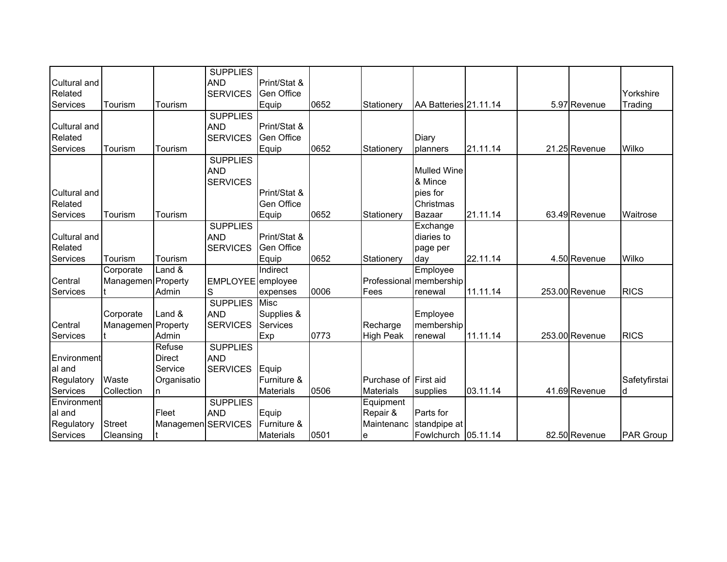| Cultural and        |                    |                    | <b>SUPPLIES</b><br><b>AND</b> | Print/Stat &      |      |                       |                                     |          |                |                      |
|---------------------|--------------------|--------------------|-------------------------------|-------------------|------|-----------------------|-------------------------------------|----------|----------------|----------------------|
| Related<br>Services | Tourism            | Tourism            | <b>SERVICES</b>               | <b>Gen Office</b> | 0652 | Stationery            | AA Batteries 21.11.14               |          | 5.97 Revenue   | Yorkshire<br>Trading |
|                     |                    |                    | <b>SUPPLIES</b>               | Equip             |      |                       |                                     |          |                |                      |
| Cultural and        |                    |                    | <b>AND</b>                    | Print/Stat &      |      |                       |                                     |          |                |                      |
| Related             |                    |                    | <b>SERVICES</b>               | Gen Office        |      |                       | Diary                               |          |                |                      |
| Services            | Tourism            | Tourism            |                               | Equip             | 0652 | Stationerv            | planners                            | 21.11.14 | 21.25 Revenue  | Wilko                |
|                     |                    |                    | <b>SUPPLIES</b>               |                   |      |                       |                                     |          |                |                      |
|                     |                    |                    | <b>AND</b>                    |                   |      |                       | <b>Mulled Wine</b>                  |          |                |                      |
|                     |                    |                    | <b>SERVICES</b>               |                   |      |                       | & Mince                             |          |                |                      |
| Cultural and        |                    |                    |                               | Print/Stat &      |      |                       | pies for                            |          |                |                      |
| Related             |                    |                    |                               | Gen Office        |      |                       | Christmas                           |          |                |                      |
| Services            | Tourism            | Tourism            |                               | Equip             | 0652 | Stationerv            | Bazaar                              | 21.11.14 | 63.49 Revenue  | Waitrose             |
|                     |                    |                    | <b>SUPPLIES</b>               |                   |      |                       | Exchange                            |          |                |                      |
| Cultural and        |                    |                    | <b>AND</b>                    | Print/Stat &      |      |                       | diaries to                          |          |                |                      |
| Related             |                    |                    | <b>SERVICES</b>               | <b>Gen Office</b> |      |                       |                                     |          |                |                      |
| Services            | Tourism            | Tourism            |                               | Equip             | 0652 | Stationery            | page per                            | 22.11.14 | 4.50 Revenue   | Wilko                |
|                     | Corporate          | Land &             |                               | Indirect          |      |                       | day                                 |          |                |                      |
| Central             | Managemen Property |                    |                               |                   |      |                       | Employee<br>Professional membership |          |                |                      |
|                     |                    |                    | EMPLOYEE employee             |                   | 0006 | Fees                  |                                     | 11.11.14 | 253.00 Revenue | <b>RICS</b>          |
| <b>Services</b>     |                    | Admin              | S<br><b>SUPPLIES Misc</b>     | expenses          |      |                       | renewal                             |          |                |                      |
|                     |                    |                    |                               |                   |      |                       |                                     |          |                |                      |
|                     | Corporate          | Land &             | <b>AND</b>                    | Supplies &        |      |                       | Employee                            |          |                |                      |
| Central             | Managemen Property |                    | <b>SERVICES</b>               | <b>Services</b>   |      | Recharge              | membership                          |          |                |                      |
| Services            |                    | Admin              |                               | Exp               | 0773 | <b>High Peak</b>      | renewal                             | 11.11.14 | 253.00 Revenue | <b>RICS</b>          |
|                     |                    | Refuse             | <b>SUPPLIES</b>               |                   |      |                       |                                     |          |                |                      |
| Environment         |                    | <b>Direct</b>      | <b>AND</b>                    |                   |      |                       |                                     |          |                |                      |
| al and              |                    | Service            | <b>SERVICES</b>               | Equip             |      |                       |                                     |          |                |                      |
| Regulatory          | Waste              | Organisatio        |                               | Furniture &       |      | Purchase of First aid |                                     |          |                | Safetyfirstai        |
| Services            | Collection         | n                  |                               | <b>Materials</b>  | 0506 | <b>Materials</b>      | supplies                            | 03.11.14 | 41.69 Revenue  | ld.                  |
| Environment         |                    |                    | <b>SUPPLIES</b>               |                   |      | Equipment             |                                     |          |                |                      |
| al and              |                    | Fleet              | <b>AND</b>                    | Equip             |      | Repair &              | Parts for                           |          |                |                      |
| Regulatory          | <b>Street</b>      | Managemen SERVICES |                               | Furniture &       |      | Maintenanc            | standpipe at                        |          |                |                      |
| Services            | Cleansing          |                    |                               | <b>Materials</b>  | 0501 | е                     | Fowlchurch 05.11.14                 |          | 82.50 Revenue  | <b>PAR Group</b>     |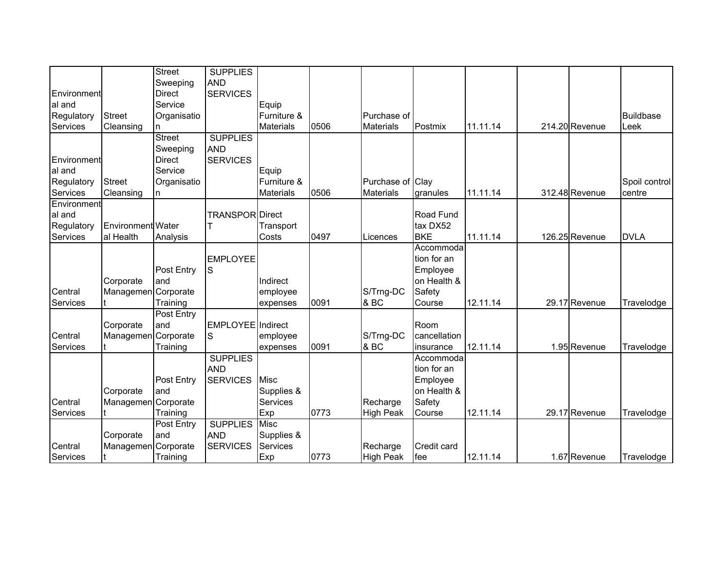|             |                          | <b>Street</b>     | <b>SUPPLIES</b>          |                  |      |                  |              |          |                |                  |
|-------------|--------------------------|-------------------|--------------------------|------------------|------|------------------|--------------|----------|----------------|------------------|
|             |                          | Sweeping          | <b>AND</b>               |                  |      |                  |              |          |                |                  |
| Environment |                          | <b>Direct</b>     | <b>SERVICES</b>          |                  |      |                  |              |          |                |                  |
| al and      |                          | Service           |                          | Equip            |      |                  |              |          |                |                  |
| Regulatory  | <b>Street</b>            | Organisatio       |                          | Furniture &      |      | Purchase of      |              |          |                | <b>Buildbase</b> |
| Services    | Cleansing                | n                 |                          | <b>Materials</b> | 0506 | <b>Materials</b> | Postmix      | 11.11.14 | 214.20 Revenue | Leek             |
|             |                          | Street            | <b>SUPPLIES</b>          |                  |      |                  |              |          |                |                  |
|             |                          | Sweeping          | <b>AND</b>               |                  |      |                  |              |          |                |                  |
| Environment |                          | <b>Direct</b>     | <b>SERVICES</b>          |                  |      |                  |              |          |                |                  |
| al and      |                          | Service           |                          | Equip            |      |                  |              |          |                |                  |
| Regulatory  | <b>Street</b>            | Organisatio       |                          | Furniture &      |      | Purchase of Clay |              |          |                | Spoil control    |
| Services    | Cleansing                | n                 |                          | <b>Materials</b> | 0506 | <b>Materials</b> | granules     | 11.11.14 | 312.48 Revenue | centre           |
| Environment |                          |                   |                          |                  |      |                  |              |          |                |                  |
| al and      |                          |                   | TRANSPOR Direct          |                  |      |                  | Road Fund    |          |                |                  |
| Regulatory  | <b>Environment</b> Water |                   |                          | Transport        |      |                  | tax DX52     |          |                |                  |
| Services    | al Health                | Analysis          |                          | Costs            | 0497 | Licences         | <b>BKE</b>   | 11.11.14 | 126.25 Revenue | <b>DVLA</b>      |
|             |                          |                   |                          |                  |      |                  | Accommoda    |          |                |                  |
|             |                          |                   | <b>EMPLOYEE</b>          |                  |      |                  | tion for an  |          |                |                  |
|             |                          | Post Entry        | S                        |                  |      |                  | Employee     |          |                |                  |
|             | Corporate                | land              |                          | Indirect         |      |                  | on Health &  |          |                |                  |
| Central     | Managemen Corporate      |                   |                          | employee         |      | S/Trng-DC        | Safety       |          |                |                  |
| Services    |                          | Training          |                          | expenses         | 0091 | & BC             | Course       | 12.11.14 | 29.17 Revenue  | Travelodge       |
|             |                          | <b>Post Entry</b> |                          |                  |      |                  |              |          |                |                  |
|             | Corporate                | and               | <b>EMPLOYEE</b> Indirect |                  |      |                  | Room         |          |                |                  |
| Central     | Managemen Corporate      |                   | S                        | employee         |      | S/Trng-DC        | cancellation |          |                |                  |
| Services    |                          | Training          |                          | expenses         | 0091 | & BC             | insurance    | 12.11.14 | 1.95 Revenue   | Travelodge       |
|             |                          |                   | <b>SUPPLIES</b>          |                  |      |                  | Accommoda    |          |                |                  |
|             |                          |                   | <b>AND</b>               |                  |      |                  | tion for an  |          |                |                  |
|             |                          | Post Entry        | <b>SERVICES</b>          | <b>Misc</b>      |      |                  | Employee     |          |                |                  |
|             | Corporate                | land              |                          | Supplies &       |      |                  | on Health &  |          |                |                  |
| Central     | Managemen Corporate      |                   |                          | Services         |      | Recharge         | Safety       |          |                |                  |
| Services    |                          | Training          |                          | Exp              | 0773 | <b>High Peak</b> | Course       | 12.11.14 | 29.17 Revenue  | Travelodge       |
|             |                          | Post Entry        | <b>SUPPLIES</b>          | <b>Misc</b>      |      |                  |              |          |                |                  |
|             | Corporate                | and               | <b>AND</b>               | Supplies &       |      |                  |              |          |                |                  |
| Central     | Managemen Corporate      |                   | <b>SERVICES</b>          | Services         |      | Recharge         | Credit card  |          |                |                  |
| Services    |                          | Training          |                          | Exp              | 0773 | <b>High Peak</b> | fee          | 12.11.14 | 1.67 Revenue   | Travelodge       |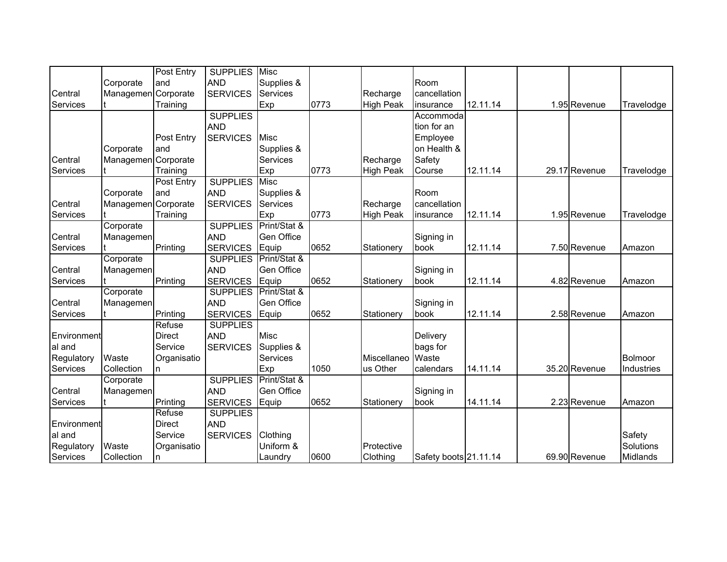|             |                     | Post Entry        | <b>SUPPLIES</b> | <b>Misc</b>       |      |                  |                       |          |               |            |
|-------------|---------------------|-------------------|-----------------|-------------------|------|------------------|-----------------------|----------|---------------|------------|
|             | Corporate           | and               | <b>AND</b>      | Supplies &        |      |                  | Room                  |          |               |            |
| Central     | Managemen Corporate |                   | <b>SERVICES</b> | Services          |      | Recharge         | cancellation          |          |               |            |
| Services    |                     | Training          |                 | Exp               | 0773 | <b>High Peak</b> | insurance             | 12.11.14 | 1.95 Revenue  | Travelodge |
|             |                     |                   | <b>SUPPLIES</b> |                   |      |                  | Accommoda             |          |               |            |
|             |                     |                   | <b>AND</b>      |                   |      |                  | tion for an           |          |               |            |
|             |                     | Post Entry        | <b>SERVICES</b> | Misc              |      |                  | Employee              |          |               |            |
|             | Corporate           | land              |                 | Supplies &        |      |                  | on Health &           |          |               |            |
| Central     | Managemen           | Corporate         |                 | <b>Services</b>   |      | Recharge         | Safety                |          |               |            |
| Services    |                     | Training          |                 | Exp               | 0773 | <b>High Peak</b> | Course                | 12.11.14 | 29.17 Revenue | Travelodge |
|             |                     | <b>Post Entry</b> | <b>SUPPLIES</b> | Misc              |      |                  |                       |          |               |            |
|             | Corporate           | and               | <b>AND</b>      | Supplies &        |      |                  | Room                  |          |               |            |
| Central     | Managemen Corporate |                   | <b>SERVICES</b> | <b>Services</b>   |      | Recharge         | cancellation          |          |               |            |
| Services    |                     | Training          |                 | Exp               | 0773 | High Peak        | insurance             | 12.11.14 | 1.95 Revenue  | Travelodge |
|             | Corporate           |                   | <b>SUPPLIES</b> | Print/Stat &      |      |                  |                       |          |               |            |
| Central     | Managemen           |                   | <b>AND</b>      | Gen Office        |      |                  | Signing in            |          |               |            |
| Services    |                     | Printing          | <b>SERVICES</b> | Equip             | 0652 | Stationery       | book                  | 12.11.14 | 7.50 Revenue  | Amazon     |
|             | Corporate           |                   | <b>SUPPLIES</b> | Print/Stat &      |      |                  |                       |          |               |            |
| Central     | Managemen           |                   | <b>AND</b>      | Gen Office        |      |                  | Signing in            |          |               |            |
| Services    |                     | Printing          | <b>SERVICES</b> | Equip             | 0652 | Stationery       | book                  | 12.11.14 | 4.82 Revenue  | Amazon     |
|             | Corporate           |                   | <b>SUPPLIES</b> | Print/Stat &      |      |                  |                       |          |               |            |
| Central     | Managemen           |                   | <b>AND</b>      | Gen Office        |      |                  | Signing in            |          |               |            |
| Services    |                     | Printing          | <b>SERVICES</b> | Equip             | 0652 | Stationery       | book                  | 12.11.14 | 2.58 Revenue  | Amazon     |
|             |                     | Refuse            | <b>SUPPLIES</b> |                   |      |                  |                       |          |               |            |
| Environment |                     | <b>Direct</b>     | <b>AND</b>      | <b>Misc</b>       |      |                  | Delivery              |          |               |            |
| al and      |                     | Service           | <b>SERVICES</b> | Supplies &        |      |                  | bags for              |          |               |            |
| Regulatory  | Waste               | Organisatio       |                 | <b>Services</b>   |      | Miscellaneo      | Waste                 |          |               | Bolmoor    |
| Services    | Collection          | n                 |                 | Exp               | 1050 | us Other         | calendars             | 14.11.14 | 35.20 Revenue | Industries |
|             | Corporate           |                   | <b>SUPPLIES</b> | Print/Stat &      |      |                  |                       |          |               |            |
| Central     | Managemen           |                   | <b>AND</b>      | <b>Gen Office</b> |      |                  | Signing in            |          |               |            |
| Services    |                     | Printing          | <b>SERVICES</b> | Equip             | 0652 | Stationery       | book                  | 14.11.14 | 2.23 Revenue  | Amazon     |
|             |                     | Refuse            | <b>SUPPLIES</b> |                   |      |                  |                       |          |               |            |
| Environment |                     | <b>Direct</b>     | <b>AND</b>      |                   |      |                  |                       |          |               |            |
| al and      |                     | Service           | <b>SERVICES</b> | Clothing          |      |                  |                       |          |               | Safety     |
| Regulatory  | Waste               | Organisatio       |                 | Uniform &         |      | Protective       |                       |          |               | Solutions  |
| Services    | Collection          | n.                |                 | Laundry           | 0600 | Clothing         | Safety boots 21.11.14 |          | 69.90 Revenue | Midlands   |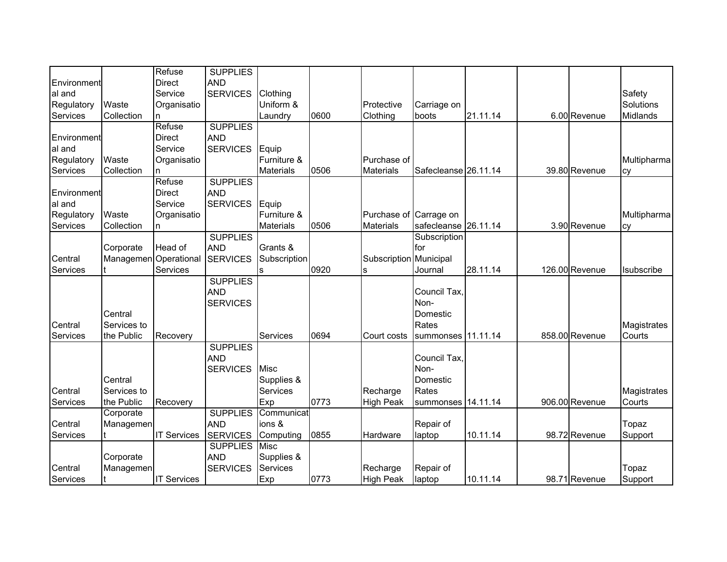|             |                       | Refuse             | <b>SUPPLIES</b> |                  |      |                        |                      |          |                |             |
|-------------|-----------------------|--------------------|-----------------|------------------|------|------------------------|----------------------|----------|----------------|-------------|
| Environment |                       | Direct             | <b>AND</b>      |                  |      |                        |                      |          |                |             |
| al and      |                       | Service            | <b>SERVICES</b> | Clothing         |      |                        |                      |          |                | Safety      |
| Regulatory  | Waste                 | Organisatio        |                 | Uniform &        |      | Protective             | Carriage on          |          |                | Solutions   |
| Services    | Collection            | n.                 |                 | Laundry          | 0600 | Clothing               | boots                | 21.11.14 | 6.00 Revenue   | Midlands    |
|             |                       | Refuse             | <b>SUPPLIES</b> |                  |      |                        |                      |          |                |             |
| Environment |                       | Direct             | <b>AND</b>      |                  |      |                        |                      |          |                |             |
| al and      |                       | Service            | <b>SERVICES</b> | Equip            |      |                        |                      |          |                |             |
| Regulatory  | Waste                 | Organisatio        |                 | Furniture &      |      | Purchase of            |                      |          |                | Multipharma |
| Services    | Collection            | n.                 |                 | <b>Materials</b> | 0506 | <b>Materials</b>       | Safecleanse 26.11.14 |          | 39.80 Revenue  | cy          |
|             |                       | Refuse             | <b>SUPPLIES</b> |                  |      |                        |                      |          |                |             |
| Environment |                       | <b>Direct</b>      | <b>AND</b>      |                  |      |                        |                      |          |                |             |
| al and      |                       | Service            | <b>SERVICES</b> | Equip            |      |                        |                      |          |                |             |
| Regulatory  | Waste                 | Organisatio        |                 | Furniture &      |      | Purchase of Carrage on |                      |          |                | Multipharma |
| Services    | Collection            | n.                 |                 | <b>Materials</b> | 0506 | <b>Materials</b>       | safecleanse 26.11.14 |          | 3.90 Revenue   | cy          |
|             |                       |                    | <b>SUPPLIES</b> |                  |      |                        | Subscription         |          |                |             |
|             | Corporate             | Head of            | <b>AND</b>      | Grants &         |      |                        | for                  |          |                |             |
| Central     | Managemen Operational |                    | <b>SERVICES</b> | Subscription     |      | Subscription Municipal |                      |          |                |             |
| Services    |                       | Services           |                 | s                | 0920 | s                      | Journal              | 28.11.14 | 126.00 Revenue | Isubscribe  |
|             |                       |                    | <b>SUPPLIES</b> |                  |      |                        |                      |          |                |             |
|             |                       |                    | <b>AND</b>      |                  |      |                        | Council Tax,         |          |                |             |
|             |                       |                    | <b>SERVICES</b> |                  |      |                        | Non-                 |          |                |             |
|             | Central               |                    |                 |                  |      |                        | Domestic             |          |                |             |
| Central     | Services to           |                    |                 |                  |      |                        | Rates                |          |                | Magistrates |
| Services    | the Public            | Recovery           |                 | Services         | 0694 | Court costs            | summonses 11.11.14   |          | 858.00 Revenue | Courts      |
|             |                       |                    | <b>SUPPLIES</b> |                  |      |                        |                      |          |                |             |
|             |                       |                    | <b>AND</b>      |                  |      |                        | Council Tax.         |          |                |             |
|             |                       |                    | <b>SERVICES</b> | <b>Misc</b>      |      |                        | Non-                 |          |                |             |
|             | Central               |                    |                 | Supplies &       |      |                        | Domestic             |          |                |             |
| Central     | Services to           |                    |                 | Services         |      | Recharge               | Rates                |          |                | Magistrates |
| Services    | the Public            | Recovery           |                 | Exp              | 0773 | <b>High Peak</b>       | summonses 14.11.14   |          | 906.00 Revenue | Courts      |
|             | Corporate             |                    | <b>SUPPLIES</b> | Communicat       |      |                        |                      |          |                |             |
| Central     | Managemen             |                    | <b>AND</b>      | ions &           |      |                        | Repair of            |          |                | Topaz       |
| Services    |                       | <b>IT Services</b> | <b>SERVICES</b> | Computing        | 0855 | Hardware               | laptop               | 10.11.14 | 98.72 Revenue  | Support     |
|             |                       |                    | <b>SUPPLIES</b> | <b>Misc</b>      |      |                        |                      |          |                |             |
|             | Corporate             |                    | <b>AND</b>      | Supplies &       |      |                        |                      |          |                |             |
| Central     | Managemen             |                    | <b>SERVICES</b> | <b>Services</b>  |      | Recharge               | Repair of            |          |                | Topaz       |
| Services    |                       | <b>IT Services</b> |                 | Exp              | 0773 | <b>High Peak</b>       | laptop               | 10.11.14 | 98.71 Revenue  | Support     |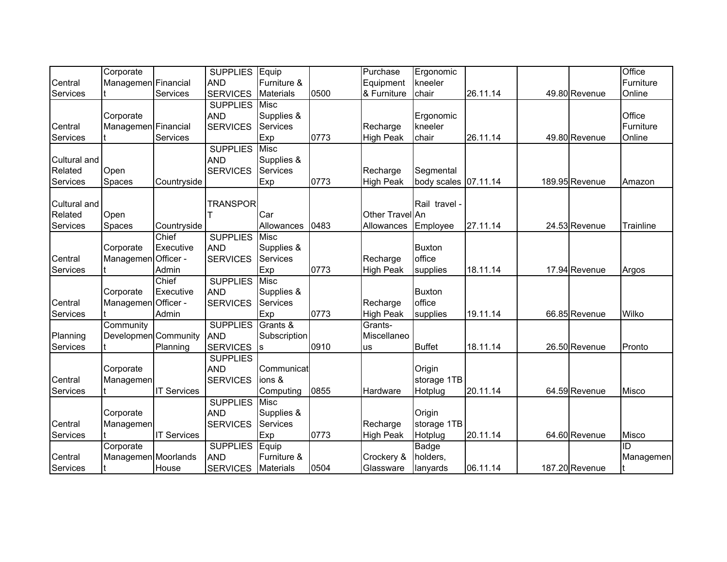|                                     | Corporate                         |                             | <b>SUPPLIES</b>                                  | Equip                                    |      | Purchase                      | Ergonomic                           |          |                | Office              |
|-------------------------------------|-----------------------------------|-----------------------------|--------------------------------------------------|------------------------------------------|------|-------------------------------|-------------------------------------|----------|----------------|---------------------|
| Central                             | Managemen Financial               |                             | <b>AND</b>                                       | Furniture &                              |      | Equipment                     | kneeler                             |          |                | Furniture           |
| Services                            |                                   | Services                    | <b>SERVICES</b>                                  | <b>Materials</b>                         | 0500 | & Furniture                   | chair                               | 26.11.14 | 49.80 Revenue  | Online              |
| Central                             | Corporate<br>Managemen Financial  |                             | <b>SUPPLIES</b><br><b>AND</b><br><b>SERVICES</b> | Misc<br>Supplies &<br>Services           |      | Recharge                      | Ergonomic<br>kneeler                |          |                | Office<br>Furniture |
| Services                            |                                   | Services                    |                                                  | Exp                                      | 0773 | <b>High Peak</b>              | chair                               | 26.11.14 | 49.80 Revenue  | Online              |
|                                     |                                   |                             | <b>SUPPLIES</b>                                  | Misc                                     |      |                               |                                     |          |                |                     |
| Cultural and<br>Related             | Open                              |                             | <b>AND</b><br><b>SERVICES</b>                    | Supplies &<br>Services                   |      | Recharge                      | Segmental                           |          |                |                     |
| Services                            | <b>Spaces</b>                     | Countryside                 |                                                  | Exp                                      | 0773 | <b>High Peak</b>              | body scales 07.11.14                |          | 189.95 Revenue | Amazon              |
| Cultural and<br>Related<br>Services | Open<br>Spaces                    | Countryside                 | <b>TRANSPOR</b>                                  | Car<br>Allowances                        | 0483 | Other Travel An<br>Allowances | Rail travel -<br>Employee           | 27.11.14 | 24.53 Revenue  | Trainline           |
|                                     |                                   | Chief                       | <b>SUPPLIES</b>                                  | Misc                                     |      |                               |                                     |          |                |                     |
| Central<br>Services                 | Corporate<br>Managemen Officer -  | Executive<br>Admin          | <b>AND</b><br><b>SERVICES</b>                    | Supplies &<br>Services<br>Exp            | 0773 | Recharge<br>High Peak         | <b>Buxton</b><br>office<br>supplies | 18.11.14 | 17.94 Revenue  | Argos               |
| Central<br>Services                 | Corporate<br>Managemen Officer -  | Chief<br>Executive<br>Admin | <b>SUPPLIES</b><br><b>AND</b><br><b>SERVICES</b> | Misc<br>Supplies &<br>Services<br>Exp    | 0773 | Recharge<br><b>High Peak</b>  | <b>Buxton</b><br>office<br>supplies | 19.11.14 | 66.85 Revenue  | Wilko               |
| Planning<br>Services                | Community<br>Developmen Community | Planning                    | <b>SUPPLIES</b><br><b>AND</b><br><b>SERVICES</b> | Grants &<br>Subscription<br>Is           | 0910 | Grants-<br>Miscellaneo<br>us  | <b>Buffet</b>                       | 18.11.14 | 26.50 Revenue  | Pronto              |
| Central<br>Services                 | Corporate<br>Managemen            | <b>IT Services</b>          | <b>SUPPLIES</b><br><b>AND</b><br><b>SERVICES</b> | Communicat<br>ions &<br>Computing        | 0855 | Hardware                      | Origin<br>storage 1TB<br>Hotplug    | 20.11.14 | 64.59 Revenue  | Misco               |
| Central<br>Services                 | Corporate<br>Managemen            | <b>IT Services</b>          | <b>SUPPLIES</b><br><b>AND</b><br><b>SERVICES</b> | Misc<br>Supplies &<br>Services<br>Exp    | 0773 | Recharge<br><b>High Peak</b>  | Origin<br>storage 1TB<br>Hotplug    | 20.11.14 | 64.60 Revenue  | Misco               |
| Central<br>Services                 | Corporate<br>Managemen Moorlands  | House                       | <b>SUPPLIES</b><br><b>AND</b><br><b>SERVICES</b> | Equip<br>Furniture &<br><b>Materials</b> | 0504 | Crockery &<br>Glassware       | Badge<br>holders,<br>lanyards       | 06.11.14 | 187.20 Revenue | ID<br>Managemen     |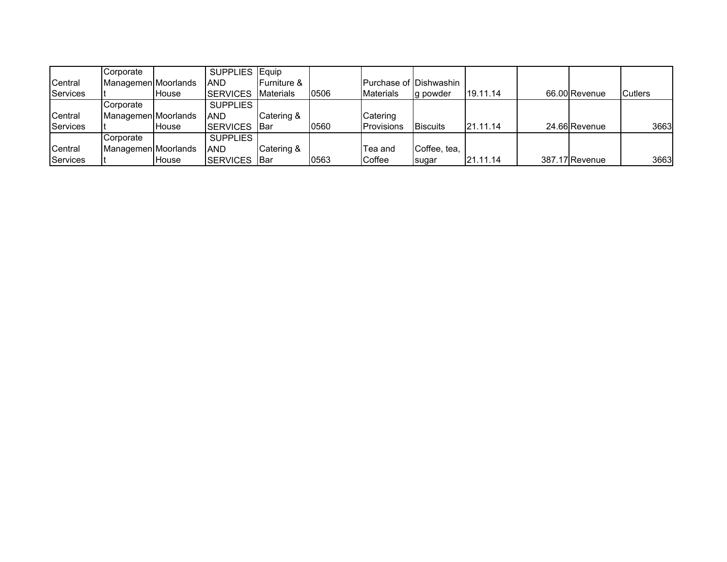|          | Corporate           |       | SUPPLIES Equip      |                         |      |                        |                 |          |                |                |
|----------|---------------------|-------|---------------------|-------------------------|------|------------------------|-----------------|----------|----------------|----------------|
| Central  | Managemen Moorlands |       | <b>AND</b>          | <b>IFurniture &amp;</b> |      | Purchase of Dishwashin |                 |          |                |                |
| Services |                     | House | <b>SERVICES</b>     | <b>Materials</b>        | 0506 | <b>Materials</b>       | lg powder       | 19.11.14 | 66.00 Revenue  | <b>Cutlers</b> |
|          | Corporate           |       | <b>SUPPLIES</b>     |                         |      |                        |                 |          |                |                |
| Central  | Managemen Moorlands |       | <b>AND</b>          | Catering &              |      | Catering               |                 |          |                |                |
| Services |                     | House | <b>SERVICES</b> Bar |                         | 0560 | Provisions             | <b>Biscuits</b> | 21.11.14 | 24.66 Revenue  | 3663           |
|          | Corporate           |       | <b>SUPPLIES</b>     |                         |      |                        |                 |          |                |                |
| Central  | Managemen Moorlands |       | <b>AND</b>          | Catering &              |      | Tea and                | Coffee, tea,    |          |                |                |
| Services |                     | House | <b>SERVICES</b> Bar |                         | 0563 | Coffee                 | sugar           | 21.11.14 | 387.17 Revenue | 3663           |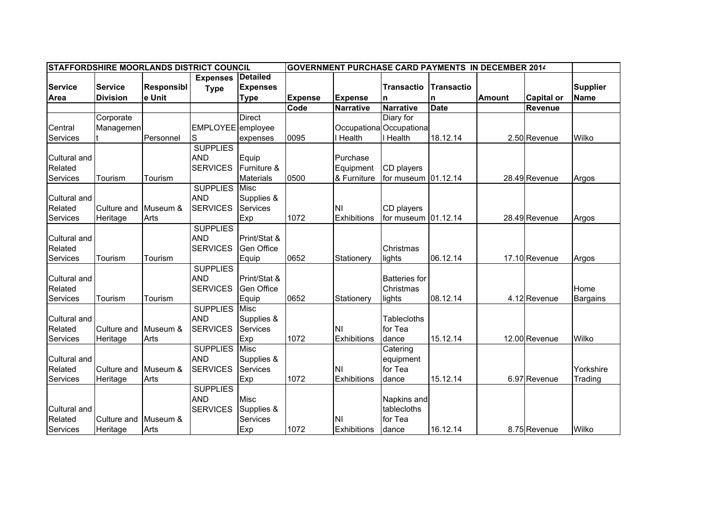| STAFFORDSHIRE MOORLANDS DISTRICT COUNCIL |                 |                   |                   |                   |                |                    | <b>GOVERNMENT PURCHASE CARD PAYMENTS IN DECEMBER 2014</b> |                   |               |                   |                 |
|------------------------------------------|-----------------|-------------------|-------------------|-------------------|----------------|--------------------|-----------------------------------------------------------|-------------------|---------------|-------------------|-----------------|
|                                          |                 |                   | <b>Expenses</b>   | <b>Detailed</b>   |                |                    |                                                           |                   |               |                   |                 |
| <b>Service</b>                           | <b>Service</b>  | <b>Responsibl</b> | <b>Type</b>       | <b>Expenses</b>   |                |                    | <b>Transactio</b>                                         | <b>Transactio</b> |               |                   | <b>Supplier</b> |
| <b>Area</b>                              | <b>Division</b> | e Unit            |                   | <b>Type</b>       | <b>Expense</b> | <b>Expense</b>     | n                                                         | n                 | <b>Amount</b> | <b>Capital or</b> | <b>Name</b>     |
|                                          |                 |                   |                   |                   | Code           | Narrative          | <b>Narrative</b>                                          | <b>Date</b>       |               | Revenue           |                 |
|                                          | Corporate       |                   |                   | <b>Direct</b>     |                |                    | Diary for                                                 |                   |               |                   |                 |
| Central                                  | Managemen       |                   | EMPLOYEE employee |                   |                |                    | Occupationa Occupationa                                   |                   |               |                   |                 |
| Services                                 |                 | Personnel         | lS                | expenses          | 0095           | <b>Health</b>      | Health                                                    | 18.12.14          |               | 2.50 Revenue      | Wilko           |
|                                          |                 |                   | <b>SUPPLIES</b>   |                   |                |                    |                                                           |                   |               |                   |                 |
| <b>Cultural and</b>                      |                 |                   | <b>AND</b>        | Equip             |                | Purchase           |                                                           |                   |               |                   |                 |
| Related                                  |                 |                   | <b>SERVICES</b>   | Furniture &       |                | Equipment          | CD players                                                |                   |               |                   |                 |
| Services                                 | Tourism         | Tourism           |                   | <b>Materials</b>  | 0500           | & Furniture        | for museum 01.12.14                                       |                   |               | 28.49 Revenue     | Argos           |
|                                          |                 |                   | <b>SUPPLIES</b>   | Misc              |                |                    |                                                           |                   |               |                   |                 |
| Cultural and                             |                 |                   | <b>AND</b>        | Supplies &        |                |                    |                                                           |                   |               |                   |                 |
| Related                                  | Culture and     | Museum &          | <b>SERVICES</b>   | Services          |                | <b>NI</b>          | CD players                                                |                   |               |                   |                 |
| Services                                 | Heritage        | Arts              |                   | Exp               | 1072           | <b>Exhibitions</b> | for museum 01.12.14                                       |                   |               | 28.49 Revenue     | Argos           |
|                                          |                 |                   | <b>SUPPLIES</b>   |                   |                |                    |                                                           |                   |               |                   |                 |
| Cultural and                             |                 |                   | <b>AND</b>        | Print/Stat &      |                |                    |                                                           |                   |               |                   |                 |
| Related                                  |                 |                   | <b>SERVICES</b>   | <b>Gen Office</b> |                |                    | Christmas                                                 |                   |               |                   |                 |
| Services                                 | Tourism         | Tourism           |                   | Equip             | 0652           | Stationery         | lights                                                    | 06.12.14          |               | 17.10 Revenue     | Argos           |
|                                          |                 |                   | <b>SUPPLIES</b>   |                   |                |                    |                                                           |                   |               |                   |                 |
| Cultural and                             |                 |                   | <b>AND</b>        | Print/Stat &      |                |                    | <b>Batteries for</b>                                      |                   |               |                   |                 |
| Related                                  |                 |                   | <b>SERVICES</b>   | <b>Gen Office</b> |                |                    | Christmas                                                 |                   |               |                   | Home            |
| Services                                 | Tourism         | Tourism           |                   | Equip             | 0652           | Stationery         | lights                                                    | 08.12.14          |               | 4.12 Revenue      | Bargains        |
|                                          |                 |                   | <b>SUPPLIES</b>   | <b>Misc</b>       |                |                    |                                                           |                   |               |                   |                 |
| Cultural and                             |                 |                   | <b>AND</b>        | Supplies &        |                |                    | Tablecloths                                               |                   |               |                   |                 |
| Related                                  | Culture and     | Museum &          | <b>SERVICES</b>   | Services          |                | <b>NI</b>          | for Tea                                                   |                   |               |                   |                 |
| Services                                 | Heritage        | Arts              |                   | Exp               | 1072           | Exhibitions        | dance                                                     | 15.12.14          |               | 12.00 Revenue     | Wilko           |
|                                          |                 |                   | <b>SUPPLIES</b>   | <b>Misc</b>       |                |                    | Catering                                                  |                   |               |                   |                 |
| Cultural and                             |                 |                   | <b>AND</b>        | Supplies &        |                |                    | equipment                                                 |                   |               |                   |                 |
| Related                                  | Culture and     | Museum &          | <b>SERVICES</b>   | <b>Services</b>   |                | <b>NI</b>          | for Tea                                                   |                   |               |                   | Yorkshire       |
| Services                                 | Heritage        | Arts              |                   | Exp               | 1072           | Exhibitions        | dance                                                     | 15.12.14          |               | 6.97 Revenue      | Trading         |
|                                          |                 |                   | <b>SUPPLIES</b>   |                   |                |                    |                                                           |                   |               |                   |                 |
|                                          |                 |                   | <b>AND</b>        | <b>Misc</b>       |                |                    | Napkins and                                               |                   |               |                   |                 |
| Cultural and                             |                 |                   | <b>SERVICES</b>   | Supplies &        |                |                    | tablecloths                                               |                   |               |                   |                 |
| Related                                  | Culture and     | Museum &          |                   | <b>Services</b>   |                | <b>NI</b>          | for Tea                                                   |                   |               |                   |                 |
| Services                                 | Heritage        | Arts              |                   | Exp               | 1072           | <b>Exhibitions</b> | dance                                                     | 16.12.14          |               | 8.75 Revenue      | Wilko           |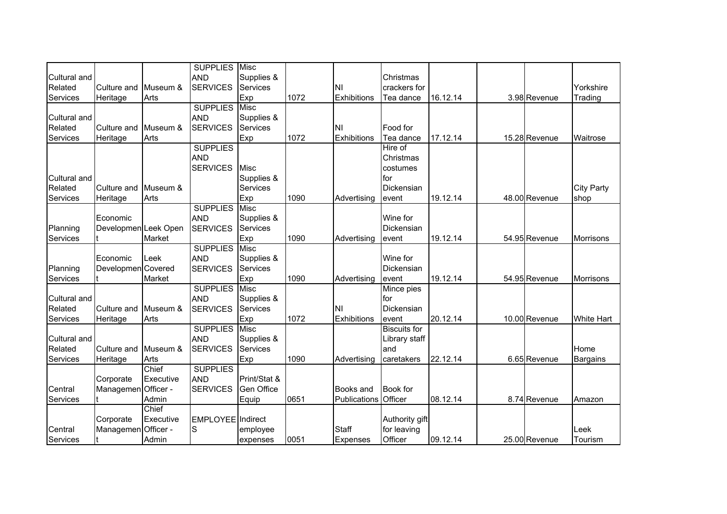|                     |                      |           | <b>SUPPLIES</b>          | Misc            |      |                      |                     |          |               |                   |
|---------------------|----------------------|-----------|--------------------------|-----------------|------|----------------------|---------------------|----------|---------------|-------------------|
| Cultural and        |                      |           | <b>AND</b>               | Supplies &      |      |                      | Christmas           |          |               |                   |
| Related             | Culture and          | Museum &  | <b>SERVICES</b>          | Services        |      | ΝI                   | crackers for        |          |               | Yorkshire         |
| Services            | Heritage             | Arts      |                          | Exp             | 1072 | Exhibitions          | Tea dance           | 16.12.14 | 3.98 Revenue  | Trading           |
|                     |                      |           | <b>SUPPLIES Misc</b>     |                 |      |                      |                     |          |               |                   |
| <b>Cultural and</b> |                      |           | <b>AND</b>               | Supplies &      |      |                      |                     |          |               |                   |
| Related             | Culture and          | Museum &  | <b>SERVICES</b>          | Services        |      | ΙNΙ                  | Food for            |          |               |                   |
| Services            | Heritage             | Arts      |                          | Exp             | 1072 | Exhibitions          | Tea dance           | 17.12.14 | 15.28 Revenue | Waitrose          |
|                     |                      |           | <b>SUPPLIES</b>          |                 |      |                      | Hire of             |          |               |                   |
|                     |                      |           | <b>AND</b>               |                 |      |                      | Christmas           |          |               |                   |
|                     |                      |           | <b>SERVICES</b>          | <b>Misc</b>     |      |                      | costumes            |          |               |                   |
| Cultural and        |                      |           |                          | Supplies &      |      |                      | for                 |          |               |                   |
| Related             | Culture and          | Museum &  |                          | Services        |      |                      | Dickensian          |          |               | <b>City Party</b> |
| Services            | Heritage             | Arts      |                          | Exp             | 1090 | Advertising          | event               | 19.12.14 | 48.00 Revenue | shop              |
|                     |                      |           | <b>SUPPLIES</b>          | Misc            |      |                      |                     |          |               |                   |
|                     | Economic             |           | <b>AND</b>               | Supplies &      |      |                      | Wine for            |          |               |                   |
| Planning            | Developmen Leek Open |           | <b>SERVICES</b>          | Services        |      |                      | Dickensian          |          |               |                   |
| Services            |                      | Market    |                          | Exp             | 1090 | Advertising          | event               | 19.12.14 | 54.95 Revenue | <b>Morrisons</b>  |
|                     |                      |           | <b>SUPPLIES</b>          | Misc            |      |                      |                     |          |               |                   |
|                     | Economic             | Leek      | <b>AND</b>               | Supplies &      |      |                      | Wine for            |          |               |                   |
| Planning            | Developmen Covered   |           | <b>SERVICES</b>          | <b>Services</b> |      |                      | Dickensian          |          |               |                   |
| Services            |                      | Market    |                          | Exp             | 1090 | Advertising          | event               | 19.12.14 | 54.95 Revenue | Morrisons         |
|                     |                      |           | <b>SUPPLIES</b> Misc     |                 |      |                      | Mince pies          |          |               |                   |
| Cultural and        |                      |           | <b>AND</b>               | Supplies &      |      |                      | for                 |          |               |                   |
| Related             | Culture and          | Museum &  | <b>SERVICES</b>          | Services        |      | <b>NI</b>            | Dickensian          |          |               |                   |
| Services            | Heritage             | Arts      |                          | Exp             | 1072 | Exhibitions          | event               | 20.12.14 | 10.00 Revenue | White Hart        |
|                     |                      |           | <b>SUPPLIES</b>          | Misc            |      |                      | <b>Biscuits for</b> |          |               |                   |
| <b>Cultural and</b> |                      |           | <b>AND</b>               | Supplies &      |      |                      | Library staff       |          |               |                   |
| Related             | Culture and          | Museum &  | <b>SERVICES</b>          | Services        |      |                      | and                 |          |               | Home              |
| Services            | Heritage             | Arts      |                          | Exp             | 1090 | Advertising          | caretakers          | 22.12.14 | 6.65 Revenue  | Bargains          |
|                     |                      | Chief     | <b>SUPPLIES</b>          |                 |      |                      |                     |          |               |                   |
|                     | Corporate            | Executive | <b>AND</b>               | Print/Stat &    |      |                      |                     |          |               |                   |
| Central             | Managemen Officer -  |           | <b>SERVICES</b>          | Gen Office      |      | <b>Books and</b>     | <b>Book</b> for     |          |               |                   |
| Services            |                      | Admin     |                          | Equip           | 0651 | Publications Officer |                     | 08.12.14 | 8.74 Revenue  | Amazon            |
|                     |                      | Chief     |                          |                 |      |                      |                     |          |               |                   |
|                     | Corporate            | Executive | <b>EMPLOYEE</b> Indirect |                 |      |                      | Authority gift      |          |               |                   |
| Central             | Managemen Officer -  |           | S                        | employee        |      | <b>Staff</b>         | for leaving         |          |               | Leek              |
| Services            |                      | Admin     |                          | expenses        | 0051 | <b>Expenses</b>      | Officer             | 09.12.14 | 25.00 Revenue | Tourism           |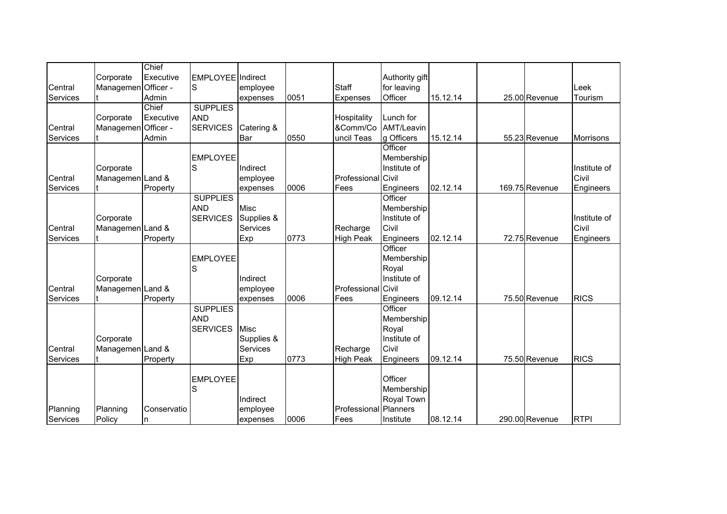|          |                     | Chief       |                   |             |      |                           |                |          |                |                  |
|----------|---------------------|-------------|-------------------|-------------|------|---------------------------|----------------|----------|----------------|------------------|
|          | Corporate           | Executive   | EMPLOYEE Indirect |             |      |                           | Authority gift |          |                |                  |
| Central  | Managemen Officer - |             | S                 | employee    |      | Staff                     | for leaving    |          |                | Leek             |
| Services |                     | Admin       |                   | expenses    | 0051 | Expenses                  | Officer        | 15.12.14 | 25.00 Revenue  | Tourism          |
|          |                     | Chief       | <b>SUPPLIES</b>   |             |      |                           |                |          |                |                  |
|          | Corporate           | Executive   | <b>AND</b>        |             |      | Hospitality               | Lunch for      |          |                |                  |
| Central  | Managemen Officer - |             | <b>SERVICES</b>   | Catering &  |      | &Comm/Co                  | AMT/Leavin     |          |                |                  |
| Services |                     | Admin       |                   | Bar         | 0550 | uncil Teas                | g Officers     | 15.12.14 | 55.23 Revenue  | <b>Morrisons</b> |
|          |                     |             |                   |             |      |                           | Officer        |          |                |                  |
|          |                     |             | <b>EMPLOYEE</b>   |             |      |                           | Membership     |          |                |                  |
|          | Corporate           |             | S                 | Indirect    |      |                           | Institute of   |          |                | Institute of     |
| Central  | Managemen Land &    |             |                   | employee    |      | <b>Professional Civil</b> |                |          |                | Civil            |
| Services |                     | Property    |                   | expenses    | 0006 | Fees                      | Engineers      | 02.12.14 | 169.75 Revenue | Engineers        |
|          |                     |             | <b>SUPPLIES</b>   |             |      |                           | Officer        |          |                |                  |
|          |                     |             | <b>AND</b>        | <b>Misc</b> |      |                           | Membership     |          |                |                  |
|          | Corporate           |             | <b>SERVICES</b>   | Supplies &  |      |                           | Institute of   |          |                | Institute of     |
| Central  | Managemen Land &    |             |                   | Services    |      | Recharge                  | Civil          |          |                | Civil            |
| Services |                     | Property    |                   | Exp         | 0773 | <b>High Peak</b>          | Engineers      | 02.12.14 | 72.75 Revenue  | Engineers        |
|          |                     |             |                   |             |      |                           | Officer        |          |                |                  |
|          |                     |             | <b>EMPLOYEE</b>   |             |      |                           | Membership     |          |                |                  |
|          |                     |             |                   |             |      |                           | Royal          |          |                |                  |
|          | Corporate           |             |                   | Indirect    |      |                           | Institute of   |          |                |                  |
| Central  | Managemen Land &    |             |                   | employee    |      | <b>Professional Civil</b> |                |          |                |                  |
| Services |                     | Property    |                   | expenses    | 0006 | Fees                      | Engineers      | 09.12.14 | 75.50 Revenue  | <b>RICS</b>      |
|          |                     |             | <b>SUPPLIES</b>   |             |      |                           | Officer        |          |                |                  |
|          |                     |             | <b>AND</b>        |             |      |                           | Membership     |          |                |                  |
|          |                     |             | <b>SERVICES</b>   | <b>Misc</b> |      |                           | Royal          |          |                |                  |
|          | Corporate           |             |                   | Supplies &  |      |                           | Institute of   |          |                |                  |
| Central  | Managemen Land &    |             |                   | Services    |      | Recharge                  | Civil          |          |                |                  |
| Services |                     | Property    |                   | Exp         | 0773 | <b>High Peak</b>          | Engineers      | 09.12.14 | 75.50 Revenue  | <b>RICS</b>      |
|          |                     |             |                   |             |      |                           |                |          |                |                  |
|          |                     |             | <b>EMPLOYEE</b>   |             |      |                           | Officer        |          |                |                  |
|          |                     |             | S                 |             |      |                           | Membership     |          |                |                  |
|          |                     |             |                   | Indirect    |      |                           | Royal Town     |          |                |                  |
| Planning | Planning            | Conservatio |                   | employee    |      | Professional Planners     |                |          |                |                  |
| Services | Policy              | n           |                   | expenses    | 0006 | Fees                      | Institute      | 08.12.14 | 290.00 Revenue | <b>RTPI</b>      |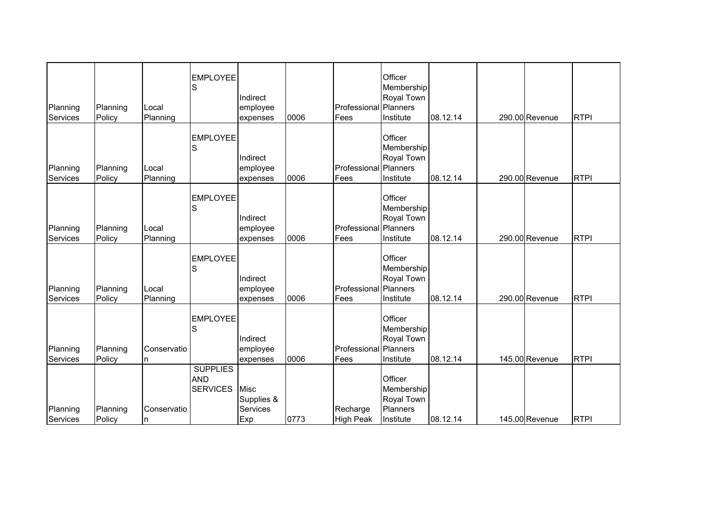| Planning<br><b>Services</b> | Planning<br>Policy | Local<br>Planning | <b>EMPLOYEE</b><br>S                             | Indirect<br>employee<br>expenses      | 0006 | <b>Professional</b> Planners<br>Fees | Officer<br>Membership<br>Royal Town<br>Institute             | 08.12.14 | 290.00 Revenue | <b>RTPI</b> |
|-----------------------------|--------------------|-------------------|--------------------------------------------------|---------------------------------------|------|--------------------------------------|--------------------------------------------------------------|----------|----------------|-------------|
| Planning<br>Services        | Planning<br>Policy | Local<br>Planning | <b>EMPLOYEE</b><br>S                             | Indirect<br>employee<br>expenses      | 0006 | Professional Planners<br>Fees        | Officer<br>Membership<br>Royal Town<br>Institute             | 08.12.14 | 290.00 Revenue | <b>RTPI</b> |
| Planning<br>Services        | Planning<br>Policy | Local<br>Planning | <b>EMPLOYEE</b><br>lS                            | Indirect<br>employee<br>expenses      | 0006 | <b>Professional</b> Planners<br>Fees | Officer<br>Membership<br>Royal Town<br>Institute             | 08.12.14 | 290.00 Revenue | <b>RTPI</b> |
| Planning<br>Services        | Planning<br>Policy | Local<br>Planning | <b>EMPLOYEE</b><br>S                             | Indirect<br>employee<br>expenses      | 0006 | Professional Planners<br>Fees        | Officer<br>Membership<br>Royal Town<br>Institute             | 08.12.14 | 290.00 Revenue | <b>RTPI</b> |
| Planning<br>Services        | Planning<br>Policy | Conservatio<br>n  | <b>EMPLOYEE</b><br>S                             | Indirect<br>employee<br>expenses      | 0006 | Professional Planners<br>Fees        | Officer<br>Membership<br>Royal Town<br>Institute             | 08.12.14 | 145.00 Revenue | <b>RTPI</b> |
| Planning<br>Services        | Planning<br>Policy | Conservatio<br>n  | <b>SUPPLIES</b><br><b>AND</b><br><b>SERVICES</b> | Misc<br>Supplies &<br>Services<br>Exp | 0773 | Recharge<br><b>High Peak</b>         | Officer<br>Membership<br>Royal Town<br>Planners<br>Institute | 08.12.14 | 145.00 Revenue | <b>RTPI</b> |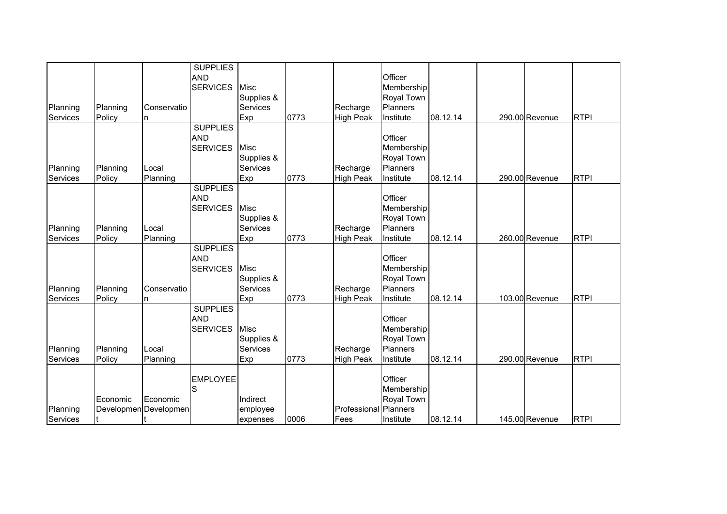|          |          |                       | <b>SUPPLIES</b>               |                        |      |                       |                          |          |                |             |
|----------|----------|-----------------------|-------------------------------|------------------------|------|-----------------------|--------------------------|----------|----------------|-------------|
|          |          |                       | <b>AND</b><br><b>SERVICES</b> | <b>Misc</b>            |      |                       | Officer<br>Membership    |          |                |             |
|          |          |                       |                               | Supplies &             |      |                       | Royal Town               |          |                |             |
| Planning | Planning | Conservatio           |                               | <b>Services</b>        |      | Recharge              | Planners                 |          |                |             |
| Services | Policy   | n                     |                               | Exp                    | 0773 | <b>High Peak</b>      | Institute                | 08.12.14 | 290.00 Revenue | <b>RTPI</b> |
|          |          |                       | <b>SUPPLIES</b>               |                        |      |                       |                          |          |                |             |
|          |          |                       | <b>AND</b>                    |                        |      |                       | Officer                  |          |                |             |
|          |          |                       | <b>SERVICES</b>               | Misc                   |      |                       | Membership               |          |                |             |
|          |          |                       |                               | Supplies &             |      |                       | Royal Town               |          |                |             |
| Planning | Planning | Local                 |                               | Services               |      | Recharge              | Planners                 |          |                |             |
| Services | Policy   | Planning              |                               | Exp                    | 0773 | <b>High Peak</b>      | Institute                | 08.12.14 | 290.00 Revenue | <b>RTPI</b> |
|          |          |                       | <b>SUPPLIES</b>               |                        |      |                       |                          |          |                |             |
|          |          |                       | <b>AND</b>                    |                        |      |                       | Officer                  |          |                |             |
|          |          |                       | <b>SERVICES</b>               | <b>Misc</b>            |      |                       | Membership               |          |                |             |
|          |          |                       |                               | Supplies &             |      |                       | Royal Town               |          |                |             |
| Planning | Planning | Local                 |                               | Services               |      | Recharge              | Planners                 |          |                |             |
| Services | Policy   | Planning              |                               | Exp                    | 0773 | <b>High Peak</b>      | Institute                | 08.12.14 | 260.00 Revenue | <b>RTPI</b> |
|          |          |                       | <b>SUPPLIES</b>               |                        |      |                       | Officer                  |          |                |             |
|          |          |                       | <b>AND</b>                    | <b>Misc</b>            |      |                       |                          |          |                |             |
|          |          |                       | <b>SERVICES</b>               |                        |      |                       | Membership<br>Royal Town |          |                |             |
| Planning | Planning | Conservatio           |                               | Supplies &<br>Services |      | Recharge              | Planners                 |          |                |             |
| Services | Policy   | In.                   |                               | Exp                    | 0773 | <b>High Peak</b>      | Institute                | 08.12.14 | 103.00 Revenue | <b>RTPI</b> |
|          |          |                       | <b>SUPPLIES</b>               |                        |      |                       |                          |          |                |             |
|          |          |                       | <b>AND</b>                    |                        |      |                       | Officer                  |          |                |             |
|          |          |                       | <b>SERVICES</b>               | <b>Misc</b>            |      |                       | Membership               |          |                |             |
|          |          |                       |                               | Supplies &             |      |                       | Royal Town               |          |                |             |
| Planning | Planning | Local                 |                               | Services               |      | Recharge              | Planners                 |          |                |             |
| Services | Policy   | Planning              |                               | Exp                    | 0773 | <b>High Peak</b>      | Institute                | 08.12.14 | 290.00 Revenue | <b>RTPI</b> |
|          |          |                       |                               |                        |      |                       |                          |          |                |             |
|          |          |                       | <b>EMPLOYEE</b>               |                        |      |                       | Officer                  |          |                |             |
|          |          |                       | S                             |                        |      |                       | Membership               |          |                |             |
|          | Economic | Economic              |                               | Indirect               |      |                       | Royal Town               |          |                |             |
| Planning |          | Developmen Developmen |                               | employee               |      | Professional Planners |                          |          |                |             |
| Services |          |                       |                               | expenses               | 0006 | Fees                  | Institute                | 08.12.14 | 145.00 Revenue | <b>RTPI</b> |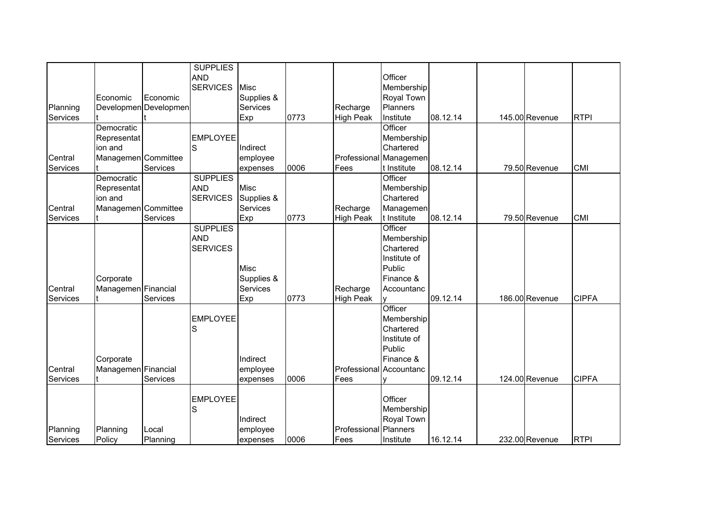|          |                     |                       | <b>SUPPLIES</b><br><b>AND</b><br><b>SERVICES</b> | Misc        |      |                              | Officer<br>Membership  |          |                |              |
|----------|---------------------|-----------------------|--------------------------------------------------|-------------|------|------------------------------|------------------------|----------|----------------|--------------|
|          | Economic            | Economic              |                                                  | Supplies &  |      |                              | Royal Town             |          |                |              |
| Planning |                     | Developmen Developmen |                                                  | Services    |      | Recharge                     | Planners               |          |                |              |
| Services |                     |                       |                                                  | Exp         | 0773 | <b>High Peak</b>             | Institute              | 08.12.14 | 145.00 Revenue | <b>RTPI</b>  |
|          | Democratic          |                       |                                                  |             |      |                              | Officer                |          |                |              |
|          | Representat         |                       | <b>EMPLOYEE</b>                                  |             |      |                              | Membership             |          |                |              |
|          | ion and             |                       | S                                                | Indirect    |      |                              | Chartered              |          |                |              |
| Central  | Managemen Committee |                       |                                                  | employee    |      |                              | Professional Managemen |          |                |              |
| Services |                     | Services              |                                                  | expenses    | 0006 | Fees                         | t Institute            | 08.12.14 | 79.50 Revenue  | <b>CMI</b>   |
|          | Democratic          |                       | <b>SUPPLIES</b>                                  |             |      |                              | Officer                |          |                |              |
|          | Representat         |                       | <b>AND</b>                                       | <b>Misc</b> |      |                              | Membership             |          |                |              |
|          | ion and             |                       | <b>SERVICES</b>                                  | Supplies &  |      |                              | Chartered              |          |                |              |
| Central  | Managemen Committee |                       |                                                  | Services    |      | Recharge                     | Managemen              |          |                |              |
| Services |                     | Services              |                                                  | Exp         | 0773 | <b>High Peak</b>             | t Institute            | 08.12.14 | 79.50 Revenue  | <b>CMI</b>   |
|          |                     |                       | <b>SUPPLIES</b>                                  |             |      |                              | Officer                |          |                |              |
|          |                     |                       | <b>AND</b>                                       |             |      |                              | Membership             |          |                |              |
|          |                     |                       | <b>SERVICES</b>                                  |             |      |                              | Chartered              |          |                |              |
|          |                     |                       |                                                  |             |      |                              | Institute of           |          |                |              |
|          |                     |                       |                                                  | <b>Misc</b> |      |                              | Public                 |          |                |              |
|          | Corporate           |                       |                                                  | Supplies &  |      |                              | Finance &              |          |                |              |
| Central  | Managemen Financial |                       |                                                  | Services    |      | Recharge                     | Accountanc             |          |                |              |
| Services |                     | Services              |                                                  | Exp         | 0773 | <b>High Peak</b>             |                        | 09.12.14 | 186.00 Revenue | <b>CIPFA</b> |
|          |                     |                       |                                                  |             |      |                              | Officer                |          |                |              |
|          |                     |                       | <b>EMPLOYEE</b>                                  |             |      |                              | Membership             |          |                |              |
|          |                     |                       | S                                                |             |      |                              | Chartered              |          |                |              |
|          |                     |                       |                                                  |             |      |                              | Institute of           |          |                |              |
|          |                     |                       |                                                  |             |      |                              | Public                 |          |                |              |
|          | Corporate           |                       |                                                  | Indirect    |      |                              | Finance &              |          |                |              |
| Central  | Managemen Financial |                       |                                                  | employee    |      | Professional                 | Accountanc             |          |                |              |
| Services |                     | Services              |                                                  | expenses    | 0006 | Fees                         | v                      | 09.12.14 | 124.00 Revenue | <b>CIPFA</b> |
|          |                     |                       |                                                  |             |      |                              |                        |          |                |              |
|          |                     |                       | <b>EMPLOYEE</b>                                  |             |      |                              | Officer                |          |                |              |
|          |                     |                       | S                                                |             |      |                              | Membership             |          |                |              |
|          |                     |                       |                                                  | Indirect    |      |                              | Royal Town             |          |                |              |
| Planning | Planning            | Local                 |                                                  | employee    |      | <b>Professional Planners</b> |                        |          |                |              |
| Services | Policy              | Planning              |                                                  | expenses    | 0006 | Fees                         | Institute              | 16.12.14 | 232.00 Revenue | <b>RTPI</b>  |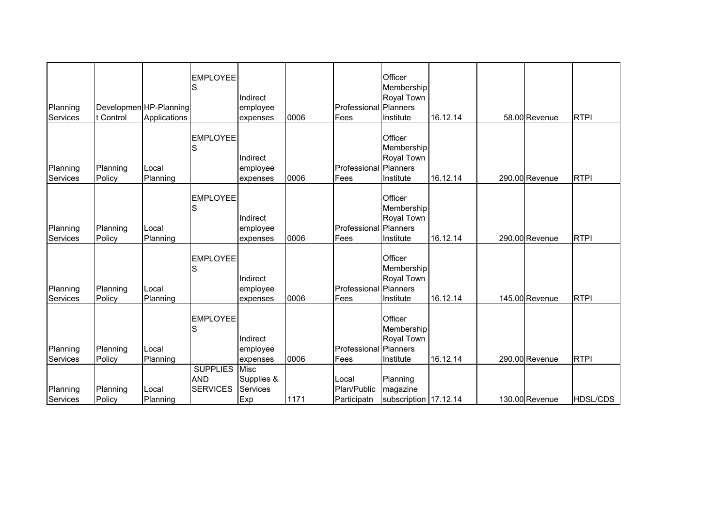| Planning<br>Services | t Control          | Developmen HP-Planning<br>Applications | <b>EMPLOYEE</b><br>S                             | Indirect<br>employee<br>expenses      | 0006 | <b>Professional Planners</b><br>Fees | Officer<br>Membership<br>Royal Town<br>Institute | 16.12.14 | 58.00 Revenue  | <b>RTPI</b>     |
|----------------------|--------------------|----------------------------------------|--------------------------------------------------|---------------------------------------|------|--------------------------------------|--------------------------------------------------|----------|----------------|-----------------|
| Planning<br>Services | Planning<br>Policy | Local<br>Planning                      | <b>EMPLOYEE</b><br>S                             | Indirect<br>employee<br>expenses      | 0006 | Professional Planners<br>Fees        | Officer<br>Membership<br>Royal Town<br>Institute | 16.12.14 | 290.00 Revenue | <b>RTPI</b>     |
| Planning<br>Services | Planning<br>Policy | Local<br>Planning                      | <b>EMPLOYEE</b><br>S                             | Indirect<br>employee<br>expenses      | 0006 | <b>Professional Planners</b><br>Fees | Officer<br>Membership<br>Royal Town<br>Institute | 16.12.14 | 290.00 Revenue | <b>RTPI</b>     |
| Planning<br>Services | Planning<br>Policy | Local<br>Planning                      | <b>EMPLOYEE</b><br>S                             | Indirect<br>employee<br>expenses      | 0006 | <b>Professional Planners</b><br>Fees | Officer<br>Membership<br>Royal Town<br>Institute | 16.12.14 | 145.00 Revenue | <b>RTPI</b>     |
| Planning<br>Services | Planning<br>Policy | Local<br>Planning                      | <b>EMPLOYEE</b><br>S                             | Indirect<br>employee<br>expenses      | 0006 | Professional Planners<br>Fees        | Officer<br>Membership<br>Royal Town<br>Institute | 16.12.14 | 290.00 Revenue | <b>RTPI</b>     |
| Planning<br>Services | Planning<br>Policy | Local<br>Planning                      | <b>SUPPLIES</b><br><b>AND</b><br><b>SERVICES</b> | Misc<br>Supplies &<br>Services<br>Exp | 1171 | Local<br>Plan/Public<br>Participatn  | Planning<br>magazine<br>subscription 17.12.14    |          | 130.00 Revenue | <b>HDSL/CDS</b> |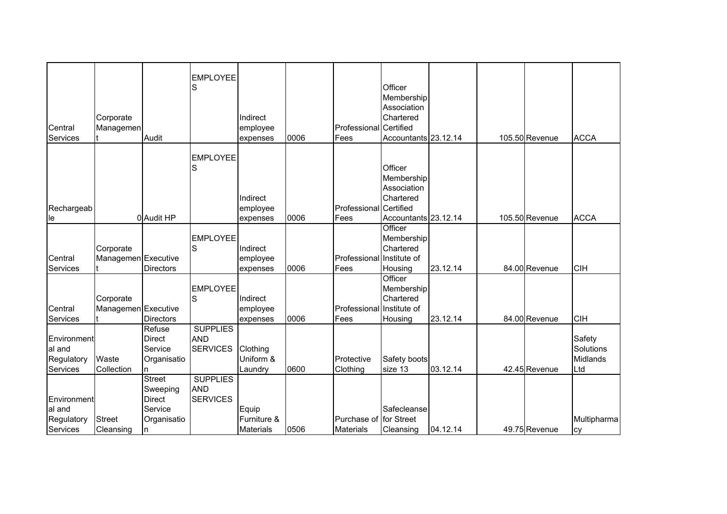| Central<br>Services                             | Corporate<br>Managemen           | Audit                                                                     | <b>EMPLOYEE</b><br>S                             | Indirect<br>employee<br>expenses         | 0006 | Professional Certified<br>Fees             | Officer<br>Membership<br>Association<br>Chartered<br>Accountants 23.12.14 |          | 105.50 Revenue | <b>ACCA</b>                            |
|-------------------------------------------------|----------------------------------|---------------------------------------------------------------------------|--------------------------------------------------|------------------------------------------|------|--------------------------------------------|---------------------------------------------------------------------------|----------|----------------|----------------------------------------|
| Rechargeab<br>le                                |                                  | 0 Audit HP                                                                | <b>EMPLOYEE</b>                                  | Indirect<br>employee<br>expenses         | 0006 | Professional Certified<br>Fees             | Officer<br>Membership<br>Association<br>Chartered<br>Accountants 23.12.14 |          | 105.50 Revenue | <b>ACCA</b>                            |
| Central<br>Services                             | Corporate<br>Managemen Executive | <b>Directors</b>                                                          | <b>EMPLOYEE</b><br>S                             | Indirect<br>employee<br>expenses         | 0006 | Professional Institute of<br>Fees          | Officer<br>Membership<br>Chartered<br>Housing                             | 23.12.14 | 84.00 Revenue  | <b>CIH</b>                             |
| Central<br>Services                             | Corporate<br>Managemen Executive | <b>Directors</b>                                                          | <b>EMPLOYEE</b><br>S                             | Indirect<br>employee<br>expenses         | 0006 | Professional Institute of<br>Fees          | Officer<br>Membership<br>Chartered<br>Housing                             | 23.12.14 | 84.00 Revenue  | <b>CIH</b>                             |
| Environment<br>al and<br>Regulatory<br>Services | Waste<br>Collection              | Refuse<br><b>Direct</b><br>Service<br>Organisatio<br>n                    | <b>SUPPLIES</b><br><b>AND</b><br><b>SERVICES</b> | Clothing<br>Uniform &<br>Laundry         | 0600 | Protective<br>Clothing                     | Safety boots<br>size 13                                                   | 03.12.14 | 42.45 Revenue  | Safety<br>Solutions<br>Midlands<br>Ltd |
| Environment<br>al and<br>Regulatory<br>Services | <b>Street</b><br>Cleansing       | <b>Street</b><br>Sweeping<br><b>Direct</b><br>Service<br>Organisatio<br>n | <b>SUPPLIES</b><br><b>AND</b><br><b>SERVICES</b> | Equip<br>Furniture &<br><b>Materials</b> | 0506 | Purchase of for Street<br><b>Materials</b> | Safecleanse<br>Cleansing                                                  | 04.12.14 | 49.75 Revenue  | Multipharma<br>cy                      |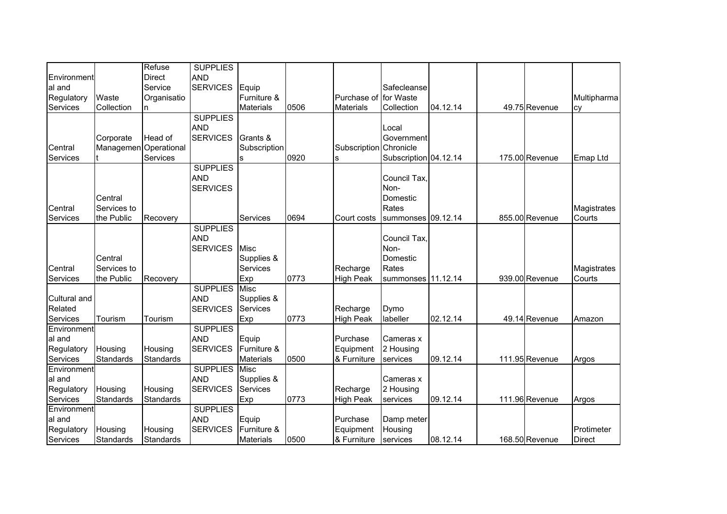| Environment<br>al and |                       | Refuse<br>Direct<br>Service | <b>SUPPLIES</b><br><b>AND</b><br><b>SERVICES</b> | Equip            |      |                       | Safecleanse           |          |                |               |
|-----------------------|-----------------------|-----------------------------|--------------------------------------------------|------------------|------|-----------------------|-----------------------|----------|----------------|---------------|
| Regulatory            | Waste                 | Organisatio                 |                                                  | Furniture &      |      | Purchase of for Waste |                       |          |                | Multipharma   |
| Services              | Collection            | n                           |                                                  | <b>Materials</b> | 0506 | <b>Materials</b>      | Collection            | 04.12.14 | 49.75 Revenue  | cy            |
|                       |                       |                             | <b>SUPPLIES</b>                                  |                  |      |                       |                       |          |                |               |
|                       |                       |                             | <b>AND</b>                                       |                  |      |                       | Local                 |          |                |               |
|                       | Corporate             | Head of                     | <b>SERVICES</b>                                  | Grants &         |      |                       | Government            |          |                |               |
| Central               | Managemen Operational |                             |                                                  | Subscription     |      | Subscription          | Chronicle             |          |                |               |
| Services              |                       | Services                    |                                                  | ls.              | 0920 | s                     | Subscription 04.12.14 |          | 175.00 Revenue | Emap Ltd      |
|                       |                       |                             | <b>SUPPLIES</b>                                  |                  |      |                       |                       |          |                |               |
|                       |                       |                             | <b>AND</b>                                       |                  |      |                       | Council Tax,          |          |                |               |
|                       |                       |                             | <b>SERVICES</b>                                  |                  |      |                       | Non-                  |          |                |               |
|                       | Central               |                             |                                                  |                  |      |                       | Domestic              |          |                |               |
| Central               | Services to           |                             |                                                  |                  |      |                       | Rates                 |          |                | Magistrates   |
| Services              | the Public            | Recovery                    |                                                  | Services         | 0694 | Court costs           | summonses 09.12.14    |          | 855.00 Revenue | Courts        |
|                       |                       |                             | <b>SUPPLIES</b>                                  |                  |      |                       |                       |          |                |               |
|                       |                       |                             | <b>AND</b>                                       |                  |      |                       | Council Tax,          |          |                |               |
|                       |                       |                             | <b>SERVICES</b>                                  | <b>Misc</b>      |      |                       | Non-                  |          |                |               |
|                       | Central               |                             |                                                  | Supplies &       |      |                       | Domestic              |          |                |               |
| Central               | Services to           |                             |                                                  | <b>Services</b>  |      | Recharge              | Rates                 |          |                | Magistrates   |
| Services              | the Public            | Recovery                    |                                                  | Exp              | 0773 | <b>High Peak</b>      | summonses 11.12.14    |          | 939.00 Revenue | Courts        |
|                       |                       |                             | <b>SUPPLIES</b>                                  | Misc             |      |                       |                       |          |                |               |
| Cultural and          |                       |                             | <b>AND</b>                                       | Supplies &       |      |                       |                       |          |                |               |
| Related               |                       |                             | <b>SERVICES</b>                                  | <b>Services</b>  |      | Recharge              | Dymo                  |          |                |               |
| Services              | Tourism               | Tourism                     |                                                  | Exp              | 0773 | <b>High Peak</b>      | labeller              | 02.12.14 | 49.14 Revenue  | Amazon        |
| Environment           |                       |                             | <b>SUPPLIES</b>                                  |                  |      |                       |                       |          |                |               |
| al and                |                       |                             | <b>AND</b>                                       | Equip            |      | Purchase              | Cameras x             |          |                |               |
| Regulatory            | Housing               | Housing                     | <b>SERVICES</b>                                  | Furniture &      |      | Equipment             | 2 Housing             |          |                |               |
| Services              | Standards             | Standards                   |                                                  | <b>Materials</b> | 0500 | & Furniture           | services              | 09.12.14 | 111.95 Revenue | Argos         |
| Environment           |                       |                             | <b>SUPPLIES</b>                                  | <b>Misc</b>      |      |                       |                       |          |                |               |
| al and                |                       |                             | <b>AND</b>                                       | Supplies &       |      |                       | Cameras x             |          |                |               |
| Regulatory            | Housing               | Housing                     | <b>SERVICES</b>                                  | Services         |      | Recharge              | 2 Housing             |          |                |               |
| Services              | Standards             | Standards                   |                                                  | Exp              | 0773 | <b>High Peak</b>      | services              | 09.12.14 | 111.96 Revenue | Argos         |
| Environment           |                       |                             | <b>SUPPLIES</b>                                  |                  |      |                       |                       |          |                |               |
| al and                |                       |                             | <b>AND</b>                                       | Equip            |      | Purchase              | Damp meter            |          |                |               |
| Regulatory            | Housing               | Housing                     | <b>SERVICES</b>                                  | Furniture &      |      | Equipment             | Housing               |          |                | Protimeter    |
| Services              | Standards             | Standards                   |                                                  | <b>Materials</b> | 0500 | & Furniture           | services              | 08.12.14 | 168.50 Revenue | <b>Direct</b> |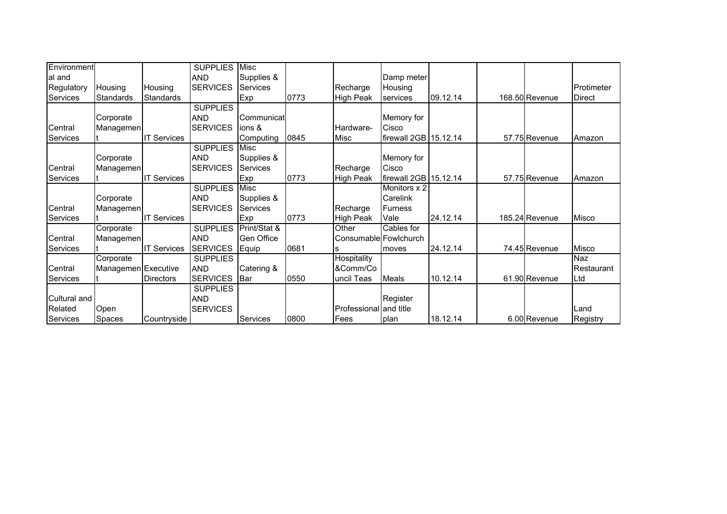| Environment     |                     |                    | <b>SUPPLIES</b> | <b>Misc</b>       |      |                        |                       |          |                |               |
|-----------------|---------------------|--------------------|-----------------|-------------------|------|------------------------|-----------------------|----------|----------------|---------------|
| al and          |                     |                    | <b>AND</b>      | Supplies &        |      |                        | Damp meter            |          |                |               |
| Regulatory      | Housing             | Housing            | <b>SERVICES</b> | Services          |      | Recharge               | Housing               |          |                | Protimeter    |
| Services        | <b>Standards</b>    | <b>Standards</b>   |                 | Exp               | 0773 | <b>High Peak</b>       | services              | 09.12.14 | 168.50 Revenue | <b>Direct</b> |
|                 |                     |                    | <b>SUPPLIES</b> |                   |      |                        |                       |          |                |               |
|                 | Corporate           |                    | <b>AND</b>      | Communicat        |      |                        | Memory for            |          |                |               |
| Central         | Managemen           |                    | <b>SERVICES</b> | ions &            |      | Hardware-              | Cisco                 |          |                |               |
| <b>Services</b> |                     | <b>IT Services</b> |                 | Computing         | 0845 | Misc                   | firewall 2GB 15.12.14 |          | 57.75 Revenue  | Amazon        |
|                 |                     |                    | <b>SUPPLIES</b> | <b>Misc</b>       |      |                        |                       |          |                |               |
|                 | Corporate           |                    | <b>AND</b>      | Supplies &        |      |                        | Memory for            |          |                |               |
| Central         | Managemen           |                    | <b>SERVICES</b> | Services          |      | Recharge               | Cisco                 |          |                |               |
| Services        |                     | <b>IT Services</b> |                 | Exp               | 0773 | <b>High Peak</b>       | firewall 2GB 15.12.14 |          | 57.75 Revenue  | Amazon        |
|                 |                     |                    | <b>SUPPLIES</b> | Misc              |      |                        | Monitors x 2          |          |                |               |
|                 | Corporate           |                    | <b>AND</b>      | Supplies &        |      |                        | Carelink              |          |                |               |
| Central         | Managemen           |                    | <b>SERVICES</b> | Services          |      | Recharge               | <b>Furness</b>        |          |                |               |
| Services        |                     | <b>IT Services</b> |                 | Exp               | 0773 | <b>High Peak</b>       | Vale                  | 24.12.14 | 185.24 Revenue | Misco         |
|                 | Corporate           |                    | <b>SUPPLIES</b> | Print/Stat &      |      | Other                  | Cables for            |          |                |               |
| Central         | Managemen           |                    | <b>AND</b>      | <b>Gen Office</b> |      | Consumable Fowlchurch  |                       |          |                |               |
| Services        |                     | <b>IT Services</b> | <b>SERVICES</b> | Equip             | 0681 | ls                     | moves                 | 24.12.14 | 74.45 Revenue  | Misco         |
|                 | Corporate           |                    | <b>SUPPLIES</b> |                   |      | Hospitality            |                       |          |                | <b>Naz</b>    |
| Central         | Managemen Executive |                    | <b>AND</b>      | Catering &        |      | &Comm/Co               |                       |          |                | Restaurant    |
| Services        |                     | Directors          | <b>SERVICES</b> | <b>I</b> Bar      | 0550 | uncil Teas             | Meals                 | 10.12.14 | 61.90 Revenue  | Ltd           |
|                 |                     |                    | <b>SUPPLIES</b> |                   |      |                        |                       |          |                |               |
| Cultural and    |                     |                    | <b>AND</b>      |                   |      |                        | Register              |          |                |               |
| Related         | Open                |                    | <b>SERVICES</b> |                   |      | Professional and title |                       |          |                | Land          |
| Services        | Spaces              | Countryside        |                 | <b>Services</b>   | 0800 | <b>IFees</b>           | plan                  | 18.12.14 | 6.00 Revenue   | Registry      |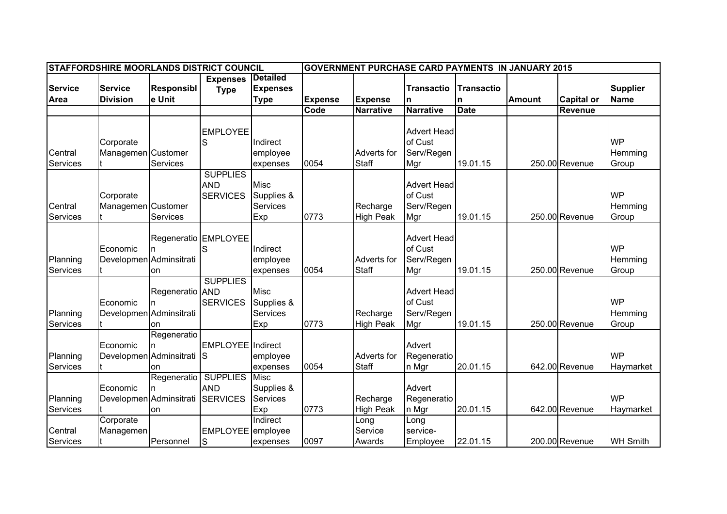|                | STAFFORDSHIRE MOORLANDS DISTRICT COUNCIL |                   |                      |                 |                |                    | <b>GOVERNMENT PURCHASE CARD PAYMENTS IN JANUARY 2015</b> |                   |               |                   |                 |
|----------------|------------------------------------------|-------------------|----------------------|-----------------|----------------|--------------------|----------------------------------------------------------|-------------------|---------------|-------------------|-----------------|
|                |                                          |                   | <b>Expenses</b>      | <b>Detailed</b> |                |                    |                                                          |                   |               |                   |                 |
| <b>Service</b> | <b>Service</b>                           | <b>Responsibl</b> | <b>Type</b>          | <b>Expenses</b> |                |                    | <b>Transactio</b>                                        | <b>Transactio</b> |               |                   | <b>Supplier</b> |
| Area           | <b>Division</b>                          | e Unit            |                      | <b>Type</b>     | <b>Expense</b> | Expense            | n                                                        | n                 | <b>Amount</b> | <b>Capital or</b> | <b>Name</b>     |
|                |                                          |                   |                      |                 | Code           | <b>Narrative</b>   | <b>Narrative</b>                                         | <b>Date</b>       |               | Revenue           |                 |
|                |                                          |                   |                      |                 |                |                    |                                                          |                   |               |                   |                 |
|                |                                          |                   | <b>EMPLOYEE</b>      |                 |                |                    | <b>Advert Head</b>                                       |                   |               |                   |                 |
|                | Corporate                                |                   | S                    | Indirect        |                |                    | of Cust                                                  |                   |               |                   | <b>WP</b>       |
| Central        | Managemen Customer                       |                   |                      | employee        |                | <b>Adverts for</b> | Serv/Regen                                               |                   |               |                   | Hemming         |
| Services       |                                          | Services          |                      | expenses        | 0054           | <b>Staff</b>       | Mgr                                                      | 19.01.15          |               | 250.00 Revenue    | Group           |
|                |                                          |                   | <b>SUPPLIES</b>      |                 |                |                    |                                                          |                   |               |                   |                 |
|                |                                          |                   | <b>AND</b>           | <b>Misc</b>     |                |                    | <b>Advert Head</b>                                       |                   |               |                   |                 |
|                | Corporate                                |                   | <b>SERVICES</b>      | Supplies &      |                |                    | of Cust                                                  |                   |               |                   | <b>WP</b>       |
| Central        | Managemen Customer                       |                   |                      | Services        |                | Recharge           | Serv/Regen                                               |                   |               |                   | Hemming         |
| Services       |                                          | <b>Services</b>   |                      | Exp             | 0773           | <b>High Peak</b>   | Mgr                                                      | 19.01.15          |               | 250.00 Revenue    | Group           |
|                |                                          |                   |                      |                 |                |                    |                                                          |                   |               |                   |                 |
|                |                                          |                   | Regeneratio EMPLOYEE |                 |                |                    | <b>Advert Head</b>                                       |                   |               |                   |                 |
|                | Economic                                 | In.               | S                    | Indirect        |                |                    | of Cust                                                  |                   |               |                   | <b>WP</b>       |
| Planning       | Developmen Adminsitrati                  |                   |                      | employee        |                | Adverts for        | Serv/Regen                                               |                   |               |                   | Hemming         |
| Services       |                                          | on                |                      | expenses        | 0054           | <b>Staff</b>       | Mgr                                                      | 19.01.15          |               | 250.00 Revenue    | Group           |
|                |                                          |                   | <b>SUPPLIES</b>      |                 |                |                    |                                                          |                   |               |                   |                 |
|                |                                          | Regeneratio AND   |                      | <b>Misc</b>     |                |                    | <b>Advert Head</b>                                       |                   |               |                   |                 |
|                | Economic                                 | n                 | <b>SERVICES</b>      | Supplies &      |                |                    | of Cust                                                  |                   |               |                   | <b>WP</b>       |
| Planning       | Developmen Adminsitrati                  |                   |                      | Services        |                | Recharge           | Serv/Regen                                               |                   |               |                   | Hemming         |
| Services       |                                          | on                |                      | Exp             | 0773           | <b>High Peak</b>   | Mgr                                                      | 19.01.15          |               | 250.00 Revenue    | Group           |
|                |                                          | Regeneratio       |                      |                 |                |                    |                                                          |                   |               |                   |                 |
|                | Economic                                 |                   | EMPLOYEE Indirect    |                 |                |                    | Advert                                                   |                   |               |                   |                 |
| Planning       | Developmen Adminsitrati                  |                   | ls                   | employee        |                | Adverts for        | Regeneratio                                              |                   |               |                   | <b>WP</b>       |
| Services       |                                          | on                |                      | expenses        | 0054           | <b>Staff</b>       | n Mgr                                                    | 20.01.15          |               | 642.00 Revenue    | Haymarket       |
|                |                                          | Regeneratio       | <b>SUPPLIES</b>      | Misc            |                |                    |                                                          |                   |               |                   |                 |
|                | Economic                                 |                   | <b>AND</b>           | Supplies &      |                |                    | Advert                                                   |                   |               |                   |                 |
| Planning       | Developmen Adminsitrati                  |                   | <b>SERVICES</b>      | Services        |                | Recharge           | Regeneratio                                              |                   |               |                   | <b>WP</b>       |
| Services       |                                          | on                |                      | Exp             | 0773           | <b>High Peak</b>   | n Mgr                                                    | 20.01.15          |               | 642.00 Revenue    | Haymarket       |
|                | Corporate                                |                   |                      | Indirect        |                | Long               | Long                                                     |                   |               |                   |                 |
| Central        | Managemen                                |                   | EMPLOYEE employee    |                 |                | Service            | service-                                                 |                   |               |                   |                 |
| Services       |                                          | Personnel         | S                    | expenses        | 0097           | Awards             | Employee                                                 | 22.01.15          |               | 200.00 Revenue    | <b>WH Smith</b> |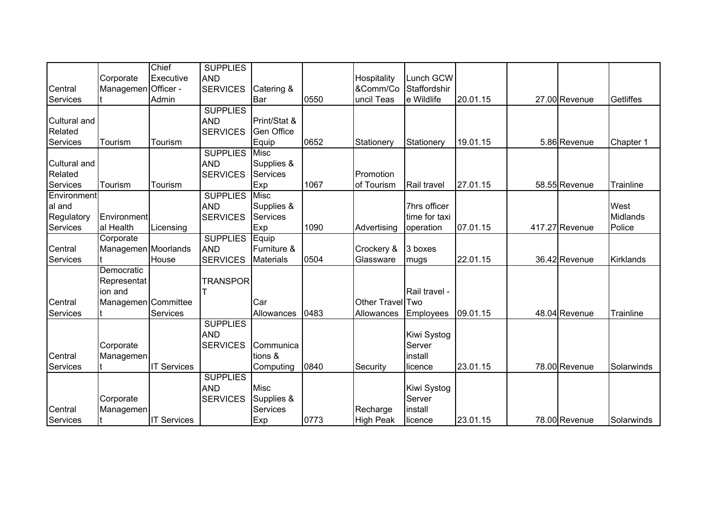|                     |                     | Chief              | <b>SUPPLIES</b> |              |      |                  |               |          |                |                  |
|---------------------|---------------------|--------------------|-----------------|--------------|------|------------------|---------------|----------|----------------|------------------|
|                     | Corporate           | Executive          | <b>AND</b>      |              |      | Hospitality      | Lunch GCW     |          |                |                  |
| Central             | Managemen           | Officer -          | <b>SERVICES</b> | Catering &   |      | &Comm/Co         | Staffordshir  |          |                |                  |
| Services            |                     | Admin              |                 | Bar          | 0550 | uncil Teas       | e Wildlife    | 20.01.15 | 27.00 Revenue  | Getliffes        |
|                     |                     |                    | <b>SUPPLIES</b> |              |      |                  |               |          |                |                  |
| <b>Cultural and</b> |                     |                    | <b>AND</b>      | Print/Stat & |      |                  |               |          |                |                  |
| Related             |                     |                    | <b>SERVICES</b> | Gen Office   |      |                  |               |          |                |                  |
| Services            | Tourism             | Tourism            |                 | Equip        | 0652 | Stationery       | Stationery    | 19.01.15 | 5.86 Revenue   | Chapter 1        |
|                     |                     |                    | <b>SUPPLIES</b> | <b>Misc</b>  |      |                  |               |          |                |                  |
| <b>Cultural and</b> |                     |                    | <b>AND</b>      | Supplies &   |      |                  |               |          |                |                  |
| Related             |                     |                    | <b>SERVICES</b> | Services     |      | Promotion        |               |          |                |                  |
| Services            | Tourism             | Tourism            |                 | Exp          | 1067 | of Tourism       | Rail travel   | 27.01.15 | 58.55 Revenue  | <b>Trainline</b> |
| Environment         |                     |                    | <b>SUPPLIES</b> | Misc         |      |                  |               |          |                |                  |
| al and              |                     |                    | <b>AND</b>      | Supplies &   |      |                  | 7hrs officer  |          |                | West             |
| Regulatory          | <b>Environment</b>  |                    | <b>SERVICES</b> | Services     |      |                  | time for taxi |          |                | Midlands         |
| Services            | al Health           | Licensing          |                 | Exp          | 1090 | Advertising      | operation     | 07.01.15 | 417.27 Revenue | Police           |
|                     | Corporate           |                    | <b>SUPPLIES</b> | Equip        |      |                  |               |          |                |                  |
| Central             | Managemen Moorlands |                    | <b>AND</b>      | Furniture &  |      | Crockery &       | 3 boxes       |          |                |                  |
| Services            |                     | House              | <b>SERVICES</b> | Materials    | 0504 | Glassware        | mugs          | 22.01.15 | 36.42 Revenue  | <b>Kirklands</b> |
|                     | Democratic          |                    |                 |              |      |                  |               |          |                |                  |
|                     | Representat         |                    | <b>TRANSPOR</b> |              |      |                  |               |          |                |                  |
|                     | ion and             |                    |                 |              |      |                  | Rail travel - |          |                |                  |
| Central             | Managemen Committee |                    |                 | Car          |      | Other Travel Two |               |          |                |                  |
| Services            |                     | Services           |                 | Allowances   | 0483 | Allowances       | Employees     | 09.01.15 | 48.04 Revenue  | Trainline        |
|                     |                     |                    | <b>SUPPLIES</b> |              |      |                  |               |          |                |                  |
|                     |                     |                    | <b>AND</b>      |              |      |                  | Kiwi Systog   |          |                |                  |
|                     | Corporate           |                    | <b>SERVICES</b> | Communica    |      |                  | Server        |          |                |                  |
| Central             | Managemen           |                    |                 | tions &      |      |                  | install       |          |                |                  |
| Services            |                     | <b>IT Services</b> |                 | Computing    | 0840 | Security         | licence       | 23.01.15 | 78.00 Revenue  | Solarwinds       |
|                     |                     |                    | <b>SUPPLIES</b> |              |      |                  |               |          |                |                  |
|                     |                     |                    | <b>AND</b>      | <b>Misc</b>  |      |                  | Kiwi Systog   |          |                |                  |
|                     | Corporate           |                    | <b>SERVICES</b> | Supplies &   |      |                  | Server        |          |                |                  |
| Central             | Managemen           |                    |                 | Services     |      | Recharge         | install       |          |                |                  |
| Services            |                     | <b>IT Services</b> |                 | Exp          | 0773 | <b>High Peak</b> | licence       | 23.01.15 | 78.00 Revenue  | Solarwinds       |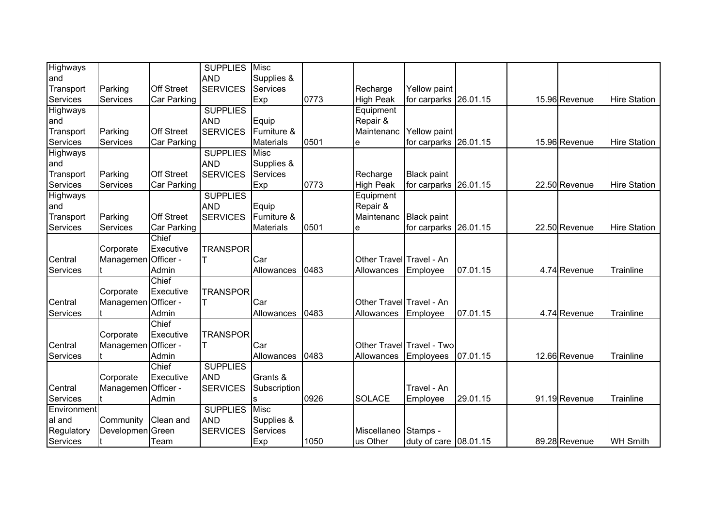| Highways        |                     |                   | <b>SUPPLIES</b>      | Misc             |      |                          |                           |          |               |                     |
|-----------------|---------------------|-------------------|----------------------|------------------|------|--------------------------|---------------------------|----------|---------------|---------------------|
| land            |                     |                   | <b>AND</b>           | Supplies &       |      |                          |                           |          |               |                     |
| Transport       | Parking             | <b>Off Street</b> | <b>SERVICES</b>      | <b>Services</b>  |      | Recharge                 | Yellow paint              |          |               |                     |
| Services        | Services            | Car Parking       |                      | Exp              | 0773 | <b>High Peak</b>         | for carparks 26.01.15     |          | 15.96 Revenue | <b>Hire Station</b> |
| <b>Highways</b> |                     |                   | <b>SUPPLIES</b>      |                  |      | Equipment                |                           |          |               |                     |
| and             |                     |                   | <b>AND</b>           | Equip            |      | Repair &                 |                           |          |               |                     |
| Transport       | Parking             | <b>Off Street</b> | <b>SERVICES</b>      | Furniture &      |      | Maintenanc               | Yellow paint              |          |               |                     |
| Services        | Services            | Car Parking       |                      | <b>Materials</b> | 0501 | e                        | for carparks              | 26.01.15 | 15.96 Revenue | <b>Hire Station</b> |
| Highways        |                     |                   | <b>SUPPLIES</b>      | <b>Misc</b>      |      |                          |                           |          |               |                     |
| and             |                     |                   | <b>AND</b>           | Supplies &       |      |                          |                           |          |               |                     |
| Transport       | Parking             | <b>Off Street</b> | <b>SERVICES</b>      | Services         |      | Recharge                 | <b>Black paint</b>        |          |               |                     |
| Services        | Services            | Car Parking       |                      | Exp              | 0773 | <b>High Peak</b>         | for carparks              | 26.01.15 | 22.50 Revenue | <b>Hire Station</b> |
| Highways        |                     |                   | <b>SUPPLIES</b>      |                  |      | Equipment                |                           |          |               |                     |
| and             |                     |                   | <b>AND</b>           | Equip            |      | Repair &                 |                           |          |               |                     |
| Transport       | Parking             | <b>Off Street</b> | <b>SERVICES</b>      | Furniture &      |      | Maintenanc               | <b>Black paint</b>        |          |               |                     |
| Services        | Services            | Car Parking       |                      | <b>Materials</b> | 0501 | е                        | for carparks              | 26.01.15 | 22.50 Revenue | <b>Hire Station</b> |
|                 |                     | Chief             |                      |                  |      |                          |                           |          |               |                     |
|                 | Corporate           | Executive         | <b>TRANSPOR</b>      |                  |      |                          |                           |          |               |                     |
| Central         | Managemen           | Officer -         |                      | Car              |      | Other Travel Travel - An |                           |          |               |                     |
| <b>Services</b> |                     | Admin             |                      | Allowances       | 0483 | Allowances               | Employee                  | 07.01.15 | 4.74 Revenue  | Trainline           |
|                 |                     | Chief             |                      |                  |      |                          |                           |          |               |                     |
|                 | Corporate           | Executive         | <b>TRANSPOR</b>      |                  |      |                          |                           |          |               |                     |
| Central         | Managemen           | Officer -         |                      | Car              |      | Other Travel Travel - An |                           |          |               |                     |
| <b>Services</b> |                     | Admin             |                      | Allowances       | 0483 | Allowances               | Employee                  | 07.01.15 | 4.74 Revenue  | Trainline           |
|                 |                     | Chief             |                      |                  |      |                          |                           |          |               |                     |
|                 | Corporate           | Executive         | <b>TRANSPOR</b>      |                  |      |                          |                           |          |               |                     |
| Central         | Managemen           | Officer -         | lΤ                   | Car              |      |                          | Other Travel Travel - Two |          |               |                     |
| Services        |                     | Admin             |                      | Allowances       | 0483 | Allowances               | Employees                 | 07.01.15 | 12.66 Revenue | Trainline           |
|                 |                     | Chief             | <b>SUPPLIES</b>      |                  |      |                          |                           |          |               |                     |
|                 | Corporate           | Executive         | <b>AND</b>           | Grants &         |      |                          |                           |          |               |                     |
| Central         | Managemen Officer - |                   | <b>SERVICES</b>      | Subscription     |      |                          | Travel - An               |          |               |                     |
| Services        |                     | Admin             |                      |                  | 0926 | <b>SOLACE</b>            | Employee                  | 29.01.15 | 91.19 Revenue | Trainline           |
| Environment     |                     |                   | <b>SUPPLIES Misc</b> |                  |      |                          |                           |          |               |                     |
| al and          | Community           | Clean and         | <b>AND</b>           | Supplies &       |      |                          |                           |          |               |                     |
| Regulatory      | Developmen Green    |                   | <b>SERVICES</b>      | Services         |      | Miscellaneo              | Stamps -                  |          |               |                     |
| Services        |                     | Team              |                      | Exp              | 1050 | us Other                 | duty of care 08.01.15     |          | 89.28 Revenue | <b>WH Smith</b>     |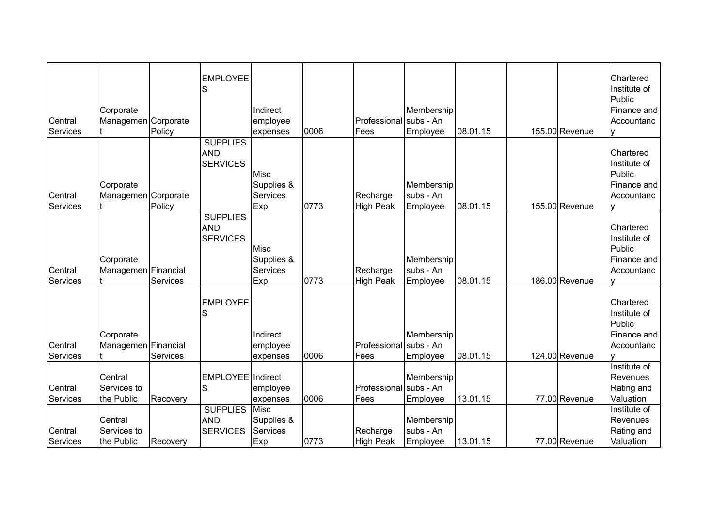| Central<br>Services | Corporate<br>Managemen Corporate                | Policy          | <b>EMPLOYEE</b><br>S                                    | Indirect<br>employee<br>expenses                    | 0006 | Professional<br>Fees           | Membership<br>subs - An<br>Employee  | 08.01.15 | 155.00 Revenue | Chartered<br>Institute of<br>Public<br>Finance and<br>Accountanc<br>v           |
|---------------------|-------------------------------------------------|-----------------|---------------------------------------------------------|-----------------------------------------------------|------|--------------------------------|--------------------------------------|----------|----------------|---------------------------------------------------------------------------------|
| Central<br>Services | Corporate<br>Managemen Corporate                | Policy          | <b>SUPPLIES</b><br><b>AND</b><br><b>SERVICES</b>        | <b>Misc</b><br>Supplies &<br><b>Services</b><br>Exp | 0773 | Recharge<br><b>High Peak</b>   | Membership<br>subs - An<br>Employee  | 08.01.15 | 155.00 Revenue | Chartered<br>Institute of<br>Public<br>Finance and<br>Accountanc                |
| Central<br>Services | Corporate<br>Managemen Financial                | <b>Services</b> | <b>SUPPLIES</b><br><b>AND</b><br><b>SERVICES</b>        | <b>Misc</b><br>Supplies &<br>Services<br>Exp        | 0773 | Recharge<br><b>High Peak</b>   | Membership<br>subs - An<br>Employee  | 08.01.15 | 186.00 Revenue | Chartered<br>Institute of<br>Public<br>Finance and<br>Accountanc                |
| Central<br>Services | Corporate<br>Managemen Financial                | Services        | <b>EMPLOYEE</b><br>S                                    | Indirect<br>employee<br>expenses                    | 0006 | Professional subs - An<br>Fees | Membership<br>Employee               | 08.01.15 | 124.00 Revenue | Chartered<br>Institute of<br>Public<br>Finance and<br>Accountanc                |
| Central<br>Services | Central<br>Services to<br>the Public<br>Central | Recovery        | EMPLOYEE Indirect<br>S<br><b>SUPPLIES</b><br><b>AND</b> | employee<br>expenses<br>Misc<br>Supplies &          | 0006 | Professional subs - An<br>Fees | Membership<br>Employee<br>Membership | 13.01.15 | 77.00 Revenue  | Institute of<br>Revenues<br>Rating and<br>Valuation<br>Institute of<br>Revenues |
| Central<br>Services | Services to<br>the Public                       | Recovery        | <b>SERVICES</b>                                         | Services<br>Exp                                     | 0773 | Recharge<br><b>High Peak</b>   | subs - An<br>Employee                | 13.01.15 | 77.00 Revenue  | Rating and<br>Valuation                                                         |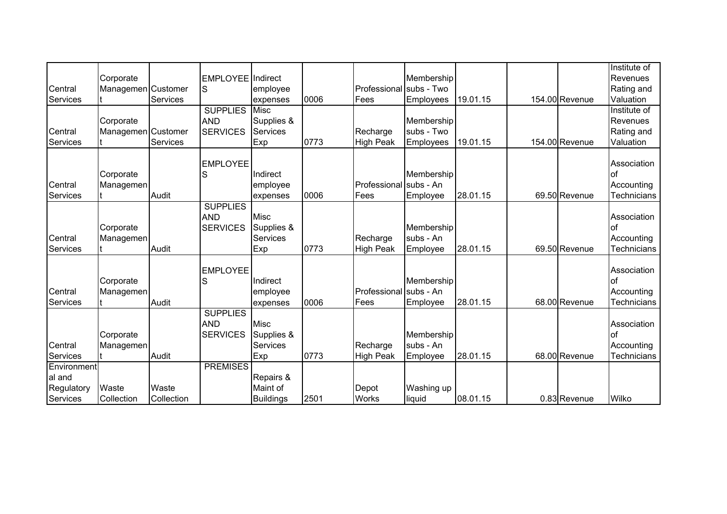|             |                    |                 |                          |                  |      |                         |            |          |                | Institute of       |
|-------------|--------------------|-----------------|--------------------------|------------------|------|-------------------------|------------|----------|----------------|--------------------|
|             | Corporate          |                 | <b>EMPLOYEE</b> Indirect |                  |      |                         | Membership |          |                | Revenues           |
| Central     | Managemen Customer |                 | S                        | employee         |      | Professional subs - Two |            |          |                | Rating and         |
| Services    |                    | Services        |                          | expenses         | 0006 | Fees                    | Employees  | 19.01.15 | 154.00 Revenue | Valuation          |
|             |                    |                 | <b>SUPPLIES</b>          | <b>Misc</b>      |      |                         |            |          |                | Institute of       |
|             | Corporate          |                 | <b>AND</b>               | Supplies &       |      |                         | Membership |          |                | Revenues           |
| Central     | Managemen Customer |                 | <b>SERVICES</b>          | Services         |      | Recharge                | subs - Two |          |                | Rating and         |
| Services    |                    | <b>Services</b> |                          | Exp              | 0773 | <b>High Peak</b>        | Employees  | 19.01.15 | 154.00 Revenue | Valuation          |
|             |                    |                 |                          |                  |      |                         |            |          |                |                    |
|             |                    |                 | <b>EMPLOYEE</b>          |                  |      |                         |            |          |                | Association        |
|             | Corporate          |                 | S                        | Indirect         |      |                         | Membership |          |                | lof                |
| Central     | Managemen          |                 |                          | employee         |      | Professional subs - An  |            |          |                | Accounting         |
| Services    |                    | Audit           |                          | expenses         | 0006 | Fees                    | Employee   | 28.01.15 | 69.50 Revenue  | <b>Technicians</b> |
|             |                    |                 | <b>SUPPLIES</b>          |                  |      |                         |            |          |                |                    |
|             |                    |                 | <b>AND</b>               | Misc             |      |                         |            |          |                | Association        |
|             | Corporate          |                 | <b>SERVICES</b>          | Supplies &       |      |                         | Membership |          |                | lof                |
| Central     | Managemen          |                 |                          | <b>Services</b>  |      | Recharge                | subs - An  |          |                | Accounting         |
| Services    |                    | Audit           |                          | Exp              | 0773 | <b>High Peak</b>        | Employee   | 28.01.15 | 69.50 Revenue  | <b>Technicians</b> |
|             |                    |                 |                          |                  |      |                         |            |          |                |                    |
|             |                    |                 | <b>EMPLOYEE</b>          |                  |      |                         |            |          |                | Association        |
|             | Corporate          |                 | S                        | Indirect         |      |                         | Membership |          |                | lof                |
| Central     | Managemen          |                 |                          | employee         |      | Professional Isubs - An |            |          |                | Accounting         |
| Services    |                    | Audit           |                          | expenses         | 0006 | Fees                    | Employee   | 28.01.15 | 68.00 Revenue  | <b>Technicians</b> |
|             |                    |                 | <b>SUPPLIES</b>          |                  |      |                         |            |          |                |                    |
|             |                    |                 | <b>AND</b>               | Misc             |      |                         |            |          |                | Association        |
|             | Corporate          |                 | <b>SERVICES</b>          | Supplies &       |      |                         | Membership |          |                | lof                |
| Central     | Managemen          |                 |                          | Services         |      | Recharge                | subs - An  |          |                | Accounting         |
| Services    |                    | Audit           |                          | Exp              | 0773 | <b>High Peak</b>        | Employee   | 28.01.15 | 68.00 Revenue  | <b>Technicians</b> |
| Environment |                    |                 | <b>PREMISES</b>          |                  |      |                         |            |          |                |                    |
| al and      |                    |                 |                          | Repairs &        |      |                         |            |          |                |                    |
| Regulatory  | Waste              | Waste           |                          | Maint of         |      | Depot                   | Washing up |          |                |                    |
| Services    | Collection         | Collection      |                          | <b>Buildings</b> | 2501 | <b>Works</b>            | liquid     | 08.01.15 | 0.83 Revenue   | Wilko              |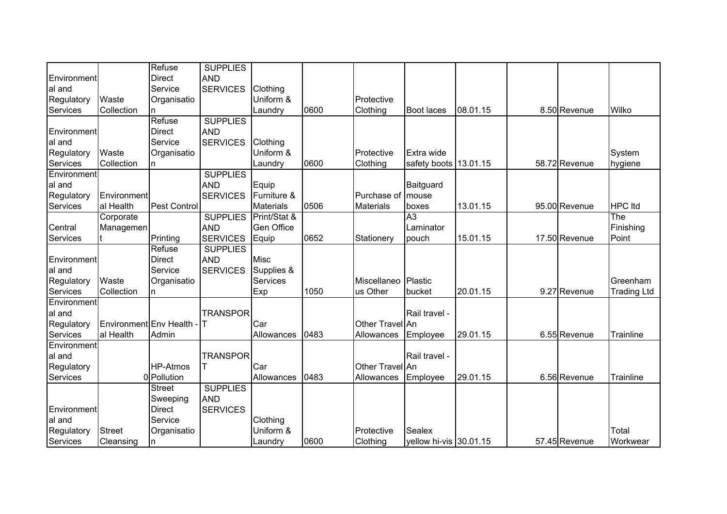|             |                        | Refuse          | <b>SUPPLIES</b> |                  |      |                  |                        |          |               |                    |
|-------------|------------------------|-----------------|-----------------|------------------|------|------------------|------------------------|----------|---------------|--------------------|
| Environment |                        | <b>Direct</b>   | <b>AND</b>      |                  |      |                  |                        |          |               |                    |
| al and      |                        | Service         | <b>SERVICES</b> | Clothing         |      |                  |                        |          |               |                    |
| Regulatory  | Waste                  | Organisatio     |                 | Uniform &        |      | Protective       |                        |          |               |                    |
| Services    | Collection             |                 |                 | Laundry          | 0600 | Clothing         | <b>Boot laces</b>      | 08.01.15 | 8.50 Revenue  | Wilko              |
|             |                        | Refuse          | <b>SUPPLIES</b> |                  |      |                  |                        |          |               |                    |
| Environment |                        | <b>Direct</b>   | <b>AND</b>      |                  |      |                  |                        |          |               |                    |
| al and      |                        | Service         | <b>SERVICES</b> | Clothing         |      |                  |                        |          |               |                    |
| Regulatory  | Waste                  | Organisatio     |                 | Uniform &        |      | Protective       | Extra wide             |          |               | System             |
| Services    | Collection             | n.              |                 | Laundry          | 0600 | Clothing         | safety boots 13.01.15  |          | 58.72 Revenue | hygiene            |
| Environment |                        |                 | <b>SUPPLIES</b> |                  |      |                  |                        |          |               |                    |
| al and      |                        |                 | <b>AND</b>      | Equip            |      |                  | Baitguard              |          |               |                    |
| Regulatory  | Environment            |                 | <b>SERVICES</b> | Furniture &      |      | Purchase of      | mouse                  |          |               |                    |
| Services    | al Health              | Pest Control    |                 | <b>Materials</b> | 0506 | <b>Materials</b> | boxes                  | 13.01.15 | 95.00 Revenue | <b>HPC</b> Itd     |
|             | Corporate              |                 | <b>SUPPLIES</b> | Print/Stat &     |      |                  | $\overline{A3}$        |          |               | The                |
| Central     | Managemen              |                 | <b>AND</b>      | Gen Office       |      |                  | Laminator              |          |               | Finishing          |
| Services    |                        | Printing        | <b>SERVICES</b> | Equip            | 0652 | Stationery       | pouch                  | 15.01.15 | 17.50 Revenue | Point              |
|             |                        | Refuse          | <b>SUPPLIES</b> |                  |      |                  |                        |          |               |                    |
| Environment |                        | <b>Direct</b>   | <b>AND</b>      | <b>Misc</b>      |      |                  |                        |          |               |                    |
| al and      |                        | Service         | <b>SERVICES</b> | Supplies &       |      |                  |                        |          |               |                    |
| Regulatory  | Waste                  | Organisatio     |                 | <b>Services</b>  |      | Miscellaneo      | Plastic                |          |               | Greenham           |
| Services    | Collection             | n               |                 | Exp              | 1050 | us Other         | bucket                 | 20.01.15 | 9.27 Revenue  | <b>Trading Ltd</b> |
| Environment |                        |                 |                 |                  |      |                  |                        |          |               |                    |
| al and      |                        |                 | <b>TRANSPOR</b> |                  |      |                  | Rail travel -          |          |               |                    |
| Regulatory  | Environment Env Health |                 | lΤ              | Car              |      | Other Travel An  |                        |          |               |                    |
| Services    | al Health              | Admin           |                 | Allowances       | 0483 | Allowances       | Employee               | 29.01.15 | 6.55 Revenue  | <b>Trainline</b>   |
| Environment |                        |                 |                 |                  |      |                  |                        |          |               |                    |
| al and      |                        |                 | <b>TRANSPOR</b> |                  |      |                  | Rail travel -          |          |               |                    |
| Regulatory  |                        | <b>HP-Atmos</b> | lΤ              | Car              |      | Other TravellAn  |                        |          |               |                    |
| Services    |                        | 0 Pollution     |                 | Allowances       | 0483 | Allowances       | Employee               | 29.01.15 | 6.56 Revenue  | <b>Trainline</b>   |
|             |                        | <b>Street</b>   | <b>SUPPLIES</b> |                  |      |                  |                        |          |               |                    |
|             |                        | Sweeping        | <b>AND</b>      |                  |      |                  |                        |          |               |                    |
| Environment |                        | <b>Direct</b>   | <b>SERVICES</b> |                  |      |                  |                        |          |               |                    |
| al and      |                        | Service         |                 | Clothing         |      |                  |                        |          |               |                    |
| Regulatory  | <b>Street</b>          | Organisatio     |                 | Uniform &        |      | Protective       | <b>Sealex</b>          |          |               | Total              |
| Services    | Cleansing              | n               |                 | Laundry          | 0600 | Clothing         | yellow hi-vis 30.01.15 |          | 57.45 Revenue | Workwear           |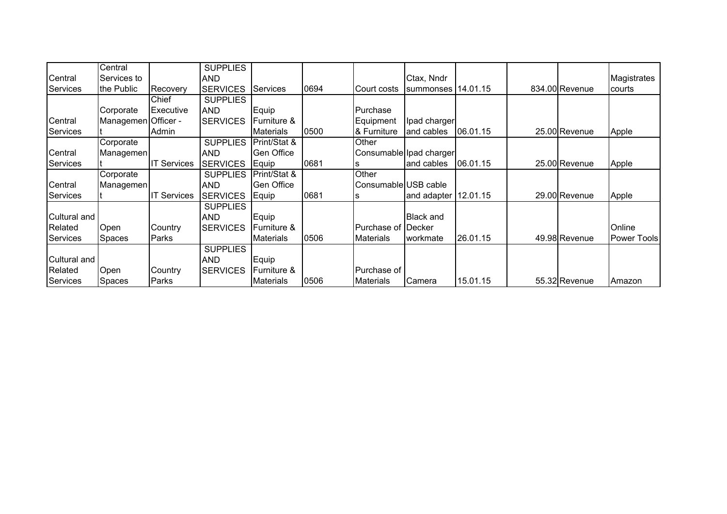|                 | Central             |                    | <b>SUPPLIES</b> |                   |      |                      |                         |          |                |                    |
|-----------------|---------------------|--------------------|-----------------|-------------------|------|----------------------|-------------------------|----------|----------------|--------------------|
| Central         | Services to         |                    | <b>AND</b>      |                   |      |                      | Ctax, Nndr              |          |                | Magistrates        |
| <b>Services</b> | the Public          | Recovery           | <b>SERVICES</b> | <b>Services</b>   | 0694 | Court costs          | summonses   14.01.15    |          | 834.00 Revenue | courts             |
|                 |                     | Chief              | <b>SUPPLIES</b> |                   |      |                      |                         |          |                |                    |
|                 | Corporate           | <b>Executive</b>   | <b>AND</b>      | Equip             |      | Purchase             |                         |          |                |                    |
| Central         | Managemen Officer - |                    | <b>SERVICES</b> | Furniture &       |      | Equipment            | Ipad charger            |          |                |                    |
| Services        |                     | Admin              |                 | <b>Materials</b>  | 0500 | & Furniture          | and cables              | 06.01.15 | 25.00 Revenue  | Apple              |
|                 | Corporate           |                    | <b>SUPPLIES</b> | Print/Stat &      |      | Other                |                         |          |                |                    |
| Central         | Managemen           |                    | <b>AND</b>      | <b>Gen Office</b> |      |                      | Consumable Ipad charger |          |                |                    |
| <b>Services</b> |                     | <b>IT Services</b> | <b>SERVICES</b> | Equip             | 0681 |                      | and cables              | 06.01.15 | 25.00 Revenue  | Apple              |
|                 | Corporate           |                    | <b>SUPPLIES</b> | Print/Stat &      |      | Other                |                         |          |                |                    |
| Central         | Managemen           |                    | <b>AND</b>      | <b>Gen Office</b> |      | Consumable USB cable |                         |          |                |                    |
| <b>Services</b> |                     | <b>IT Services</b> | <b>SERVICES</b> | Equip             | 0681 | s                    | and adapter             | 12.01.15 | 29.00 Revenue  | Apple              |
|                 |                     |                    | <b>SUPPLIES</b> |                   |      |                      |                         |          |                |                    |
| Cultural and    |                     |                    | <b>AND</b>      | Equip             |      |                      | <b>Black</b> and        |          |                |                    |
| Related         | Open                | Country            | <b>SERVICES</b> | Furniture &       |      | Purchase of Decker   |                         |          |                | Online             |
| <b>Services</b> | <b>Spaces</b>       | Parks              |                 | Materials         | 0506 | <b>Materials</b>     | <b>workmate</b>         | 26.01.15 | 49.98 Revenue  | <b>Power Tools</b> |
|                 |                     |                    | <b>SUPPLIES</b> |                   |      |                      |                         |          |                |                    |
| Cultural and    |                     |                    | <b>AND</b>      | Equip             |      |                      |                         |          |                |                    |
| Related         | Open                | Country            | <b>SERVICES</b> | Furniture &       |      | Purchase of          |                         |          |                |                    |
| Services        | Spaces              | Parks              |                 | <b>Materials</b>  | 0506 | <b>Materials</b>     | Camera                  | 15.01.15 | 55.32 Revenue  | Amazon             |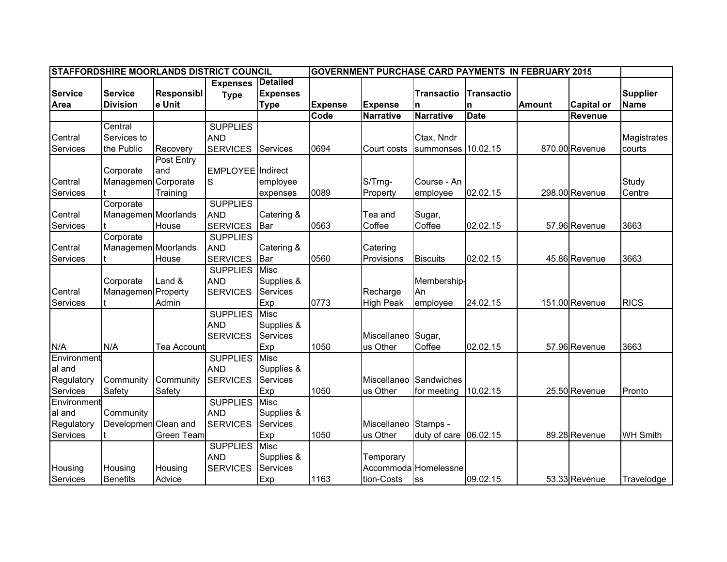|                | STAFFORDSHIRE MOORLANDS DISTRICT COUNCIL |                   |                   |                 |                |                  | <b>GOVERNMENT PURCHASE CARD PAYMENTS IN FEBRUARY 2015</b> |                   |               |                   |                 |
|----------------|------------------------------------------|-------------------|-------------------|-----------------|----------------|------------------|-----------------------------------------------------------|-------------------|---------------|-------------------|-----------------|
|                |                                          |                   | <b>Expenses</b>   | <b>Detailed</b> |                |                  |                                                           |                   |               |                   |                 |
| <b>Service</b> | <b>Service</b>                           | <b>Responsibl</b> | <b>Type</b>       | <b>Expenses</b> |                |                  | <b>Transactio</b>                                         | <b>Transactio</b> |               |                   | <b>Supplier</b> |
| Area           | <b>Division</b>                          | e Unit            |                   | <b>Type</b>     | <b>Expense</b> | Expense          | n                                                         | n                 | <b>Amount</b> | <b>Capital or</b> | <b>Name</b>     |
|                |                                          |                   |                   |                 | Code           | <b>Narrative</b> | <b>Narrative</b>                                          | <b>Date</b>       |               | Revenue           |                 |
|                | Central                                  |                   | <b>SUPPLIES</b>   |                 |                |                  |                                                           |                   |               |                   |                 |
| Central        | Services to                              |                   | <b>AND</b>        |                 |                |                  | Ctax, Nndr                                                |                   |               |                   | Magistrates     |
| Services       | the Public                               | Recovery          | <b>SERVICES</b>   | Services        | 0694           | Court costs      | summonses 10.02.15                                        |                   |               | 870.00 Revenue    | courts          |
|                |                                          | Post Entry        |                   |                 |                |                  |                                                           |                   |               |                   |                 |
|                | Corporate                                | and               | EMPLOYEE Indirect |                 |                |                  |                                                           |                   |               |                   |                 |
| Central        | Managemen Corporate                      |                   | S                 | employee        |                | S/Trng-          | Course - An                                               |                   |               |                   | Study           |
| Services       |                                          | Training          |                   | expenses        | 0089           | Property         | employee                                                  | 02.02.15          |               | 298.00 Revenue    | Centre          |
|                | Corporate                                |                   | <b>SUPPLIES</b>   |                 |                |                  |                                                           |                   |               |                   |                 |
| Central        | Managemen Moorlands                      |                   | <b>AND</b>        | Catering &      |                | Tea and          | Sugar,                                                    |                   |               |                   |                 |
| Services       |                                          | House             | <b>SERVICES</b>   | Bar             | 0563           | Coffee           | Coffee                                                    | 02.02.15          |               | 57.96 Revenue     | 3663            |
|                | Corporate                                |                   | <b>SUPPLIES</b>   |                 |                |                  |                                                           |                   |               |                   |                 |
| Central        | Managemen Moorlands                      |                   | <b>AND</b>        | Catering &      |                | Catering         |                                                           |                   |               |                   |                 |
| Services       |                                          | House             | <b>SERVICES</b>   | <b>Bar</b>      | 0560           | Provisions       | <b>Biscuits</b>                                           | 02.02.15          |               | 45.86 Revenue     | 3663            |
|                |                                          |                   | <b>SUPPLIES</b>   | <b>Misc</b>     |                |                  |                                                           |                   |               |                   |                 |
|                | Corporate                                | Land &            | <b>AND</b>        | Supplies &      |                |                  | Membership-                                               |                   |               |                   |                 |
| Central        | Managemen Property                       |                   | <b>SERVICES</b>   | <b>Services</b> |                | Recharge         | l An                                                      |                   |               |                   |                 |
| Services       |                                          | Admin             |                   | Exp             | 0773           | <b>High Peak</b> | employee                                                  | 24.02.15          |               | 151.00 Revenue    | <b>RICS</b>     |
|                |                                          |                   | <b>SUPPLIES</b>   | <b>Misc</b>     |                |                  |                                                           |                   |               |                   |                 |
|                |                                          |                   | <b>AND</b>        | Supplies &      |                |                  |                                                           |                   |               |                   |                 |
|                |                                          |                   | <b>SERVICES</b>   | <b>Services</b> |                | Miscellaneo      | Sugar,                                                    |                   |               |                   |                 |
| N/A            | N/A                                      | Tea Account       |                   | Exp             | 1050           | us Other         | Coffee                                                    | 02.02.15          |               | 57.96 Revenue     | 3663            |
| Environment    |                                          |                   | <b>SUPPLIES</b>   | <b>Misc</b>     |                |                  |                                                           |                   |               |                   |                 |
| al and         |                                          |                   | <b>AND</b>        | Supplies &      |                |                  |                                                           |                   |               |                   |                 |
| Regulatory     | Community                                | Community         | <b>SERVICES</b>   | <b>Services</b> |                | Miscellaneo      | Sandwiches                                                |                   |               |                   |                 |
| Services       | Safety                                   | Safety            |                   | Exp             | 1050           | us Other         | for meeting                                               | 10.02.15          |               | 25.50 Revenue     | Pronto          |
| Environment    |                                          |                   | <b>SUPPLIES</b>   | <b>Misc</b>     |                |                  |                                                           |                   |               |                   |                 |
| al and         | Community                                |                   | <b>AND</b>        | Supplies &      |                |                  |                                                           |                   |               |                   |                 |
| Regulatory     | Developmen Clean and                     |                   | <b>SERVICES</b>   | Services        |                | Miscellaneo      | Stamps -                                                  |                   |               |                   |                 |
| Services       |                                          | Green Team        |                   | Exp             | 1050           | us Other         | duty of care $ 06.02.15$                                  |                   |               | 89.28 Revenue     | <b>WH Smith</b> |
|                |                                          |                   | <b>SUPPLIES</b>   | <b>Misc</b>     |                |                  |                                                           |                   |               |                   |                 |
|                |                                          |                   | <b>AND</b>        | Supplies &      |                | Temporary        |                                                           |                   |               |                   |                 |
| Housing        | Housing                                  | Housing           | <b>SERVICES</b>   | <b>Services</b> |                |                  | Accommoda Homelessne                                      |                   |               |                   |                 |
| Services       | <b>Benefits</b>                          | Advice            |                   | Exp             | 1163           | tion-Costs       | <b>SS</b>                                                 | 09.02.15          |               | 53.33 Revenue     | Travelodge      |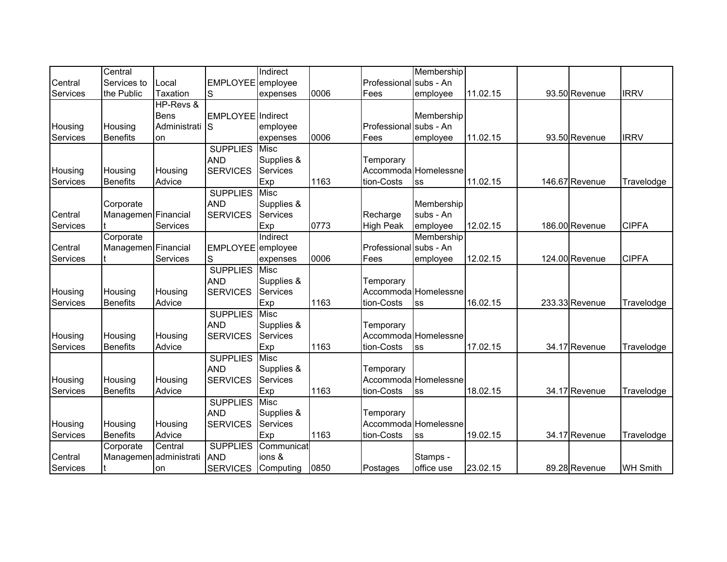|          | Central                |                 |                   | Indirect        |      |                        | Membership           |          |                |                 |
|----------|------------------------|-----------------|-------------------|-----------------|------|------------------------|----------------------|----------|----------------|-----------------|
| Central  | Services to            | Local           | EMPLOYEE employee |                 |      | Professional subs - An |                      |          |                |                 |
| Services | the Public             | <b>Taxation</b> | lS                | expenses        | 0006 | Fees                   | employee             | 11.02.15 | 93.50 Revenue  | <b>IRRV</b>     |
|          |                        | HP-Revs &       |                   |                 |      |                        |                      |          |                |                 |
|          |                        | Bens            | EMPLOYEE Indirect |                 |      |                        | Membership           |          |                |                 |
| Housing  | Housing                | Administrati    | ls                | employee        |      | Professional subs - An |                      |          |                |                 |
| Services | <b>Benefits</b>        | on              |                   | expenses        | 0006 | Fees                   | employee             | 11.02.15 | 93.50 Revenue  | <b>IRRV</b>     |
|          |                        |                 | <b>SUPPLIES</b>   | Misc            |      |                        |                      |          |                |                 |
|          |                        |                 | <b>AND</b>        | Supplies &      |      | Temporary              |                      |          |                |                 |
| Housing  | Housing                | Housing         | <b>SERVICES</b>   | Services        |      |                        | Accommoda Homelessne |          |                |                 |
| Services | <b>Benefits</b>        | Advice          |                   | Exp             | 1163 | tion-Costs             | SS                   | 11.02.15 | 146.67 Revenue | Travelodge      |
|          |                        |                 | <b>SUPPLIES</b>   | Misc            |      |                        |                      |          |                |                 |
|          | Corporate              |                 | <b>AND</b>        | Supplies &      |      |                        | Membership           |          |                |                 |
| Central  | Managemen Financial    |                 | <b>SERVICES</b>   | Services        |      | Recharge               | subs - An            |          |                |                 |
| Services |                        | Services        |                   | Exp             | 0773 | <b>High Peak</b>       | employee             | 12.02.15 | 186.00 Revenue | <b>CIPFA</b>    |
|          | Corporate              |                 |                   | Indirect        |      |                        | Membership           |          |                |                 |
| Central  | Managemen Financial    |                 | EMPLOYEE employee |                 |      | Professional subs - An |                      |          |                |                 |
| Services |                        | Services        | S                 | expenses        | 0006 | Fees                   | employee             | 12.02.15 | 124.00 Revenue | <b>CIPFA</b>    |
|          |                        |                 | <b>SUPPLIES</b>   | Misc            |      |                        |                      |          |                |                 |
|          |                        |                 | <b>AND</b>        | Supplies &      |      | Temporary              |                      |          |                |                 |
| Housing  | Housing                | Housing         | <b>SERVICES</b>   | Services        |      |                        | Accommoda Homelessne |          |                |                 |
| Services | <b>Benefits</b>        | Advice          |                   | Exp             | 1163 | tion-Costs             | SS                   | 16.02.15 | 233.33 Revenue | Travelodge      |
|          |                        |                 | <b>SUPPLIES</b>   | Misc            |      |                        |                      |          |                |                 |
|          |                        |                 | <b>AND</b>        | Supplies &      |      | Temporary              |                      |          |                |                 |
| Housing  | Housing                | Housing         | <b>SERVICES</b>   | Services        |      |                        | Accommoda Homelessne |          |                |                 |
| Services | <b>Benefits</b>        | Advice          |                   | Exp             | 1163 | tion-Costs             | SS                   | 17.02.15 | 34.17 Revenue  | Travelodge      |
|          |                        |                 | <b>SUPPLIES</b>   | Misc            |      |                        |                      |          |                |                 |
|          |                        |                 | <b>AND</b>        | Supplies &      |      | Temporary              |                      |          |                |                 |
| Housing  | Housing                | Housing         | <b>SERVICES</b>   | <b>Services</b> |      |                        | Accommoda Homelessne |          |                |                 |
| Services | <b>Benefits</b>        | Advice          |                   | Exp             | 1163 | tion-Costs             | SS                   | 18.02.15 | 34.17 Revenue  | Travelodge      |
|          |                        |                 | <b>SUPPLIES</b>   | Misc            |      |                        |                      |          |                |                 |
|          |                        |                 | <b>AND</b>        | Supplies &      |      | Temporary              |                      |          |                |                 |
| Housing  | Housing                | Housing         | <b>SERVICES</b>   | Services        |      |                        | Accommoda Homelessne |          |                |                 |
| Services | <b>Benefits</b>        | Advice          |                   | Exp             | 1163 | tion-Costs             | SS                   | 19.02.15 | 34.17 Revenue  | Travelodge      |
|          | Corporate              | Central         | <b>SUPPLIES</b>   | Communicat      |      |                        |                      |          |                |                 |
| Central  | Managemen administrati |                 | <b>AND</b>        | ions &          |      |                        | Stamps -             |          |                |                 |
| Services |                        | on              | <b>SERVICES</b>   | Computing       | 0850 | Postages               | office use           | 23.02.15 | 89.28 Revenue  | <b>WH Smith</b> |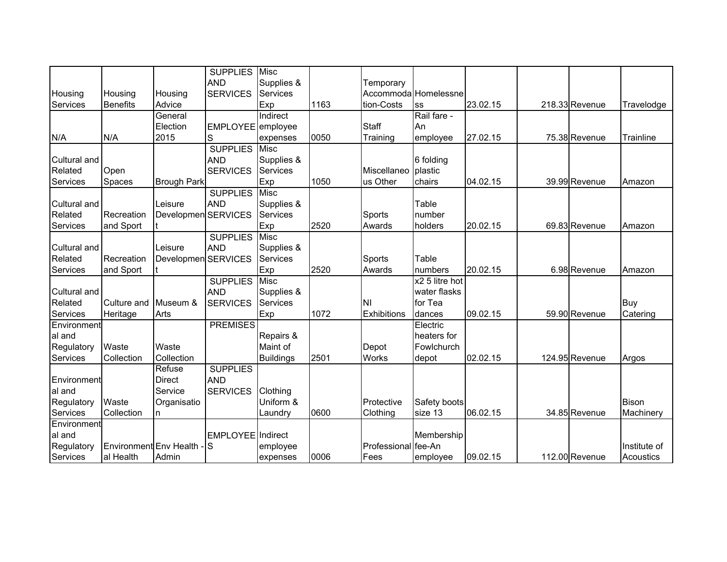|              |                          |                     | <b>SUPPLIES</b>   | <b>Misc</b>      |      |                     |                      |          |                |              |
|--------------|--------------------------|---------------------|-------------------|------------------|------|---------------------|----------------------|----------|----------------|--------------|
|              |                          |                     | <b>AND</b>        | Supplies &       |      | Temporary           |                      |          |                |              |
| Housing      | Housing                  | Housing             | <b>SERVICES</b>   | <b>Services</b>  |      |                     | Accommoda Homelessne |          |                |              |
| Services     | <b>Benefits</b>          | Advice              |                   | Exp              | 1163 | tion-Costs          | SS                   | 23.02.15 | 218.33 Revenue | Travelodge   |
|              |                          | General             |                   | Indirect         |      |                     | Rail fare -          |          |                |              |
|              |                          | Election            | EMPLOYEE employee |                  |      | Staff               | An                   |          |                |              |
| N/A          | N/A                      | 2015                | S                 | expenses         | 0050 | Training            | employee             | 27.02.15 | 75.38 Revenue  | Trainline    |
|              |                          |                     | <b>SUPPLIES</b>   | <b>Misc</b>      |      |                     |                      |          |                |              |
| Cultural and |                          |                     | <b>AND</b>        | Supplies &       |      |                     | 6 folding            |          |                |              |
| Related      | Open                     |                     | <b>SERVICES</b>   | Services         |      | Miscellaneo         | plastic              |          |                |              |
| Services     | Spaces                   | <b>Brough Park</b>  |                   | Exp              | 1050 | us Other            | chairs               | 04.02.15 | 39.99 Revenue  | Amazon       |
|              |                          |                     | <b>SUPPLIES</b>   | Misc             |      |                     |                      |          |                |              |
| Cultural and |                          | Leisure             | <b>AND</b>        | Supplies &       |      |                     | Table                |          |                |              |
| Related      | Recreation               | Developmen SERVICES |                   | <b>Services</b>  |      | Sports              | number               |          |                |              |
| Services     | and Sport                |                     |                   | Exp              | 2520 | Awards              | holders              | 20.02.15 | 69.83 Revenue  | Amazon       |
|              |                          |                     | <b>SUPPLIES</b>   | <b>Misc</b>      |      |                     |                      |          |                |              |
| Cultural and |                          | Leisure             | <b>AND</b>        | Supplies &       |      |                     |                      |          |                |              |
| Related      | Recreation               | Developmen SERVICES |                   | Services         |      | Sports              | Table                |          |                |              |
| Services     | and Sport                |                     |                   | Exp              | 2520 | Awards              | numbers              | 20.02.15 | 6.98 Revenue   | Amazon       |
|              |                          |                     | <b>SUPPLIES</b>   | <b>Misc</b>      |      |                     | x2 5 litre hot       |          |                |              |
| Cultural and |                          |                     | <b>AND</b>        | Supplies &       |      |                     | water flasks         |          |                |              |
| Related      | Culture and              | Museum &            | <b>SERVICES</b>   | <b>Services</b>  |      | NI                  | for Tea              |          |                | Buy          |
| Services     | Heritage                 | Arts                |                   | Exp              | 1072 | Exhibitions         | dances               | 09.02.15 | 59.90 Revenue  | Catering     |
| Environment  |                          |                     | <b>PREMISES</b>   |                  |      |                     | Electric             |          |                |              |
| al and       |                          |                     |                   | Repairs &        |      |                     | heaters for          |          |                |              |
| Regulatory   | Waste                    | Waste               |                   | Maint of         |      | Depot               | Fowlchurch           |          |                |              |
| Services     | Collection               | Collection          |                   | <b>Buildings</b> | 2501 | <b>Works</b>        | depot                | 02.02.15 | 124.95 Revenue | Argos        |
|              |                          | Refuse              | <b>SUPPLIES</b>   |                  |      |                     |                      |          |                |              |
| Environment  |                          | <b>Direct</b>       | <b>AND</b>        |                  |      |                     |                      |          |                |              |
| al and       |                          | Service             | <b>SERVICES</b>   | Clothing         |      |                     |                      |          |                |              |
| Regulatory   | Waste                    | Organisatio         |                   | Uniform &        |      | Protective          | Safety boots         |          |                | <b>Bison</b> |
| Services     | Collection               | n                   |                   | Laundry          | 0600 | Clothing            | size 13              | 06.02.15 | 34.85 Revenue  | Machinery    |
| Environment  |                          |                     |                   |                  |      |                     |                      |          |                |              |
| al and       |                          |                     | EMPLOYEE Indirect |                  |      |                     | Membership           |          |                |              |
| Regulatory   | Environment Env Health - |                     | lS                | employee         |      | Professional fee-An |                      |          |                | Institute of |
| Services     | al Health                | Admin               |                   | expenses         | 0006 | Fees                | employee             | 09.02.15 | 112.00 Revenue | Acoustics    |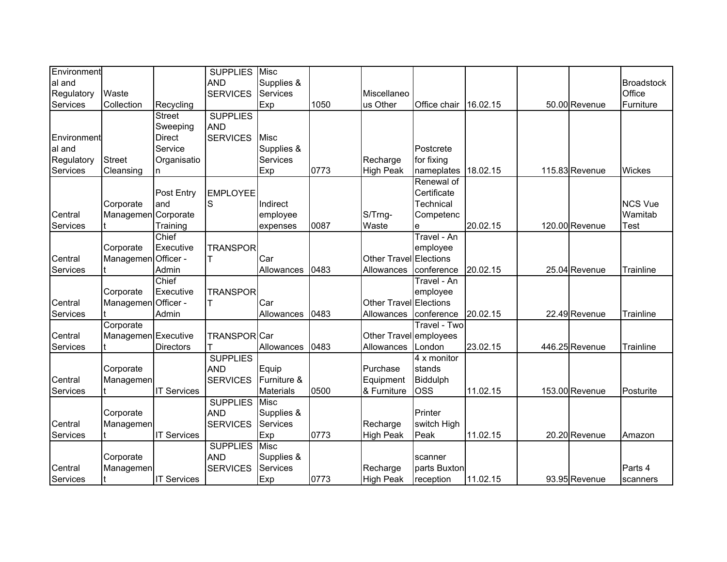| Environment |                     |                    | <b>SUPPLIES</b> | <b>Misc</b>      |      |                               |              |          |                |                   |
|-------------|---------------------|--------------------|-----------------|------------------|------|-------------------------------|--------------|----------|----------------|-------------------|
| al and      |                     |                    | <b>AND</b>      | Supplies &       |      |                               |              |          |                | <b>Broadstock</b> |
| Regulatory  | Waste               |                    | <b>SERVICES</b> | Services         |      | Miscellaneo                   |              |          |                | Office            |
| Services    | Collection          | Recycling          |                 | Exp              | 1050 | us Other                      | Office chair | 16.02.15 | 50.00 Revenue  | Furniture         |
|             |                     | <b>Street</b>      | <b>SUPPLIES</b> |                  |      |                               |              |          |                |                   |
|             |                     | Sweeping           | <b>AND</b>      |                  |      |                               |              |          |                |                   |
| Environment |                     | Direct             | <b>SERVICES</b> | <b>Misc</b>      |      |                               |              |          |                |                   |
| al and      |                     | Service            |                 | Supplies &       |      |                               | Postcrete    |          |                |                   |
| Regulatory  | <b>Street</b>       | Organisatio        |                 | <b>Services</b>  |      | Recharge                      | for fixing   |          |                |                   |
| Services    | Cleansing           |                    |                 | Exp              | 0773 | <b>High Peak</b>              | nameplates   | 18.02.15 | 115.83 Revenue | Wickes            |
|             |                     |                    |                 |                  |      |                               | Renewal of   |          |                |                   |
|             |                     | Post Entry         | <b>EMPLOYEE</b> |                  |      |                               | Certificate  |          |                |                   |
|             | Corporate           | land               | S               | Indirect         |      |                               | Technical    |          |                | <b>NCS Vue</b>    |
| Central     | Managemen Corporate |                    |                 | employee         |      | S/Trng-                       | Competenc    |          |                | Wamitab           |
| Services    |                     | Training           |                 | expenses         | 0087 | Waste                         | e            | 20.02.15 | 120.00 Revenue | Test              |
|             |                     | Chief              |                 |                  |      |                               | Travel - An  |          |                |                   |
|             | Corporate           | Executive          | <b>TRANSPOR</b> |                  |      |                               | employee     |          |                |                   |
| Central     | Managemen Officer - |                    |                 | Car              |      | Other Travel Elections        |              |          |                |                   |
| Services    |                     | Admin              |                 | Allowances       | 0483 | Allowances                    | conference   | 20.02.15 | 25.04 Revenue  | Trainline         |
|             |                     | Chief              |                 |                  |      |                               | Travel - An  |          |                |                   |
|             | Corporate           | Executive          | <b>TRANSPOR</b> |                  |      |                               | employee     |          |                |                   |
| Central     | Managemen Officer - |                    |                 | Car              |      | <b>Other Travel Elections</b> |              |          |                |                   |
| Services    |                     | Admin              |                 | Allowances       | 0483 | Allowances                    | conference   | 20.02.15 | 22.49 Revenue  | Trainline         |
|             | Corporate           |                    |                 |                  |      |                               | Travel - Two |          |                |                   |
| Central     | Managemen Executive |                    | TRANSPOR Car    |                  |      | Other Travel employees        |              |          |                |                   |
| Services    |                     | <b>Directors</b>   |                 | Allowances       | 0483 | Allowances                    | London       | 23.02.15 | 446.25 Revenue | Trainline         |
|             |                     |                    | <b>SUPPLIES</b> |                  |      |                               | 4 x monitor  |          |                |                   |
|             | Corporate           |                    | <b>AND</b>      | Equip            |      | Purchase                      | stands       |          |                |                   |
| Central     | Managemen           |                    | <b>SERVICES</b> | Furniture &      |      | Equipment                     | Biddulph     |          |                |                   |
| Services    |                     | <b>IT Services</b> |                 | <b>Materials</b> | 0500 | & Furniture                   | <b>OSS</b>   | 11.02.15 | 153.00 Revenue | Posturite         |
|             |                     |                    | <b>SUPPLIES</b> | <b>Misc</b>      |      |                               |              |          |                |                   |
|             | Corporate           |                    | <b>AND</b>      | Supplies &       |      |                               | Printer      |          |                |                   |
| Central     | Managemen           |                    | <b>SERVICES</b> | Services         |      | Recharge                      | switch High  |          |                |                   |
| Services    |                     | <b>IT Services</b> |                 | Exp              | 0773 | <b>High Peak</b>              | Peak         | 11.02.15 | 20.20 Revenue  | Amazon            |
|             |                     |                    | <b>SUPPLIES</b> | <b>Misc</b>      |      |                               |              |          |                |                   |
|             | Corporate           |                    | <b>AND</b>      | Supplies &       |      |                               | scanner      |          |                |                   |
| Central     | Managemen           |                    | <b>SERVICES</b> | <b>Services</b>  |      | Recharge                      | parts Buxton |          |                | Parts 4           |
| Services    |                     | <b>IT Services</b> |                 | Exp              | 0773 | <b>High Peak</b>              | reception    | 11.02.15 | 93.95 Revenue  | scanners          |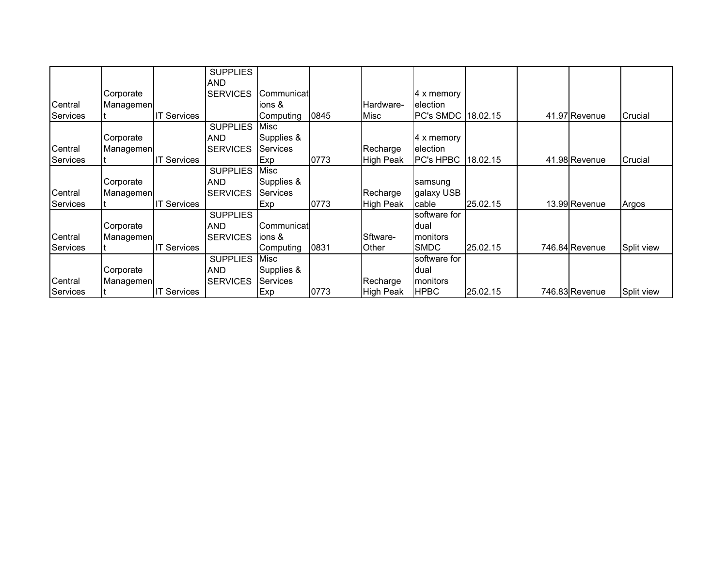|          |           |                    | <b>SUPPLIES</b> |                 |      |                  |                    |          |                |            |
|----------|-----------|--------------------|-----------------|-----------------|------|------------------|--------------------|----------|----------------|------------|
|          |           |                    | <b>AND</b>      |                 |      |                  |                    |          |                |            |
|          | Corporate |                    | <b>SERVICES</b> | Communicat      |      |                  | 4 x memory         |          |                |            |
| Central  | Managemen |                    |                 | ions &          |      | Hardware-        | election           |          |                |            |
| Services |           | <b>IT Services</b> |                 | Computing       | 0845 | Misc             | PC's SMDC 18.02.15 |          | 41.97 Revenue  | Crucial    |
|          |           |                    | <b>SUPPLIES</b> | Misc            |      |                  |                    |          |                |            |
|          | Corporate |                    | <b>AND</b>      | Supplies &      |      |                  | 4 x memory         |          |                |            |
| Central  | Managemen |                    | <b>SERVICES</b> | <b>Services</b> |      | Recharge         | <b>election</b>    |          |                |            |
| Services |           | <b>IT Services</b> |                 | Exp             | 0773 | High Peak        | <b>PC's HPBC</b>   | 18.02.15 | 41.98 Revenue  | Crucial    |
|          |           |                    | <b>SUPPLIES</b> | <b>Misc</b>     |      |                  |                    |          |                |            |
|          | Corporate |                    | <b>AND</b>      | Supplies &      |      |                  | samsung            |          |                |            |
| Central  | Managemen |                    | <b>SERVICES</b> | Services        |      | Recharge         | galaxy USB         |          |                |            |
| Services |           | <b>IT Services</b> |                 | Exp             | 0773 | <b>High Peak</b> | cable              | 25.02.15 | 13.99 Revenue  | Argos      |
|          |           |                    | <b>SUPPLIES</b> |                 |      |                  | software for       |          |                |            |
|          | Corporate |                    | <b>AND</b>      | Communicat      |      |                  | dual               |          |                |            |
| Central  | Managemen |                    | <b>SERVICES</b> | lions &         |      | Sftware-         | <b>Imonitors</b>   |          |                |            |
| Services |           | <b>IT Services</b> |                 | Computing       | 0831 | Other            | <b>SMDC</b>        | 25.02.15 | 746.84 Revenue | Split view |
|          |           |                    | <b>SUPPLIES</b> | Misc            |      |                  | software for       |          |                |            |
|          | Corporate |                    | <b>AND</b>      | Supplies &      |      |                  | dual               |          |                |            |
| Central  | Managemen |                    | <b>SERVICES</b> | <b>Services</b> |      | Recharge         | <b>Imonitors</b>   |          |                |            |
| Services |           | <b>IT Services</b> |                 | Exp             | 0773 | High Peak        | <b>HPBC</b>        | 25.02.15 | 746.83 Revenue | Split view |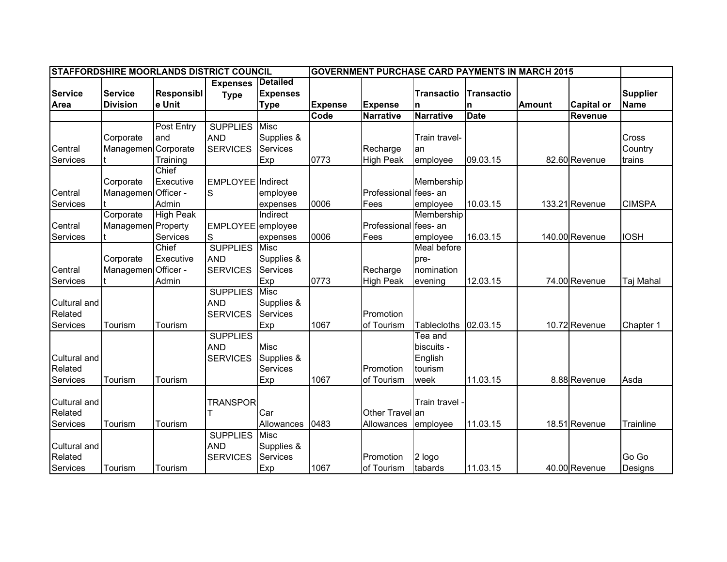| <b>STAFFORDSHIRE MOORLANDS DISTRICT COUNCIL</b><br><b>GOVERNMENT PURCHASE CARD PAYMENTS IN MARCH 2015</b> |                     |                   |                                |                                    |                |                       |                    |                   |               |                   |                 |
|-----------------------------------------------------------------------------------------------------------|---------------------|-------------------|--------------------------------|------------------------------------|----------------|-----------------------|--------------------|-------------------|---------------|-------------------|-----------------|
| <b>Service</b>                                                                                            | <b>Service</b>      | <b>Responsibl</b> | <b>Expenses</b><br><b>Type</b> | <b>Detailed</b><br><b>Expenses</b> |                |                       | <b>Transactio</b>  | <b>Transactio</b> |               |                   | <b>Supplier</b> |
| Area                                                                                                      | <b>Division</b>     | e Unit            |                                | <b>Type</b>                        | <b>Expense</b> | <b>Expense</b>        | n                  | n                 | <b>Amount</b> | <b>Capital or</b> | <b>Name</b>     |
|                                                                                                           |                     |                   |                                |                                    | Code           | <b>Narrative</b>      | <b>Narrative</b>   | <b>Date</b>       |               | Revenue           |                 |
|                                                                                                           |                     | <b>Post Entry</b> | <b>SUPPLIES</b>                | Misc                               |                |                       |                    |                   |               |                   |                 |
|                                                                                                           | Corporate           | and               | <b>AND</b>                     | Supplies &                         |                |                       | Train travel-      |                   |               |                   | Cross           |
| Central                                                                                                   | Managemen Corporate |                   | <b>SERVICES</b>                | Services                           |                | Recharge              | an                 |                   |               |                   | Country         |
| Services                                                                                                  |                     | Training          |                                | Exp                                | 0773           | <b>High Peak</b>      | employee           | 09.03.15          |               | 82.60 Revenue     | trains          |
|                                                                                                           |                     | Chief             |                                |                                    |                |                       |                    |                   |               |                   |                 |
|                                                                                                           | Corporate           | Executive         | <b>EMPLOYEE</b> Indirect       |                                    |                |                       | Membership         |                   |               |                   |                 |
| Central                                                                                                   | Managemen Officer - |                   | S                              | employee                           |                | Professional fees- an |                    |                   |               |                   |                 |
| Services                                                                                                  |                     | Admin             |                                | expenses                           | 0006           | Fees                  | employee           | 10.03.15          |               | 133.21 Revenue    | <b>CIMSPA</b>   |
|                                                                                                           | Corporate           | <b>High Peak</b>  |                                | Indirect                           |                |                       | Membership         |                   |               |                   |                 |
| Central                                                                                                   | Managemen Property  |                   | EMPLOYEE employee              |                                    |                | Professional fees- an |                    |                   |               |                   |                 |
| Services                                                                                                  |                     | Services          | S                              | expenses                           | 0006           | Fees                  | employee           | 16.03.15          |               | 140.00 Revenue    | <b>IOSH</b>     |
|                                                                                                           |                     | Chief             | <b>SUPPLIES</b>                | Misc                               |                |                       | Meal before        |                   |               |                   |                 |
|                                                                                                           | Corporate           | Executive         | <b>AND</b>                     | Supplies &                         |                |                       | pre-               |                   |               |                   |                 |
| Central                                                                                                   | Managemen Officer - |                   | <b>SERVICES</b>                | <b>Services</b>                    |                | Recharge              | nomination         |                   |               |                   |                 |
| Services                                                                                                  |                     | Admin             |                                | Exp                                | 0773           | <b>High Peak</b>      | evening            | 12.03.15          |               | 74.00 Revenue     | Taj Mahal       |
|                                                                                                           |                     |                   | <b>SUPPLIES</b>                | <b>Misc</b>                        |                |                       |                    |                   |               |                   |                 |
| Cultural and                                                                                              |                     |                   | <b>AND</b>                     | Supplies &                         |                |                       |                    |                   |               |                   |                 |
| Related                                                                                                   |                     |                   | <b>SERVICES</b>                | <b>Services</b>                    |                | Promotion             |                    |                   |               |                   |                 |
| Services                                                                                                  | Tourism             | Tourism           |                                | Exp                                | 1067           | of Tourism            | <b>Tablecloths</b> | 02.03.15          |               | 10.72 Revenue     | Chapter 1       |
|                                                                                                           |                     |                   | <b>SUPPLIES</b>                |                                    |                |                       | Tea and            |                   |               |                   |                 |
|                                                                                                           |                     |                   | <b>AND</b>                     | <b>Misc</b>                        |                |                       | biscuits -         |                   |               |                   |                 |
| Cultural and                                                                                              |                     |                   | <b>SERVICES</b>                | Supplies &                         |                |                       | English            |                   |               |                   |                 |
| Related                                                                                                   |                     |                   |                                | Services                           |                | Promotion             | tourism            |                   |               |                   |                 |
| Services                                                                                                  | Tourism             | Tourism           |                                | Exp                                | 1067           | of Tourism            | week               | 11.03.15          |               | 8.88 Revenue      | Asda            |
| Cultural and                                                                                              |                     |                   | <b>TRANSPOR</b>                |                                    |                |                       | Train travel -     |                   |               |                   |                 |
| Related                                                                                                   |                     |                   |                                | Car                                |                | Other Travellan       |                    |                   |               |                   |                 |
| Services                                                                                                  | Tourism             | Tourism           |                                | Allowances                         | 0483           | Allowances            | employee           | 11.03.15          |               | 18.51 Revenue     | Trainline       |
|                                                                                                           |                     |                   | <b>SUPPLIES</b>                | Misc                               |                |                       |                    |                   |               |                   |                 |
| Cultural and                                                                                              |                     |                   | <b>AND</b>                     | Supplies &                         |                |                       |                    |                   |               |                   |                 |
| Related                                                                                                   |                     |                   | <b>SERVICES</b>                | Services                           |                | Promotion             | 2 logo             |                   |               |                   | Go Go           |
| Services                                                                                                  | Tourism             | Tourism           |                                | Exp                                | 1067           | of Tourism            | tabards            | 11.03.15          |               | 40.00 Revenue     | Designs         |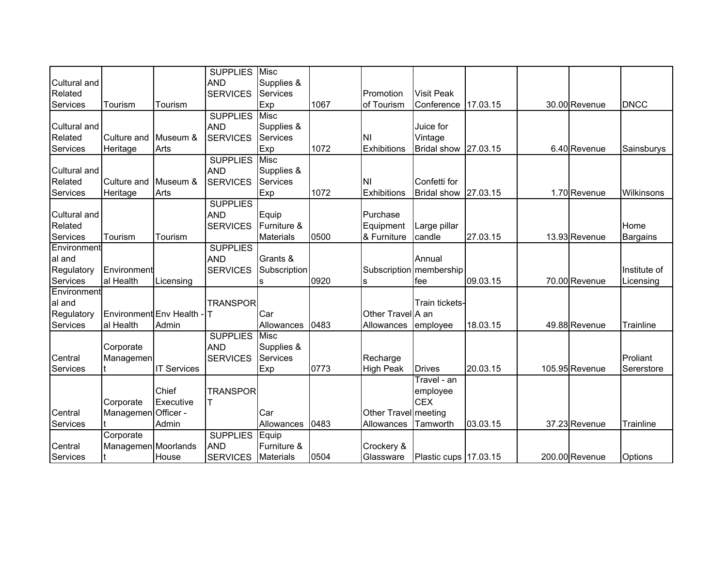|              |                        |                    | <b>SUPPLIES</b> | Misc             |      |                      |                           |          |                |                |
|--------------|------------------------|--------------------|-----------------|------------------|------|----------------------|---------------------------|----------|----------------|----------------|
| Cultural and |                        |                    | <b>AND</b>      | Supplies &       |      |                      |                           |          |                |                |
| Related      |                        |                    | <b>SERVICES</b> | Services         |      | Promotion            | <b>Visit Peak</b>         |          |                |                |
| Services     | Tourism                | Tourism            |                 | Exp              | 1067 | of Tourism           | Conference                | 17.03.15 | 30.00 Revenue  | <b>DNCC</b>    |
|              |                        |                    | <b>SUPPLIES</b> | <b>Misc</b>      |      |                      |                           |          |                |                |
| Cultural and |                        |                    | <b>AND</b>      | Supplies &       |      |                      | Juice for                 |          |                |                |
| Related      | Culture and            | Museum &           | <b>SERVICES</b> | Services         |      | ΙNΙ                  | Vintage                   |          |                |                |
| Services     | Heritage               | Arts               |                 | Exp              | 1072 | Exhibitions          | <b>Bridal show</b>        | 27.03.15 | 6.40 Revenue   | Sainsburys     |
|              |                        |                    | <b>SUPPLIES</b> | <b>Misc</b>      |      |                      |                           |          |                |                |
| Cultural and |                        |                    | <b>AND</b>      | Supplies &       |      |                      |                           |          |                |                |
| Related      | Culture and            | Museum &           | <b>SERVICES</b> | Services         |      | NI                   | Confetti for              |          |                |                |
| Services     | Heritage               | Arts               |                 | Exp              | 1072 | Exhibitions          | <b>Bridal show</b>        | 27.03.15 | 1.70 Revenue   | Wilkinsons     |
|              |                        |                    | <b>SUPPLIES</b> |                  |      |                      |                           |          |                |                |
| Cultural and |                        |                    | <b>AND</b>      | Equip            |      | Purchase             |                           |          |                |                |
| Related      |                        |                    | <b>SERVICES</b> | Furniture &      |      | Equipment            | Large pillar              |          |                | Home           |
| Services     | Tourism                | Tourism            |                 | <b>Materials</b> | 0500 | & Furniture          | candle                    | 27.03.15 | 13.93 Revenue  | Bargains       |
| Environment  |                        |                    | <b>SUPPLIES</b> |                  |      |                      |                           |          |                |                |
| al and       |                        |                    | <b>AND</b>      | Grants &         |      |                      | Annual                    |          |                |                |
| Regulatory   | Environment            |                    | <b>SERVICES</b> | Subscription     |      |                      | Subscription   membership |          |                | Institute of   |
| Services     | al Health              | Licensing          |                 | s                | 0920 | s                    | fee                       | 09.03.15 | 70.00 Revenue  | Licensing      |
| Environment  |                        |                    |                 |                  |      |                      |                           |          |                |                |
| al and       |                        |                    | <b>TRANSPOR</b> |                  |      |                      | Train tickets-            |          |                |                |
| Regulatory   | Environment Env Health |                    |                 | Car              |      | Other Travel A an    |                           |          |                |                |
| Services     | al Health              | Admin              |                 | Allowances       | 0483 | Allowances           | employee                  | 18.03.15 | 49.88 Revenue  | Trainline      |
|              |                        |                    | <b>SUPPLIES</b> | <b>Misc</b>      |      |                      |                           |          |                |                |
|              | Corporate              |                    | <b>AND</b>      | Supplies &       |      |                      |                           |          |                |                |
| Central      | Managemen              |                    | <b>SERVICES</b> | Services         |      | Recharge             |                           |          |                | Proliant       |
| Services     |                        | <b>IT Services</b> |                 | Exp              | 0773 | <b>High Peak</b>     | <b>Drives</b>             | 20.03.15 | 105.95 Revenue | Sererstore     |
|              |                        |                    |                 |                  |      |                      | Travel - an               |          |                |                |
|              |                        | Chief              | <b>TRANSPOR</b> |                  |      |                      | employee                  |          |                |                |
|              | Corporate              | Executive          |                 |                  |      |                      | <b>CEX</b>                |          |                |                |
| Central      | Managemen Officer -    |                    |                 | Car              |      | Other Travel meeting |                           |          |                |                |
| Services     |                        | Admin              |                 | Allowances       | 0483 | Allowances           | Tamworth                  | 03.03.15 | 37.23 Revenue  | Trainline      |
|              | Corporate              |                    | <b>SUPPLIES</b> | Equip            |      |                      |                           |          |                |                |
| Central      | Managemen Moorlands    |                    | <b>AND</b>      | Furniture &      |      | Crockery &           |                           |          |                |                |
| Services     |                        | House              | <b>SERVICES</b> | <b>Materials</b> | 0504 | Glassware            | Plastic cups   17.03.15   |          | 200.00 Revenue | <b>Options</b> |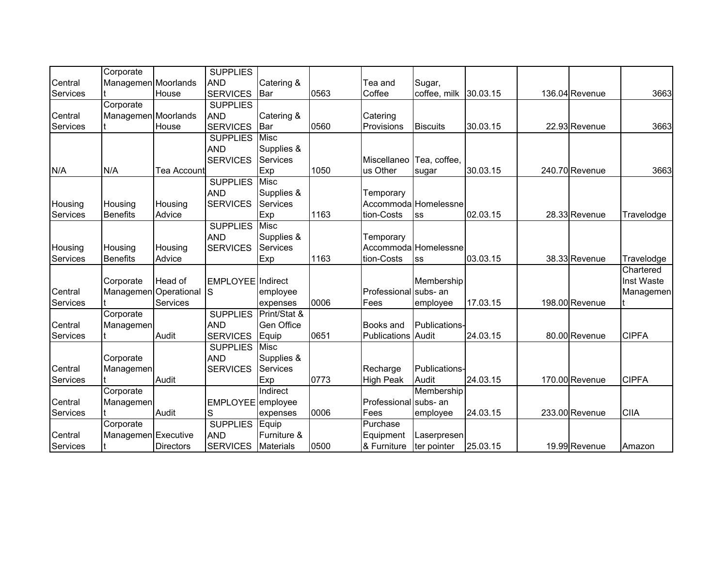|                 | Corporate             |             | <b>SUPPLIES</b>       |                  |      |                           |                      |          |                |              |
|-----------------|-----------------------|-------------|-----------------------|------------------|------|---------------------------|----------------------|----------|----------------|--------------|
| Central         | Managemen Moorlands   |             | <b>AND</b>            | Catering &       |      | Tea and                   | Sugar,               |          |                |              |
| Services        |                       | House       | <b>SERVICES</b>       | Bar              | 0563 | Coffee                    | coffee, milk         | 30.03.15 | 136.04 Revenue | 3663         |
|                 | Corporate             |             | <b>SUPPLIES</b>       |                  |      |                           |                      |          |                |              |
| Central         | Managemen Moorlands   |             | <b>AND</b>            | Catering &       |      | Catering                  |                      |          |                |              |
| Services        |                       | House       | <b>SERVICES</b>       | <b>I</b> Bar     | 0560 | Provisions                | <b>Biscuits</b>      | 30.03.15 | 22.93 Revenue  | 3663         |
|                 |                       |             | <b>SUPPLIES</b>       | Misc             |      |                           |                      |          |                |              |
|                 |                       |             | <b>AND</b>            | Supplies &       |      |                           |                      |          |                |              |
|                 |                       |             | <b>SERVICES</b>       | Services         |      | Miscellaneo               | Tea, coffee,         |          |                |              |
| N/A             | N/A                   | Tea Account |                       | Exp              | 1050 | us Other                  | sugar                | 30.03.15 | 240.70 Revenue | 3663         |
|                 |                       |             | <b>SUPPLIES</b>       | <b>Misc</b>      |      |                           |                      |          |                |              |
|                 |                       |             | <b>AND</b>            | Supplies &       |      | Temporary                 |                      |          |                |              |
| Housing         | Housing               | Housing     | <b>SERVICES</b>       | <b>Services</b>  |      |                           | Accommoda Homelessne |          |                |              |
| Services        | <b>Benefits</b>       | Advice      |                       | Exp              | 1163 | tion-Costs                | lss                  | 02.03.15 | 28.33 Revenue  | Travelodge   |
|                 |                       |             | <b>SUPPLIES</b>       | Misc             |      |                           |                      |          |                |              |
|                 |                       |             | <b>AND</b>            | Supplies &       |      | Temporary                 |                      |          |                |              |
| Housing         | Housing               | Housing     | <b>SERVICES</b>       | Services         |      |                           | Accommoda Homelessne |          |                |              |
| Services        | <b>Benefits</b>       | Advice      |                       | Exp              | 1163 | tion-Costs                | lss                  | 03.03.15 | 38.33 Revenue  | Travelodge   |
|                 |                       |             |                       |                  |      |                           |                      |          |                | Chartered    |
|                 | Corporate             | Head of     | EMPLOYEE Indirect     |                  |      |                           | Membership           |          |                | Inst Waste   |
| Central         | Managemen Operational |             | ls                    | employee         |      | Professional subs- an     |                      |          |                | Managemen    |
| Services        |                       | Services    |                       | expenses         | 0006 | Fees                      | employee             | 17.03.15 | 198.00 Revenue |              |
|                 | Corporate             |             | <b>SUPPLIES</b>       | Print/Stat &     |      |                           |                      |          |                |              |
| Central         | Managemen             |             | <b>AND</b>            | Gen Office       |      | Books and                 | Publications-        |          |                |              |
| Services        |                       | Audit       | <b>SERVICES</b>       | Equip            | 0651 | <b>Publications Audit</b> |                      | 24.03.15 | 80.00 Revenue  | <b>CIPFA</b> |
|                 |                       |             | <b>SUPPLIES</b>       | <b>Misc</b>      |      |                           |                      |          |                |              |
|                 | Corporate             |             | <b>AND</b>            | Supplies &       |      |                           |                      |          |                |              |
| Central         | Managemen             |             | <b>SERVICES</b>       | Services         |      | Recharge                  | Publications-        |          |                |              |
| Services        |                       | Audit       |                       | Exp              | 0773 | High Peak                 | Audit                | 24.03.15 | 170.00 Revenue | <b>CIPFA</b> |
|                 | Corporate             |             |                       | Indirect         |      |                           | Membership           |          |                |              |
| Central         | Managemen             |             | EMPLOYEE employee     |                  |      | Professional subs- an     |                      |          |                |              |
| Services        |                       | Audit       | S                     | expenses         | 0006 | Fees                      | employee             | 24.03.15 | 233.00 Revenue | <b>CIIA</b>  |
|                 | Corporate             |             | <b>SUPPLIES Equip</b> |                  |      | Purchase                  |                      |          |                |              |
| Central         | Managemen Executive   |             | <b>AND</b>            | Furniture &      |      | Equipment                 | Laserpresen          |          |                |              |
| <b>Services</b> |                       | Directors   | <b>SERVICES</b>       | <b>Materials</b> | 0500 | & Furniture               | ter pointer          | 25.03.15 | 19.99 Revenue  | Amazon       |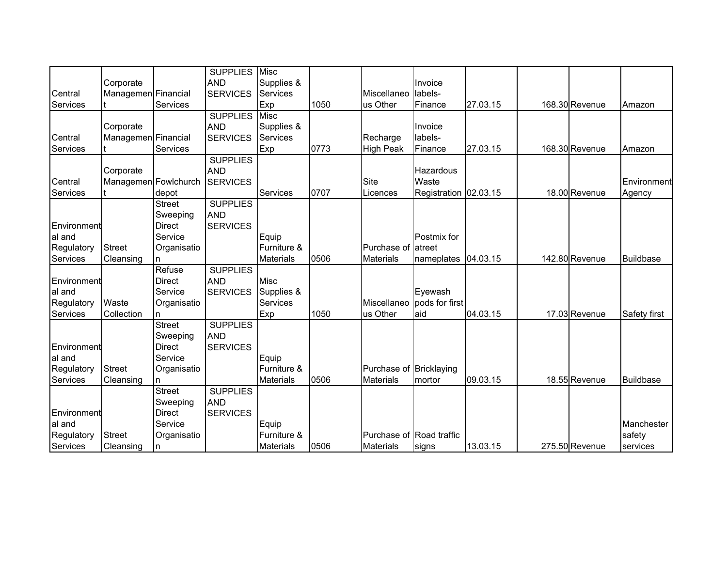|             |                      |               | <b>SUPPLIES</b> | Misc             |      |                          |                       |          |                |                  |
|-------------|----------------------|---------------|-----------------|------------------|------|--------------------------|-----------------------|----------|----------------|------------------|
|             | Corporate            |               | <b>AND</b>      | Supplies &       |      |                          | Invoice               |          |                |                  |
| Central     | Managemen Financial  |               | <b>SERVICES</b> | Services         |      | Miscellaneo              | labels-               |          |                |                  |
| Services    |                      | Services      |                 | Exp              | 1050 | us Other                 | Finance               | 27.03.15 | 168.30 Revenue | Amazon           |
|             |                      |               | <b>SUPPLIES</b> | <b>Misc</b>      |      |                          |                       |          |                |                  |
|             | Corporate            |               | <b>AND</b>      | Supplies &       |      |                          | Invoice               |          |                |                  |
| Central     | Managemen Financial  |               | <b>SERVICES</b> | Services         |      | Recharge                 | labels-               |          |                |                  |
| Services    |                      | Services      |                 | Exp              | 0773 | <b>High Peak</b>         | Finance               | 27.03.15 | 168.30 Revenue | Amazon           |
|             |                      |               | <b>SUPPLIES</b> |                  |      |                          |                       |          |                |                  |
|             | Corporate            |               | <b>AND</b>      |                  |      |                          | Hazardous             |          |                |                  |
| Central     | Managemen Fowlchurch |               | <b>SERVICES</b> |                  |      | <b>Site</b>              | Waste                 |          |                | Environment      |
| Services    |                      | depot         |                 | Services         | 0707 | Licences                 | Registration 02.03.15 |          | 18.00 Revenue  | Agency           |
|             |                      | <b>Street</b> | <b>SUPPLIES</b> |                  |      |                          |                       |          |                |                  |
|             |                      | Sweeping      | <b>AND</b>      |                  |      |                          |                       |          |                |                  |
| Environment |                      | <b>Direct</b> | <b>SERVICES</b> |                  |      |                          |                       |          |                |                  |
| al and      |                      | Service       |                 | Equip            |      |                          | Postmix for           |          |                |                  |
| Regulatory  | <b>Street</b>        | Organisatio   |                 | Furniture &      |      | Purchase of atreet       |                       |          |                |                  |
| Services    | Cleansing            | n             |                 | <b>Materials</b> | 0506 | <b>Materials</b>         | nameplates            | 04.03.15 | 142.80 Revenue | <b>Buildbase</b> |
|             |                      | Refuse        | <b>SUPPLIES</b> |                  |      |                          |                       |          |                |                  |
| Environment |                      | Direct        | <b>AND</b>      | <b>Misc</b>      |      |                          |                       |          |                |                  |
| al and      |                      | Service       | <b>SERVICES</b> | Supplies &       |      |                          | Eyewash               |          |                |                  |
| Regulatory  | Waste                | Organisatio   |                 | <b>Services</b>  |      | Miscellaneo              | pods for first        |          |                |                  |
| Services    | Collection           | n.            |                 | Exp              | 1050 | us Other                 | aid                   | 04.03.15 | 17.03 Revenue  | Safety first     |
|             |                      | <b>Street</b> | <b>SUPPLIES</b> |                  |      |                          |                       |          |                |                  |
|             |                      | Sweeping      | <b>AND</b>      |                  |      |                          |                       |          |                |                  |
| Environment |                      | Direct        | <b>SERVICES</b> |                  |      |                          |                       |          |                |                  |
| al and      |                      | Service       |                 | Equip            |      |                          |                       |          |                |                  |
| Regulatory  | <b>Street</b>        | Organisatio   |                 | Furniture &      |      | Purchase of Bricklaying  |                       |          |                |                  |
| Services    | Cleansing            | n             |                 | <b>Materials</b> | 0506 | <b>Materials</b>         | mortor                | 09.03.15 | 18.55 Revenue  | <b>Buildbase</b> |
|             |                      | <b>Street</b> | <b>SUPPLIES</b> |                  |      |                          |                       |          |                |                  |
|             |                      | Sweeping      | <b>AND</b>      |                  |      |                          |                       |          |                |                  |
| Environment |                      | <b>Direct</b> | <b>SERVICES</b> |                  |      |                          |                       |          |                |                  |
| al and      |                      | Service       |                 | Equip            |      |                          |                       |          |                | Manchester       |
| Regulatory  | <b>Street</b>        | Organisatio   |                 | Furniture &      |      | Purchase of Road traffic |                       |          |                | safety           |
| Services    | Cleansing            | n             |                 | <b>Materials</b> | 0506 | <b>Materials</b>         | signs                 | 13.03.15 | 275.50 Revenue | services         |